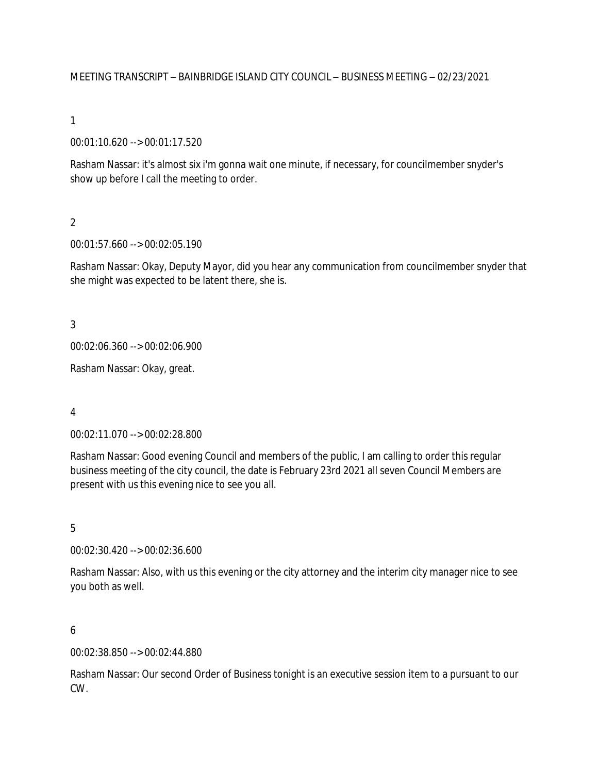### MEETING TRANSCRIPT – BAINBRIDGE ISLAND CITY COUNCIL – BUSINESS MEETING – 02/23/2021

### 1

00:01:10.620 --> 00:01:17.520

Rasham Nassar: it's almost six i'm gonna wait one minute, if necessary, for councilmember snyder's show up before I call the meeting to order.

### $\overline{2}$

00:01:57.660 --> 00:02:05.190

Rasham Nassar: Okay, Deputy Mayor, did you hear any communication from councilmember snyder that she might was expected to be latent there, she is.

3

00:02:06.360 --> 00:02:06.900

Rasham Nassar: Okay, great.

#### 4

00:02:11.070 --> 00:02:28.800

Rasham Nassar: Good evening Council and members of the public, I am calling to order this regular business meeting of the city council, the date is February 23rd 2021 all seven Council Members are present with us this evening nice to see you all.

#### 5

00:02:30.420 --> 00:02:36.600

Rasham Nassar: Also, with us this evening or the city attorney and the interim city manager nice to see you both as well.

#### 6

00:02:38.850 --> 00:02:44.880

Rasham Nassar: Our second Order of Business tonight is an executive session item to a pursuant to our CW.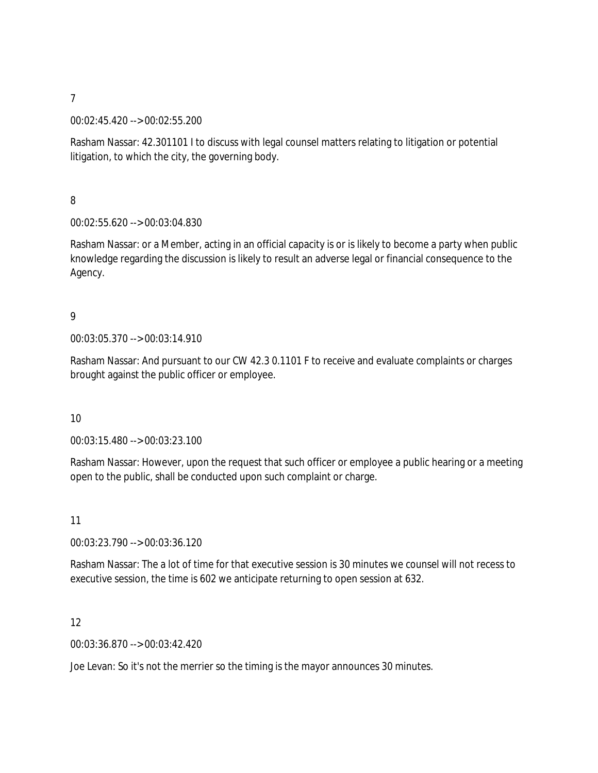#### 00:02:45.420 --> 00:02:55.200

Rasham Nassar: 42.301101 I to discuss with legal counsel matters relating to litigation or potential litigation, to which the city, the governing body.

8

### 00:02:55.620 --> 00:03:04.830

Rasham Nassar: or a Member, acting in an official capacity is or is likely to become a party when public knowledge regarding the discussion is likely to result an adverse legal or financial consequence to the Agency.

### 9

00:03:05.370 --> 00:03:14.910

Rasham Nassar: And pursuant to our CW 42.3 0.1101 F to receive and evaluate complaints or charges brought against the public officer or employee.

### 10

00:03:15.480 --> 00:03:23.100

Rasham Nassar: However, upon the request that such officer or employee a public hearing or a meeting open to the public, shall be conducted upon such complaint or charge.

11

00:03:23.790 --> 00:03:36.120

Rasham Nassar: The a lot of time for that executive session is 30 minutes we counsel will not recess to executive session, the time is 602 we anticipate returning to open session at 632.

12

00:03:36.870 --> 00:03:42.420

Joe Levan: So it's not the merrier so the timing is the mayor announces 30 minutes.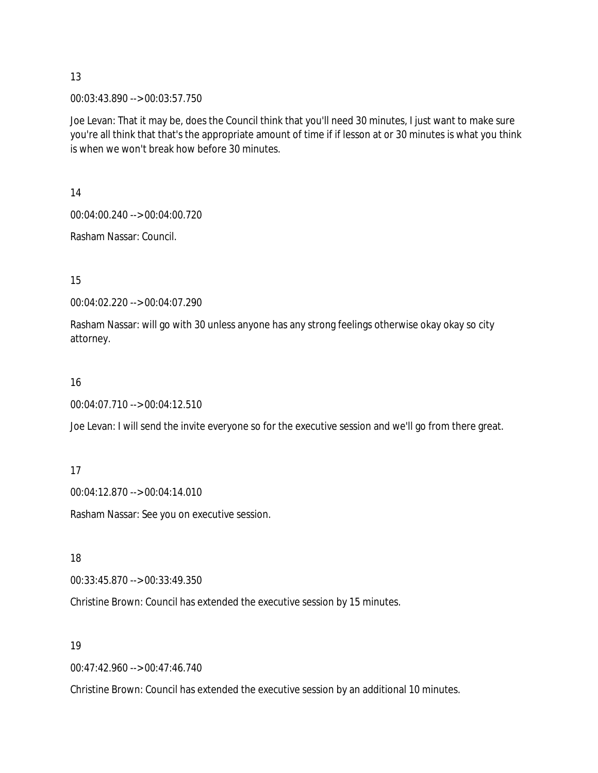00:03:43.890 --> 00:03:57.750

Joe Levan: That it may be, does the Council think that you'll need 30 minutes, I just want to make sure you're all think that that's the appropriate amount of time if if lesson at or 30 minutes is what you think is when we won't break how before 30 minutes.

14

00:04:00.240 --> 00:04:00.720

Rasham Nassar: Council.

15

00:04:02.220 --> 00:04:07.290

Rasham Nassar: will go with 30 unless anyone has any strong feelings otherwise okay okay so city attorney.

16

00:04:07.710 --> 00:04:12.510

Joe Levan: I will send the invite everyone so for the executive session and we'll go from there great.

17

00:04:12.870 --> 00:04:14.010

Rasham Nassar: See you on executive session.

18

00:33:45.870 --> 00:33:49.350

Christine Brown: Council has extended the executive session by 15 minutes.

19

00:47:42.960 --> 00:47:46.740

Christine Brown: Council has extended the executive session by an additional 10 minutes.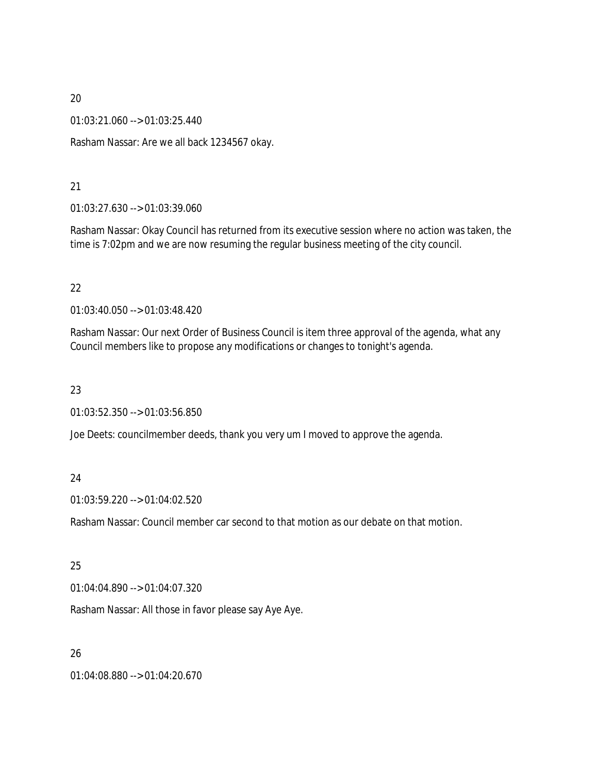01:03:21.060 --> 01:03:25.440

Rasham Nassar: Are we all back 1234567 okay.

### 21

01:03:27.630 --> 01:03:39.060

Rasham Nassar: Okay Council has returned from its executive session where no action was taken, the time is 7:02pm and we are now resuming the regular business meeting of the city council.

### 22

01:03:40.050 --> 01:03:48.420

Rasham Nassar: Our next Order of Business Council is item three approval of the agenda, what any Council members like to propose any modifications or changes to tonight's agenda.

### 23

01:03:52.350 --> 01:03:56.850

Joe Deets: councilmember deeds, thank you very um I moved to approve the agenda.

## 24

01:03:59.220 --> 01:04:02.520

Rasham Nassar: Council member car second to that motion as our debate on that motion.

### 25

01:04:04.890 --> 01:04:07.320

Rasham Nassar: All those in favor please say Aye Aye.

### 26

01:04:08.880 --> 01:04:20.670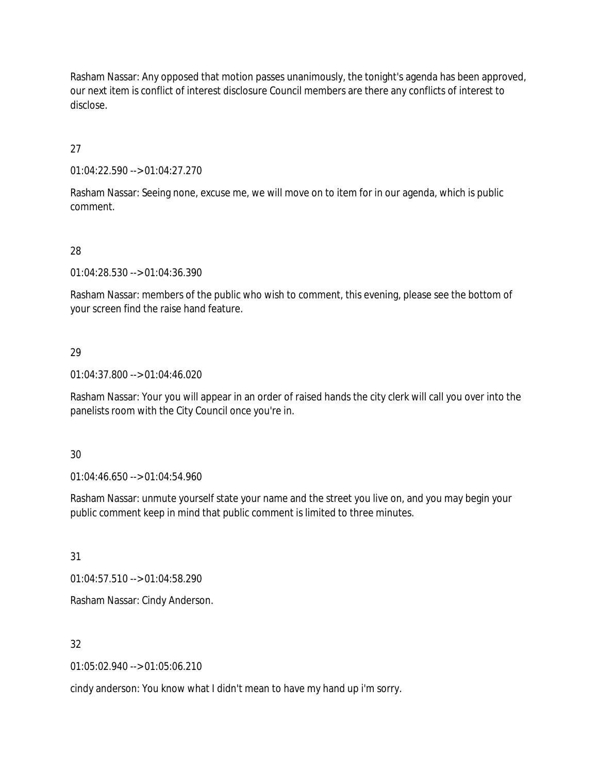Rasham Nassar: Any opposed that motion passes unanimously, the tonight's agenda has been approved, our next item is conflict of interest disclosure Council members are there any conflicts of interest to disclose.

27

01:04:22.590 --> 01:04:27.270

Rasham Nassar: Seeing none, excuse me, we will move on to item for in our agenda, which is public comment.

## 28

01:04:28.530 --> 01:04:36.390

Rasham Nassar: members of the public who wish to comment, this evening, please see the bottom of your screen find the raise hand feature.

### 29

01:04:37.800 --> 01:04:46.020

Rasham Nassar: Your you will appear in an order of raised hands the city clerk will call you over into the panelists room with the City Council once you're in.

### 30

01:04:46.650 --> 01:04:54.960

Rasham Nassar: unmute yourself state your name and the street you live on, and you may begin your public comment keep in mind that public comment is limited to three minutes.

31

01:04:57.510 --> 01:04:58.290

Rasham Nassar: Cindy Anderson.

## 32

01:05:02.940 --> 01:05:06.210

cindy anderson: You know what I didn't mean to have my hand up i'm sorry.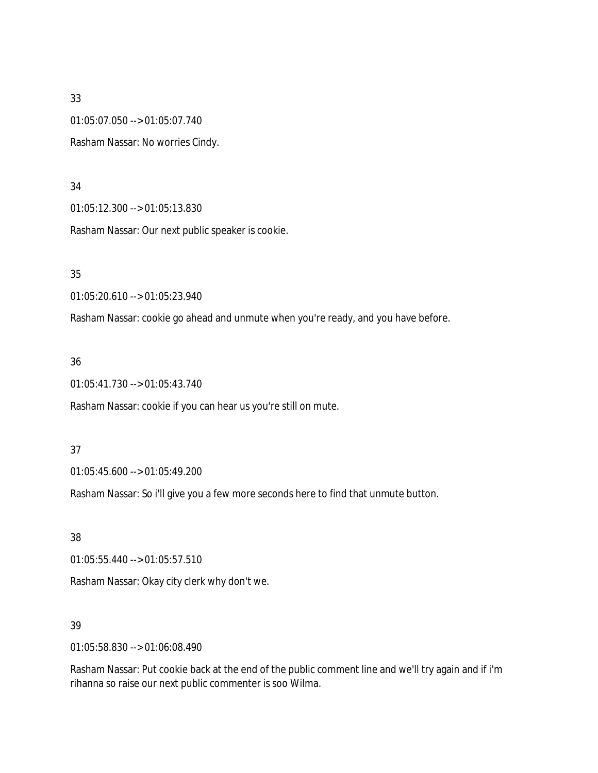01:05:07.050 --> 01:05:07.740

Rasham Nassar: No worries Cindy.

#### 34

01:05:12.300 --> 01:05:13.830

Rasham Nassar: Our next public speaker is cookie.

35

01:05:20.610 --> 01:05:23.940

Rasham Nassar: cookie go ahead and unmute when you're ready, and you have before.

### 36

01:05:41.730 --> 01:05:43.740

Rasham Nassar: cookie if you can hear us you're still on mute.

### 37

01:05:45.600 --> 01:05:49.200

Rasham Nassar: So i'll give you a few more seconds here to find that unmute button.

38

01:05:55.440 --> 01:05:57.510

Rasham Nassar: Okay city clerk why don't we.

## 39

01:05:58.830 --> 01:06:08.490

Rasham Nassar: Put cookie back at the end of the public comment line and we'll try again and if i'm rihanna so raise our next public commenter is soo Wilma.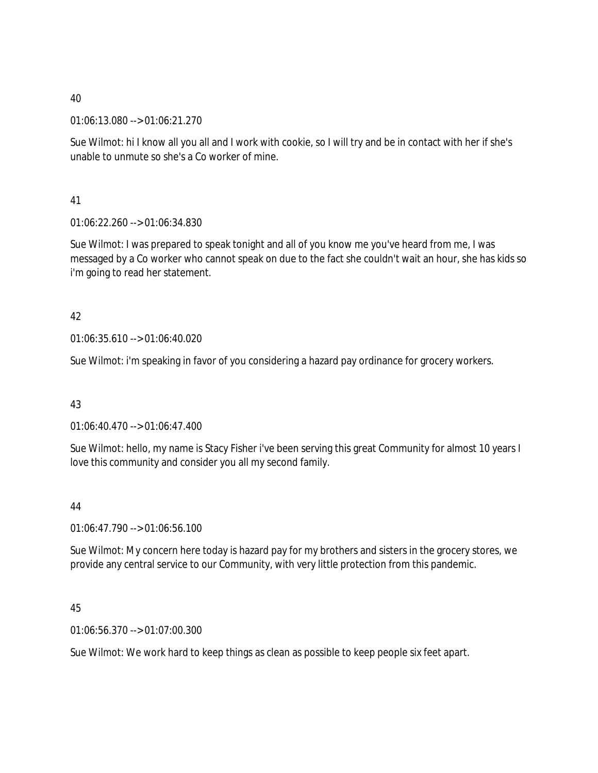01:06:13.080 --> 01:06:21.270

Sue Wilmot: hi I know all you all and I work with cookie, so I will try and be in contact with her if she's unable to unmute so she's a Co worker of mine.

41

01:06:22.260 --> 01:06:34.830

Sue Wilmot: I was prepared to speak tonight and all of you know me you've heard from me, I was messaged by a Co worker who cannot speak on due to the fact she couldn't wait an hour, she has kids so i'm going to read her statement.

## 42

01:06:35.610 --> 01:06:40.020

Sue Wilmot: i'm speaking in favor of you considering a hazard pay ordinance for grocery workers.

## 43

01:06:40.470 --> 01:06:47.400

Sue Wilmot: hello, my name is Stacy Fisher i've been serving this great Community for almost 10 years I love this community and consider you all my second family.

## 44

01:06:47.790 --> 01:06:56.100

Sue Wilmot: My concern here today is hazard pay for my brothers and sisters in the grocery stores, we provide any central service to our Community, with very little protection from this pandemic.

## 45

01:06:56.370 --> 01:07:00.300

Sue Wilmot: We work hard to keep things as clean as possible to keep people six feet apart.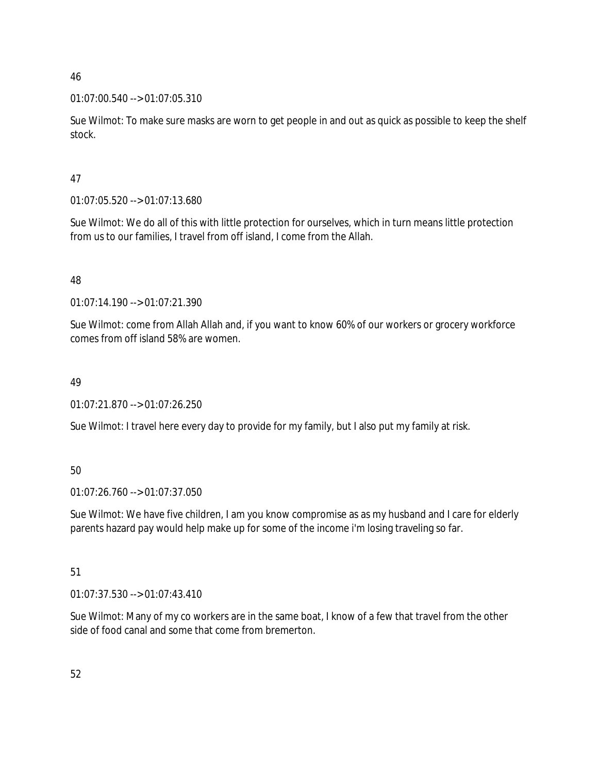## 01:07:00.540 --> 01:07:05.310

Sue Wilmot: To make sure masks are worn to get people in and out as quick as possible to keep the shelf stock.

## 47

01:07:05.520 --> 01:07:13.680

Sue Wilmot: We do all of this with little protection for ourselves, which in turn means little protection from us to our families, I travel from off island, I come from the Allah.

## 48

01:07:14.190 --> 01:07:21.390

Sue Wilmot: come from Allah Allah and, if you want to know 60% of our workers or grocery workforce comes from off island 58% are women.

## 49

01:07:21.870 --> 01:07:26.250

Sue Wilmot: I travel here every day to provide for my family, but I also put my family at risk.

## 50

01:07:26.760 --> 01:07:37.050

Sue Wilmot: We have five children, I am you know compromise as as my husband and I care for elderly parents hazard pay would help make up for some of the income i'm losing traveling so far.

## 51

01:07:37.530 --> 01:07:43.410

Sue Wilmot: Many of my co workers are in the same boat, I know of a few that travel from the other side of food canal and some that come from bremerton.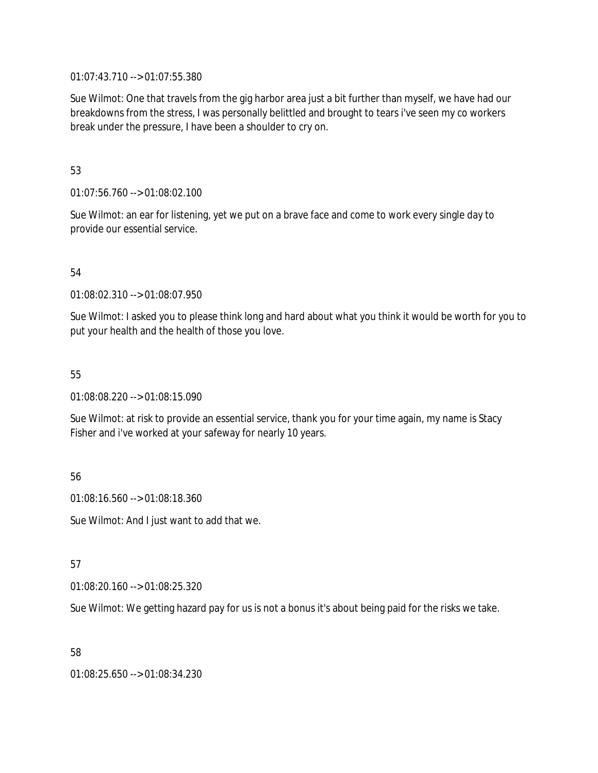01:07:43.710 --> 01:07:55.380

Sue Wilmot: One that travels from the gig harbor area just a bit further than myself, we have had our breakdowns from the stress, I was personally belittled and brought to tears i've seen my co workers break under the pressure, I have been a shoulder to cry on.

### 53

01:07:56.760 --> 01:08:02.100

Sue Wilmot: an ear for listening, yet we put on a brave face and come to work every single day to provide our essential service.

## 54

01:08:02.310 --> 01:08:07.950

Sue Wilmot: I asked you to please think long and hard about what you think it would be worth for you to put your health and the health of those you love.

### 55

01:08:08.220 --> 01:08:15.090

Sue Wilmot: at risk to provide an essential service, thank you for your time again, my name is Stacy Fisher and i've worked at your safeway for nearly 10 years.

56

01:08:16.560 --> 01:08:18.360

Sue Wilmot: And I just want to add that we.

57

01:08:20.160 --> 01:08:25.320

Sue Wilmot: We getting hazard pay for us is not a bonus it's about being paid for the risks we take.

58

01:08:25.650 --> 01:08:34.230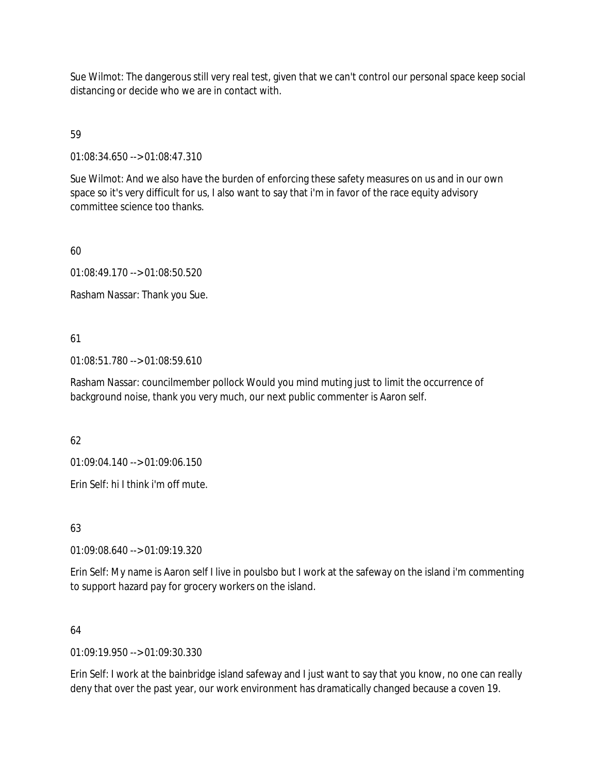Sue Wilmot: The dangerous still very real test, given that we can't control our personal space keep social distancing or decide who we are in contact with.

## 59

01:08:34.650 --> 01:08:47.310

Sue Wilmot: And we also have the burden of enforcing these safety measures on us and in our own space so it's very difficult for us, I also want to say that i'm in favor of the race equity advisory committee science too thanks.

60

01:08:49.170 --> 01:08:50.520

Rasham Nassar: Thank you Sue.

## 61

01:08:51.780 --> 01:08:59.610

Rasham Nassar: councilmember pollock Would you mind muting just to limit the occurrence of background noise, thank you very much, our next public commenter is Aaron self.

## 62

01:09:04.140 --> 01:09:06.150

Erin Self: hi I think i'm off mute.

## 63

01:09:08.640 --> 01:09:19.320

Erin Self: My name is Aaron self I live in poulsbo but I work at the safeway on the island i'm commenting to support hazard pay for grocery workers on the island.

## 64

01:09:19.950 --> 01:09:30.330

Erin Self: I work at the bainbridge island safeway and I just want to say that you know, no one can really deny that over the past year, our work environment has dramatically changed because a coven 19.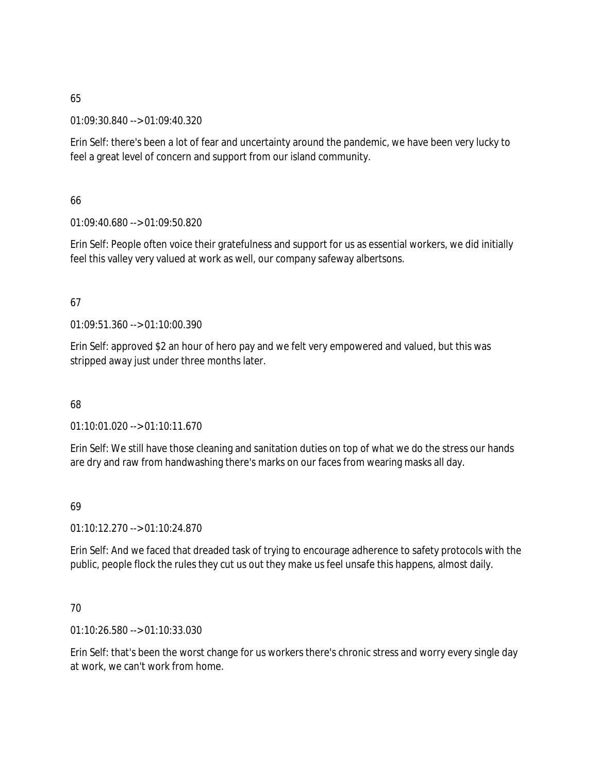01:09:30.840 --> 01:09:40.320

Erin Self: there's been a lot of fear and uncertainty around the pandemic, we have been very lucky to feel a great level of concern and support from our island community.

66

01:09:40.680 --> 01:09:50.820

Erin Self: People often voice their gratefulness and support for us as essential workers, we did initially feel this valley very valued at work as well, our company safeway albertsons.

## 67

01:09:51.360 --> 01:10:00.390

Erin Self: approved \$2 an hour of hero pay and we felt very empowered and valued, but this was stripped away just under three months later.

68

01:10:01.020 --> 01:10:11.670

Erin Self: We still have those cleaning and sanitation duties on top of what we do the stress our hands are dry and raw from handwashing there's marks on our faces from wearing masks all day.

## 69

01:10:12.270 --> 01:10:24.870

Erin Self: And we faced that dreaded task of trying to encourage adherence to safety protocols with the public, people flock the rules they cut us out they make us feel unsafe this happens, almost daily.

## 70

01:10:26.580 --> 01:10:33.030

Erin Self: that's been the worst change for us workers there's chronic stress and worry every single day at work, we can't work from home.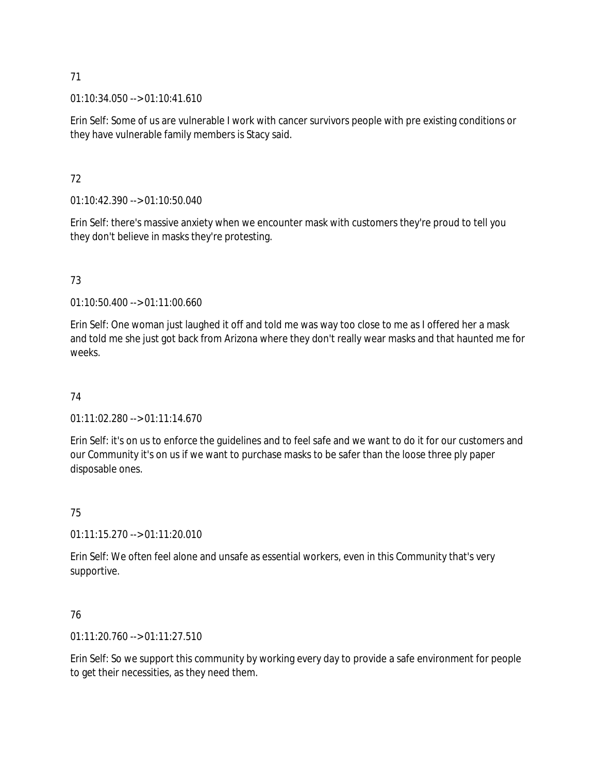$01:10:34.050 \rightarrow 01:10:41.610$ 

Erin Self: Some of us are vulnerable I work with cancer survivors people with pre existing conditions or they have vulnerable family members is Stacy said.

## 72

01:10:42.390 --> 01:10:50.040

Erin Self: there's massive anxiety when we encounter mask with customers they're proud to tell you they don't believe in masks they're protesting.

## 73

01:10:50.400 --> 01:11:00.660

Erin Self: One woman just laughed it off and told me was way too close to me as I offered her a mask and told me she just got back from Arizona where they don't really wear masks and that haunted me for weeks.

## 74

01:11:02.280 --> 01:11:14.670

Erin Self: it's on us to enforce the guidelines and to feel safe and we want to do it for our customers and our Community it's on us if we want to purchase masks to be safer than the loose three ply paper disposable ones.

## 75

01:11:15.270 --> 01:11:20.010

Erin Self: We often feel alone and unsafe as essential workers, even in this Community that's very supportive.

## 76

 $01:11:20.760 \rightarrow 01:11:27.510$ 

Erin Self: So we support this community by working every day to provide a safe environment for people to get their necessities, as they need them.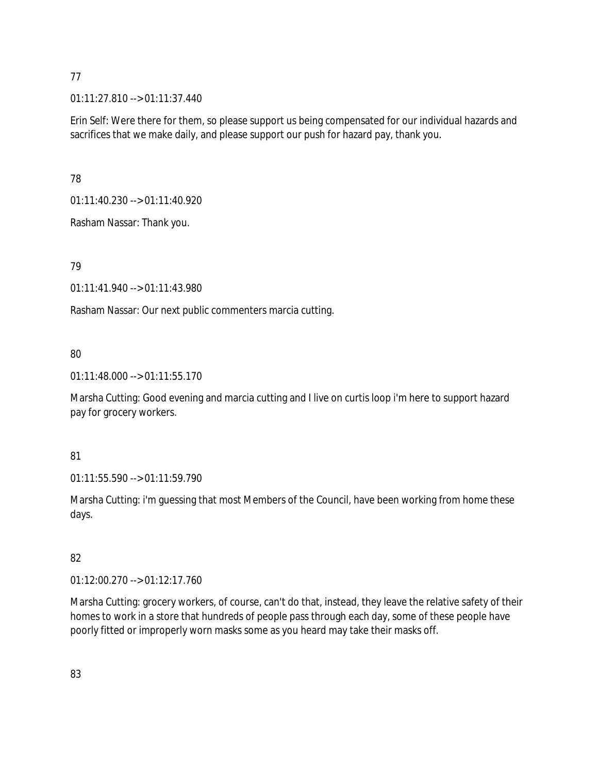01:11:27.810 --> 01:11:37.440

Erin Self: Were there for them, so please support us being compensated for our individual hazards and sacrifices that we make daily, and please support our push for hazard pay, thank you.

78

01:11:40.230 --> 01:11:40.920

Rasham Nassar: Thank you.

## 79

01:11:41.940 --> 01:11:43.980

Rasham Nassar: Our next public commenters marcia cutting.

## 80

01:11:48.000 --> 01:11:55.170

Marsha Cutting: Good evening and marcia cutting and I live on curtis loop i'm here to support hazard pay for grocery workers.

## 81

01:11:55.590 --> 01:11:59.790

Marsha Cutting: i'm guessing that most Members of the Council, have been working from home these days.

# 82

01:12:00.270 --> 01:12:17.760

Marsha Cutting: grocery workers, of course, can't do that, instead, they leave the relative safety of their homes to work in a store that hundreds of people pass through each day, some of these people have poorly fitted or improperly worn masks some as you heard may take their masks off.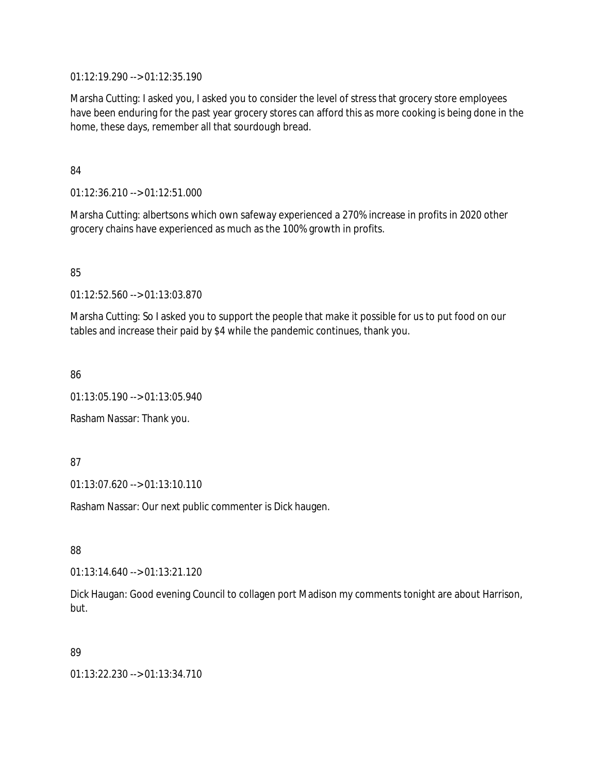01:12:19.290 --> 01:12:35.190

Marsha Cutting: I asked you, I asked you to consider the level of stress that grocery store employees have been enduring for the past year grocery stores can afford this as more cooking is being done in the home, these days, remember all that sourdough bread.

84

01:12:36.210 --> 01:12:51.000

Marsha Cutting: albertsons which own safeway experienced a 270% increase in profits in 2020 other grocery chains have experienced as much as the 100% growth in profits.

85

01:12:52.560 --> 01:13:03.870

Marsha Cutting: So I asked you to support the people that make it possible for us to put food on our tables and increase their paid by \$4 while the pandemic continues, thank you.

86

01:13:05.190 --> 01:13:05.940

Rasham Nassar: Thank you.

## 87

01:13:07.620 --> 01:13:10.110

Rasham Nassar: Our next public commenter is Dick haugen.

88

 $01:13:14.640 \rightarrow 01:13:21.120$ 

Dick Haugan: Good evening Council to collagen port Madison my comments tonight are about Harrison, but.

## 89

01:13:22.230 --> 01:13:34.710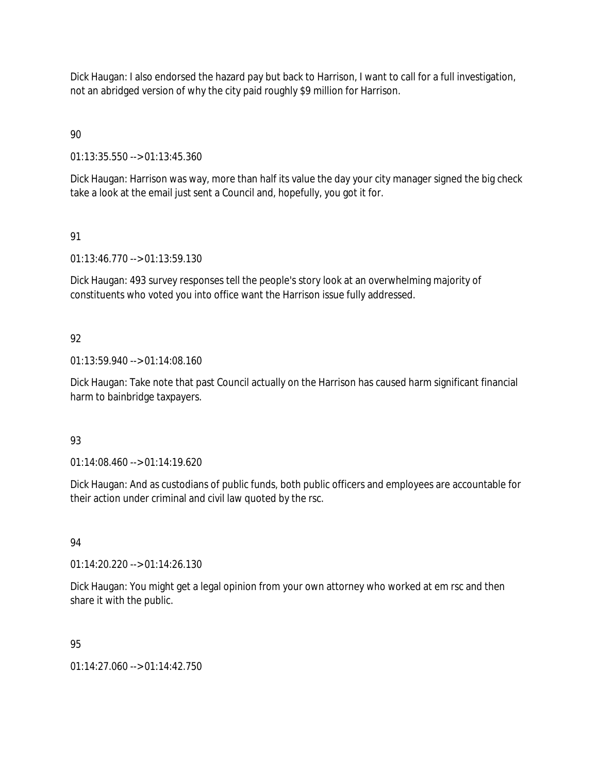Dick Haugan: I also endorsed the hazard pay but back to Harrison, I want to call for a full investigation, not an abridged version of why the city paid roughly \$9 million for Harrison.

90

01:13:35.550 --> 01:13:45.360

Dick Haugan: Harrison was way, more than half its value the day your city manager signed the big check take a look at the email just sent a Council and, hopefully, you got it for.

91

01:13:46.770 --> 01:13:59.130

Dick Haugan: 493 survey responses tell the people's story look at an overwhelming majority of constituents who voted you into office want the Harrison issue fully addressed.

## 92

01:13:59.940 --> 01:14:08.160

Dick Haugan: Take note that past Council actually on the Harrison has caused harm significant financial harm to bainbridge taxpayers.

## 93

01:14:08.460 --> 01:14:19.620

Dick Haugan: And as custodians of public funds, both public officers and employees are accountable for their action under criminal and civil law quoted by the rsc.

## 94

01:14:20.220 --> 01:14:26.130

Dick Haugan: You might get a legal opinion from your own attorney who worked at em rsc and then share it with the public.

## 95

01:14:27.060 --> 01:14:42.750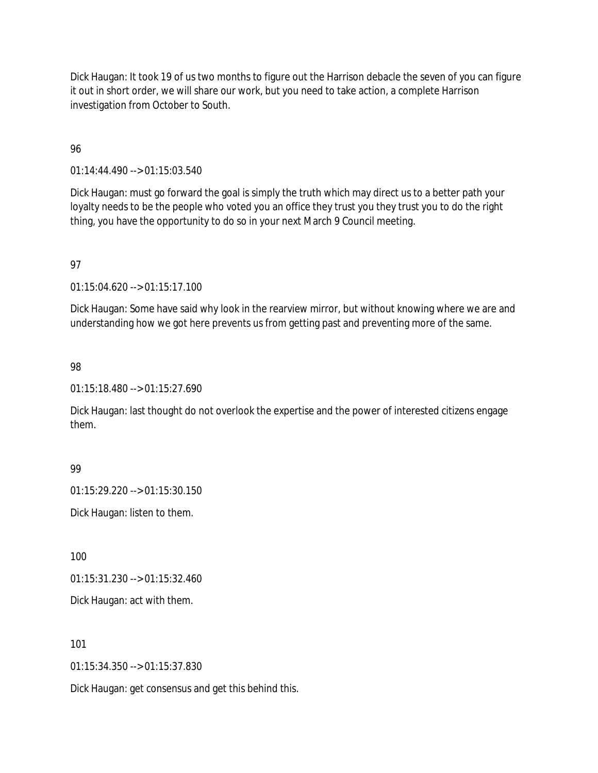Dick Haugan: It took 19 of us two months to figure out the Harrison debacle the seven of you can figure it out in short order, we will share our work, but you need to take action, a complete Harrison investigation from October to South.

## 96

01:14:44.490 --> 01:15:03.540

Dick Haugan: must go forward the goal is simply the truth which may direct us to a better path your loyalty needs to be the people who voted you an office they trust you they trust you to do the right thing, you have the opportunity to do so in your next March 9 Council meeting.

## 97

01:15:04.620 --> 01:15:17.100

Dick Haugan: Some have said why look in the rearview mirror, but without knowing where we are and understanding how we got here prevents us from getting past and preventing more of the same.

## 98

01:15:18.480 --> 01:15:27.690

Dick Haugan: last thought do not overlook the expertise and the power of interested citizens engage them.

## 99

01:15:29.220 --> 01:15:30.150

Dick Haugan: listen to them.

100

01:15:31.230 --> 01:15:32.460

Dick Haugan: act with them.

## 101

01:15:34.350 --> 01:15:37.830

Dick Haugan: get consensus and get this behind this.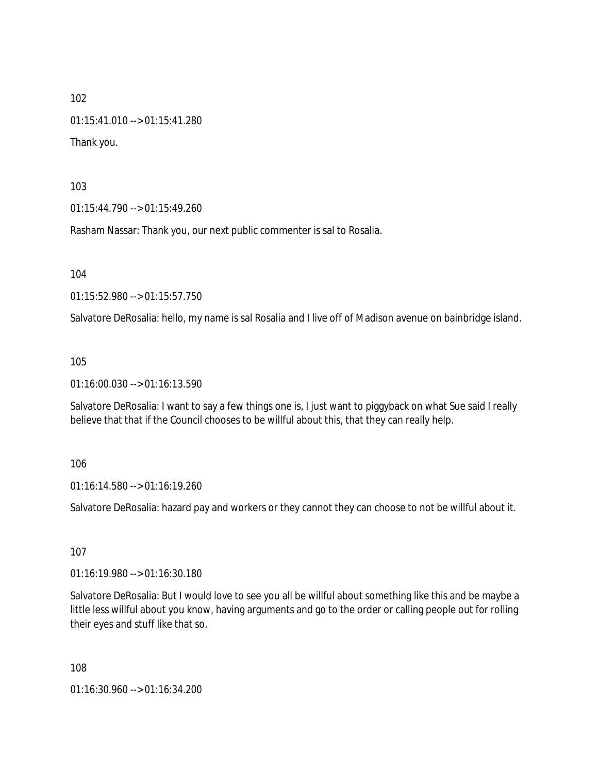01:15:41.010 --> 01:15:41.280

Thank you.

103

01:15:44.790 --> 01:15:49.260

Rasham Nassar: Thank you, our next public commenter is sal to Rosalia.

104

01:15:52.980 --> 01:15:57.750

Salvatore DeRosalia: hello, my name is sal Rosalia and I live off of Madison avenue on bainbridge island.

105

01:16:00.030 --> 01:16:13.590

Salvatore DeRosalia: I want to say a few things one is, I just want to piggyback on what Sue said I really believe that that if the Council chooses to be willful about this, that they can really help.

106

01:16:14.580 --> 01:16:19.260

Salvatore DeRosalia: hazard pay and workers or they cannot they can choose to not be willful about it.

107

01:16:19.980 --> 01:16:30.180

Salvatore DeRosalia: But I would love to see you all be willful about something like this and be maybe a little less willful about you know, having arguments and go to the order or calling people out for rolling their eyes and stuff like that so.

108

01:16:30.960 --> 01:16:34.200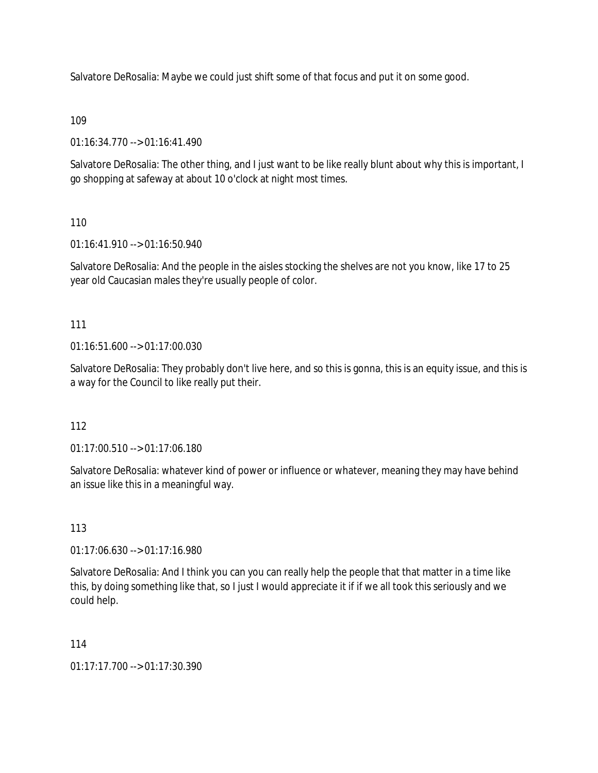Salvatore DeRosalia: Maybe we could just shift some of that focus and put it on some good.

## 109

01:16:34.770 --> 01:16:41.490

Salvatore DeRosalia: The other thing, and I just want to be like really blunt about why this is important, I go shopping at safeway at about 10 o'clock at night most times.

## 110

01:16:41.910 --> 01:16:50.940

Salvatore DeRosalia: And the people in the aisles stocking the shelves are not you know, like 17 to 25 year old Caucasian males they're usually people of color.

## 111

01:16:51.600 --> 01:17:00.030

Salvatore DeRosalia: They probably don't live here, and so this is gonna, this is an equity issue, and this is a way for the Council to like really put their.

## 112

01:17:00.510 --> 01:17:06.180

Salvatore DeRosalia: whatever kind of power or influence or whatever, meaning they may have behind an issue like this in a meaningful way.

## 113

01:17:06.630 --> 01:17:16.980

Salvatore DeRosalia: And I think you can you can really help the people that that matter in a time like this, by doing something like that, so I just I would appreciate it if if we all took this seriously and we could help.

## 114

01:17:17.700 --> 01:17:30.390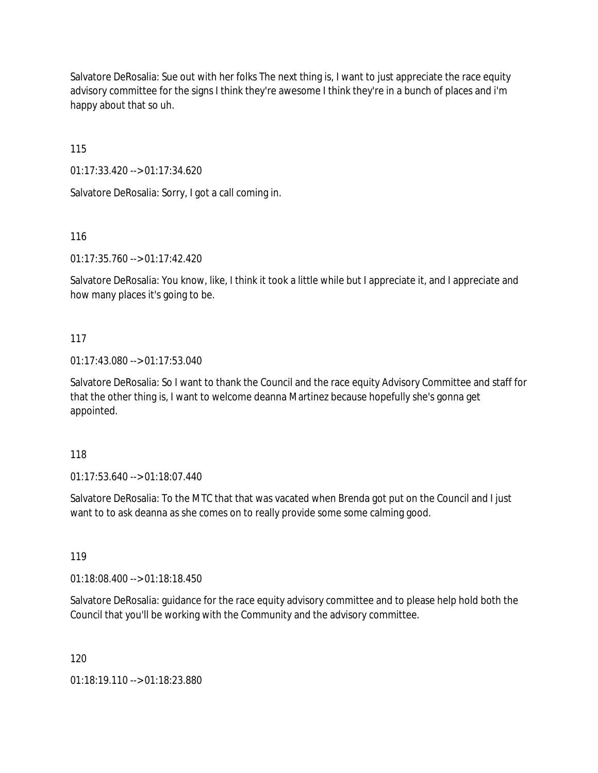Salvatore DeRosalia: Sue out with her folks The next thing is, I want to just appreciate the race equity advisory committee for the signs I think they're awesome I think they're in a bunch of places and i'm happy about that so uh.

115

01:17:33.420 --> 01:17:34.620

Salvatore DeRosalia: Sorry, I got a call coming in.

116

01:17:35.760 --> 01:17:42.420

Salvatore DeRosalia: You know, like, I think it took a little while but I appreciate it, and I appreciate and how many places it's going to be.

### 117

01:17:43.080 --> 01:17:53.040

Salvatore DeRosalia: So I want to thank the Council and the race equity Advisory Committee and staff for that the other thing is, I want to welcome deanna Martinez because hopefully she's gonna get appointed.

### 118

01:17:53.640 --> 01:18:07.440

Salvatore DeRosalia: To the MTC that that was vacated when Brenda got put on the Council and I just want to to ask deanna as she comes on to really provide some some calming good.

119

01:18:08.400 --> 01:18:18.450

Salvatore DeRosalia: guidance for the race equity advisory committee and to please help hold both the Council that you'll be working with the Community and the advisory committee.

120

01:18:19.110 --> 01:18:23.880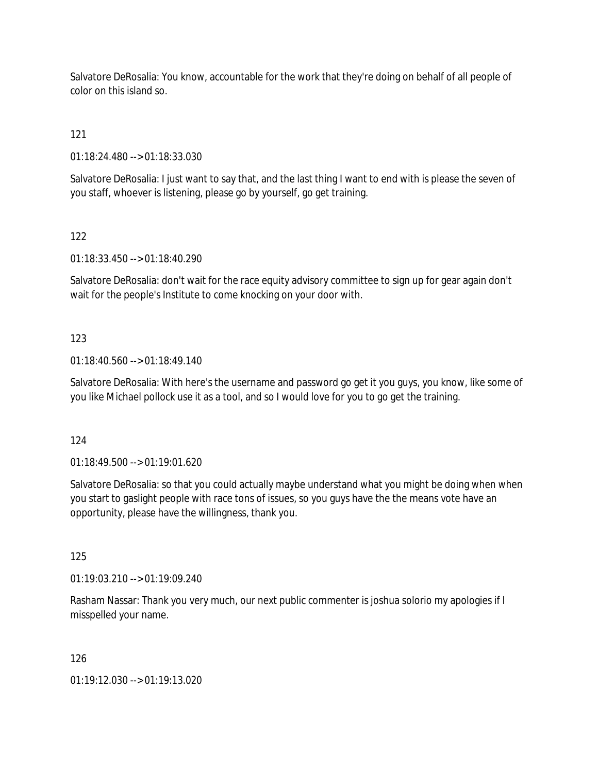Salvatore DeRosalia: You know, accountable for the work that they're doing on behalf of all people of color on this island so.

121

01:18:24.480 --> 01:18:33.030

Salvatore DeRosalia: I just want to say that, and the last thing I want to end with is please the seven of you staff, whoever is listening, please go by yourself, go get training.

122

01:18:33.450 --> 01:18:40.290

Salvatore DeRosalia: don't wait for the race equity advisory committee to sign up for gear again don't wait for the people's Institute to come knocking on your door with.

### 123

01:18:40.560 --> 01:18:49.140

Salvatore DeRosalia: With here's the username and password go get it you guys, you know, like some of you like Michael pollock use it as a tool, and so I would love for you to go get the training.

124

01:18:49.500 --> 01:19:01.620

Salvatore DeRosalia: so that you could actually maybe understand what you might be doing when when you start to gaslight people with race tons of issues, so you guys have the the means vote have an opportunity, please have the willingness, thank you.

125

01:19:03.210 --> 01:19:09.240

Rasham Nassar: Thank you very much, our next public commenter is joshua solorio my apologies if I misspelled your name.

126

01:19:12.030 --> 01:19:13.020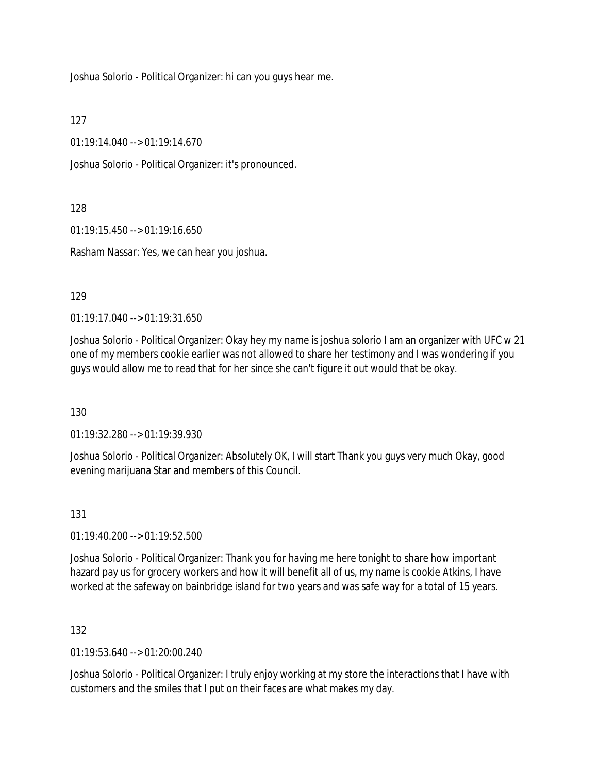Joshua Solorio - Political Organizer: hi can you guys hear me.

127

01:19:14.040 --> 01:19:14.670

Joshua Solorio - Political Organizer: it's pronounced.

128

01:19:15.450 --> 01:19:16.650

Rasham Nassar: Yes, we can hear you joshua.

129

01:19:17.040 --> 01:19:31.650

Joshua Solorio - Political Organizer: Okay hey my name is joshua solorio I am an organizer with UFC w 21 one of my members cookie earlier was not allowed to share her testimony and I was wondering if you guys would allow me to read that for her since she can't figure it out would that be okay.

130

01:19:32.280 --> 01:19:39.930

Joshua Solorio - Political Organizer: Absolutely OK, I will start Thank you guys very much Okay, good evening marijuana Star and members of this Council.

131

01:19:40.200 --> 01:19:52.500

Joshua Solorio - Political Organizer: Thank you for having me here tonight to share how important hazard pay us for grocery workers and how it will benefit all of us, my name is cookie Atkins, I have worked at the safeway on bainbridge island for two years and was safe way for a total of 15 years.

132

01:19:53.640 --> 01:20:00.240

Joshua Solorio - Political Organizer: I truly enjoy working at my store the interactions that I have with customers and the smiles that I put on their faces are what makes my day.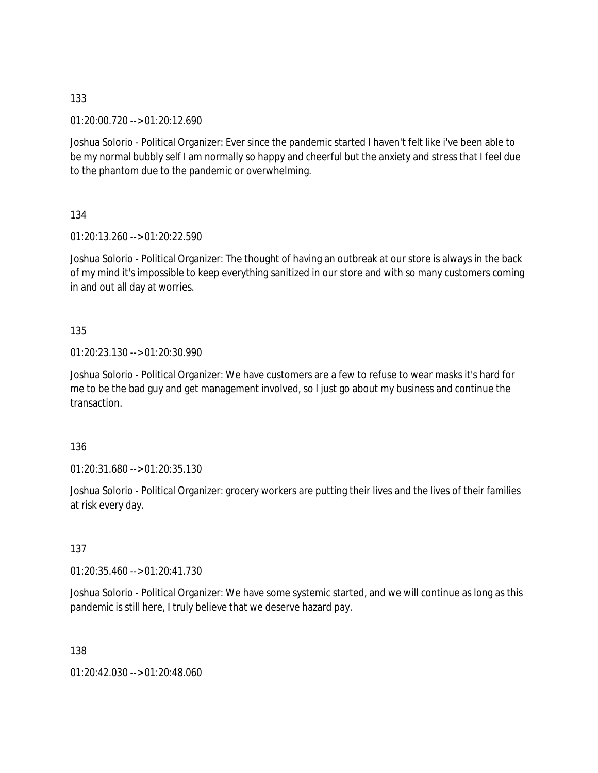01:20:00.720 --> 01:20:12.690

Joshua Solorio - Political Organizer: Ever since the pandemic started I haven't felt like i've been able to be my normal bubbly self I am normally so happy and cheerful but the anxiety and stress that I feel due to the phantom due to the pandemic or overwhelming.

134

01:20:13.260 --> 01:20:22.590

Joshua Solorio - Political Organizer: The thought of having an outbreak at our store is always in the back of my mind it's impossible to keep everything sanitized in our store and with so many customers coming in and out all day at worries.

135

01:20:23.130 --> 01:20:30.990

Joshua Solorio - Political Organizer: We have customers are a few to refuse to wear masks it's hard for me to be the bad guy and get management involved, so I just go about my business and continue the transaction.

136

01:20:31.680 --> 01:20:35.130

Joshua Solorio - Political Organizer: grocery workers are putting their lives and the lives of their families at risk every day.

137

01:20:35.460 --> 01:20:41.730

Joshua Solorio - Political Organizer: We have some systemic started, and we will continue as long as this pandemic is still here, I truly believe that we deserve hazard pay.

138

01:20:42.030 --> 01:20:48.060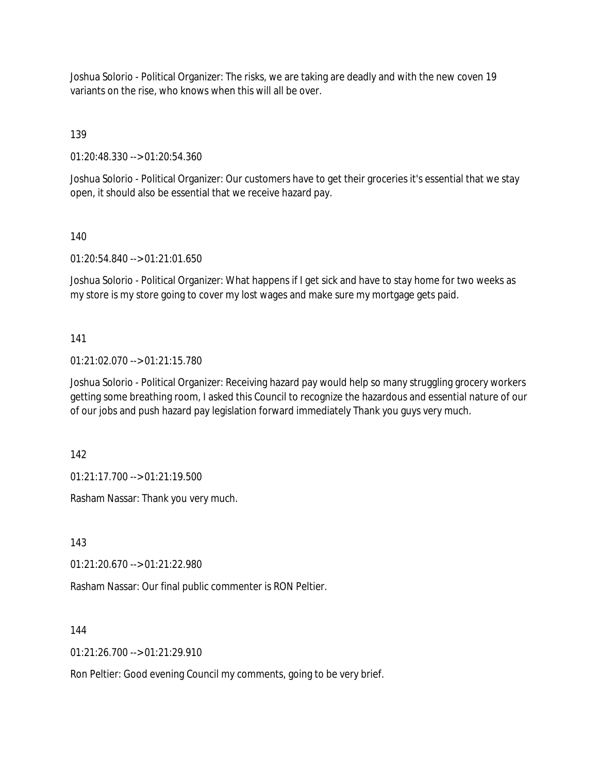Joshua Solorio - Political Organizer: The risks, we are taking are deadly and with the new coven 19 variants on the rise, who knows when this will all be over.

139

01:20:48.330 --> 01:20:54.360

Joshua Solorio - Political Organizer: Our customers have to get their groceries it's essential that we stay open, it should also be essential that we receive hazard pay.

140

01:20:54.840 --> 01:21:01.650

Joshua Solorio - Political Organizer: What happens if I get sick and have to stay home for two weeks as my store is my store going to cover my lost wages and make sure my mortgage gets paid.

141

01:21:02.070 --> 01:21:15.780

Joshua Solorio - Political Organizer: Receiving hazard pay would help so many struggling grocery workers getting some breathing room, I asked this Council to recognize the hazardous and essential nature of our of our jobs and push hazard pay legislation forward immediately Thank you guys very much.

142

01:21:17.700 --> 01:21:19.500

Rasham Nassar: Thank you very much.

143

01:21:20.670 --> 01:21:22.980

Rasham Nassar: Our final public commenter is RON Peltier.

144

 $01:21:26.700 \rightarrow 01:21:29.910$ 

Ron Peltier: Good evening Council my comments, going to be very brief.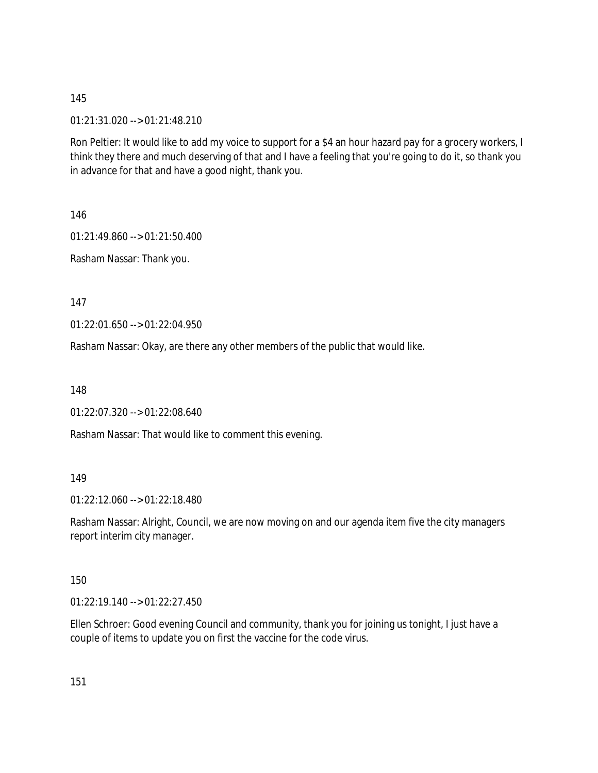01:21:31.020 --> 01:21:48.210

Ron Peltier: It would like to add my voice to support for a \$4 an hour hazard pay for a grocery workers, I think they there and much deserving of that and I have a feeling that you're going to do it, so thank you in advance for that and have a good night, thank you.

146

01:21:49.860 --> 01:21:50.400

Rasham Nassar: Thank you.

147

01:22:01.650 --> 01:22:04.950

Rasham Nassar: Okay, are there any other members of the public that would like.

148

01:22:07.320 --> 01:22:08.640

Rasham Nassar: That would like to comment this evening.

149

01:22:12.060 --> 01:22:18.480

Rasham Nassar: Alright, Council, we are now moving on and our agenda item five the city managers report interim city manager.

150

01:22:19.140 --> 01:22:27.450

Ellen Schroer: Good evening Council and community, thank you for joining us tonight, I just have a couple of items to update you on first the vaccine for the code virus.

151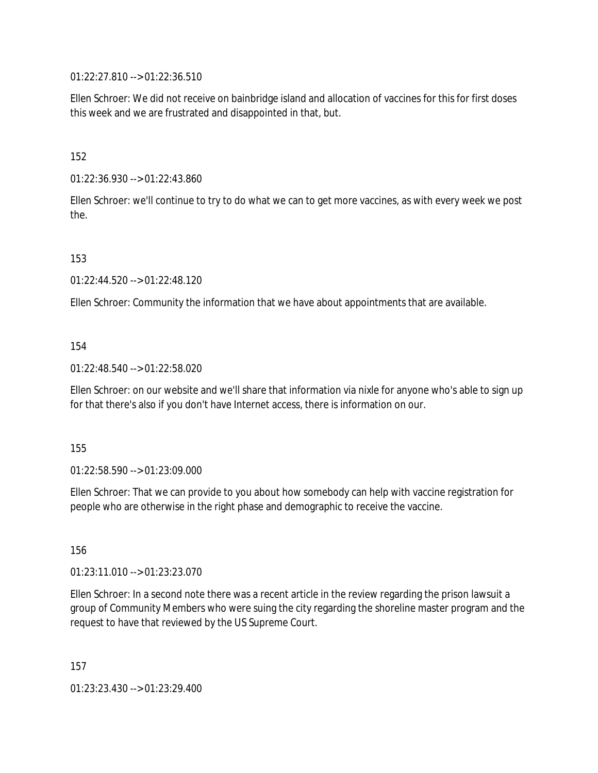01:22:27.810 --> 01:22:36.510

Ellen Schroer: We did not receive on bainbridge island and allocation of vaccines for this for first doses this week and we are frustrated and disappointed in that, but.

152

01:22:36.930 --> 01:22:43.860

Ellen Schroer: we'll continue to try to do what we can to get more vaccines, as with every week we post the.

153

01:22:44.520 --> 01:22:48.120

Ellen Schroer: Community the information that we have about appointments that are available.

### 154

01:22:48.540 --> 01:22:58.020

Ellen Schroer: on our website and we'll share that information via nixle for anyone who's able to sign up for that there's also if you don't have Internet access, there is information on our.

155

01:22:58.590 --> 01:23:09.000

Ellen Schroer: That we can provide to you about how somebody can help with vaccine registration for people who are otherwise in the right phase and demographic to receive the vaccine.

156

01:23:11.010 --> 01:23:23.070

Ellen Schroer: In a second note there was a recent article in the review regarding the prison lawsuit a group of Community Members who were suing the city regarding the shoreline master program and the request to have that reviewed by the US Supreme Court.

157

01:23:23.430 --> 01:23:29.400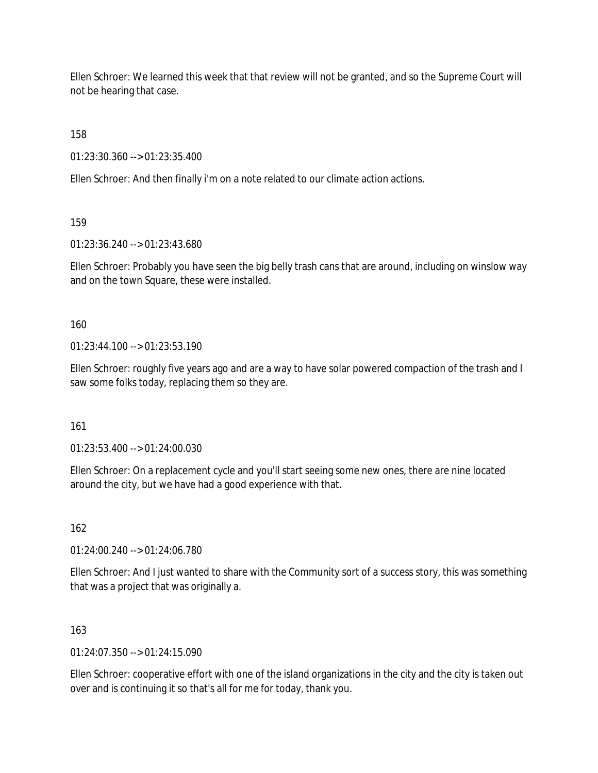Ellen Schroer: We learned this week that that review will not be granted, and so the Supreme Court will not be hearing that case.

158

01:23:30.360 --> 01:23:35.400

Ellen Schroer: And then finally i'm on a note related to our climate action actions.

159

01:23:36.240 --> 01:23:43.680

Ellen Schroer: Probably you have seen the big belly trash cans that are around, including on winslow way and on the town Square, these were installed.

160

 $01:23:44:100 \rightarrow 01:23:53:190$ 

Ellen Schroer: roughly five years ago and are a way to have solar powered compaction of the trash and I saw some folks today, replacing them so they are.

161

01:23:53.400 --> 01:24:00.030

Ellen Schroer: On a replacement cycle and you'll start seeing some new ones, there are nine located around the city, but we have had a good experience with that.

162

01:24:00.240 --> 01:24:06.780

Ellen Schroer: And I just wanted to share with the Community sort of a success story, this was something that was a project that was originally a.

163

 $01:24:07.350 \rightarrow 01:24:15.090$ 

Ellen Schroer: cooperative effort with one of the island organizations in the city and the city is taken out over and is continuing it so that's all for me for today, thank you.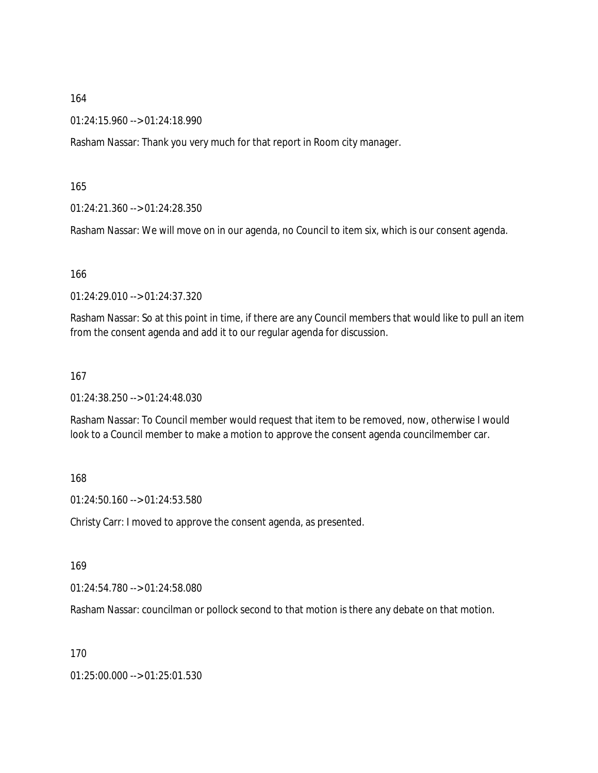01:24:15.960 --> 01:24:18.990

Rasham Nassar: Thank you very much for that report in Room city manager.

165

01:24:21.360 --> 01:24:28.350

Rasham Nassar: We will move on in our agenda, no Council to item six, which is our consent agenda.

166

01:24:29.010 --> 01:24:37.320

Rasham Nassar: So at this point in time, if there are any Council members that would like to pull an item from the consent agenda and add it to our regular agenda for discussion.

167

01:24:38.250 --> 01:24:48.030

Rasham Nassar: To Council member would request that item to be removed, now, otherwise I would look to a Council member to make a motion to approve the consent agenda councilmember car.

168

01:24:50.160 --> 01:24:53.580

Christy Carr: I moved to approve the consent agenda, as presented.

169

01:24:54.780 --> 01:24:58.080

Rasham Nassar: councilman or pollock second to that motion is there any debate on that motion.

170

01:25:00.000 --> 01:25:01.530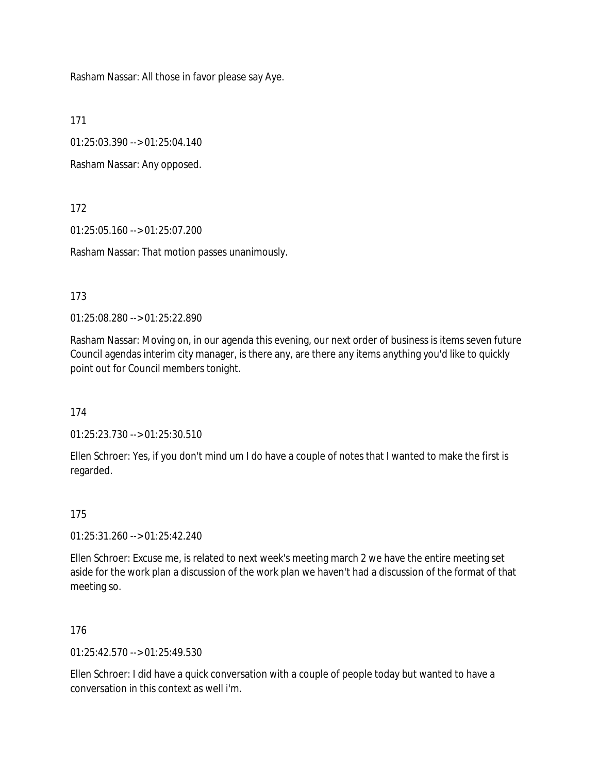Rasham Nassar: All those in favor please say Aye.

171

01:25:03.390 --> 01:25:04.140

Rasham Nassar: Any opposed.

172

01:25:05.160 --> 01:25:07.200

Rasham Nassar: That motion passes unanimously.

173

01:25:08.280 --> 01:25:22.890

Rasham Nassar: Moving on, in our agenda this evening, our next order of business is items seven future Council agendas interim city manager, is there any, are there any items anything you'd like to quickly point out for Council members tonight.

174

01:25:23.730 --> 01:25:30.510

Ellen Schroer: Yes, if you don't mind um I do have a couple of notes that I wanted to make the first is regarded.

175

01:25:31.260 --> 01:25:42.240

Ellen Schroer: Excuse me, is related to next week's meeting march 2 we have the entire meeting set aside for the work plan a discussion of the work plan we haven't had a discussion of the format of that meeting so.

176

01:25:42.570 --> 01:25:49.530

Ellen Schroer: I did have a quick conversation with a couple of people today but wanted to have a conversation in this context as well i'm.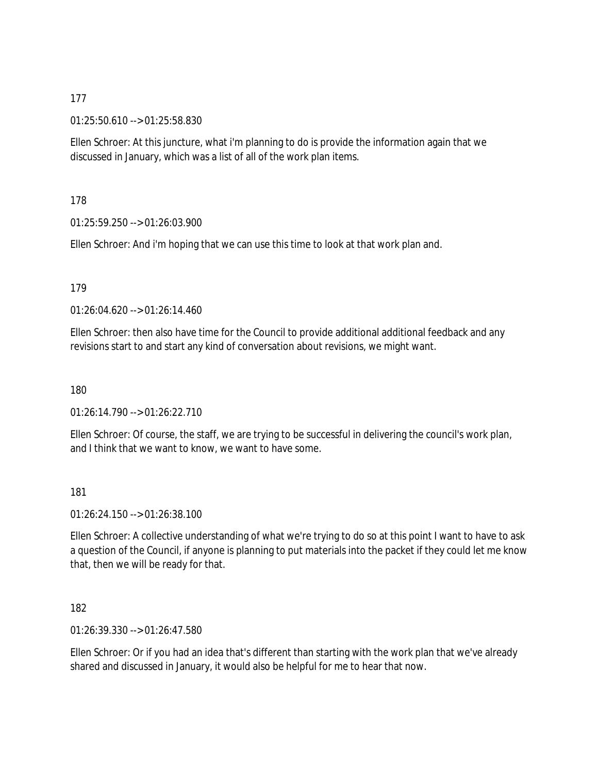01:25:50.610 --> 01:25:58.830

Ellen Schroer: At this juncture, what i'm planning to do is provide the information again that we discussed in January, which was a list of all of the work plan items.

178

01:25:59.250 --> 01:26:03.900

Ellen Schroer: And i'm hoping that we can use this time to look at that work plan and.

179

01:26:04.620 --> 01:26:14.460

Ellen Schroer: then also have time for the Council to provide additional additional feedback and any revisions start to and start any kind of conversation about revisions, we might want.

180

01:26:14.790 --> 01:26:22.710

Ellen Schroer: Of course, the staff, we are trying to be successful in delivering the council's work plan, and I think that we want to know, we want to have some.

181

01:26:24.150 --> 01:26:38.100

Ellen Schroer: A collective understanding of what we're trying to do so at this point I want to have to ask a question of the Council, if anyone is planning to put materials into the packet if they could let me know that, then we will be ready for that.

182

01:26:39.330 --> 01:26:47.580

Ellen Schroer: Or if you had an idea that's different than starting with the work plan that we've already shared and discussed in January, it would also be helpful for me to hear that now.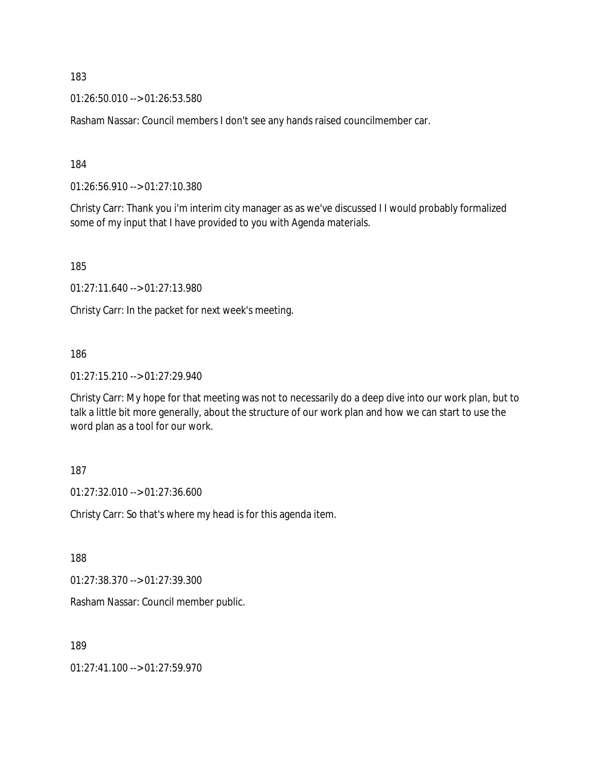01:26:50.010 --> 01:26:53.580

Rasham Nassar: Council members I don't see any hands raised councilmember car.

184

01:26:56.910 --> 01:27:10.380

Christy Carr: Thank you i'm interim city manager as as we've discussed I I would probably formalized some of my input that I have provided to you with Agenda materials.

185

01:27:11.640 --> 01:27:13.980

Christy Carr: In the packet for next week's meeting.

### 186

01:27:15.210 --> 01:27:29.940

Christy Carr: My hope for that meeting was not to necessarily do a deep dive into our work plan, but to talk a little bit more generally, about the structure of our work plan and how we can start to use the word plan as a tool for our work.

### 187

01:27:32.010 --> 01:27:36.600

Christy Carr: So that's where my head is for this agenda item.

188

01:27:38.370 --> 01:27:39.300

Rasham Nassar: Council member public.

189

01:27:41.100 --> 01:27:59.970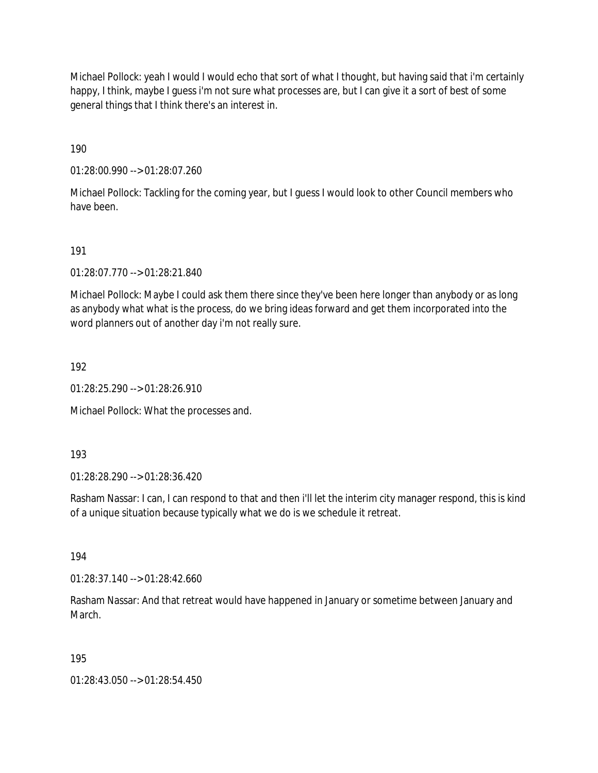Michael Pollock: yeah I would I would echo that sort of what I thought, but having said that i'm certainly happy, I think, maybe I guess i'm not sure what processes are, but I can give it a sort of best of some general things that I think there's an interest in.

190

01:28:00.990 --> 01:28:07.260

Michael Pollock: Tackling for the coming year, but I guess I would look to other Council members who have been.

191

01:28:07.770 --> 01:28:21.840

Michael Pollock: Maybe I could ask them there since they've been here longer than anybody or as long as anybody what what is the process, do we bring ideas forward and get them incorporated into the word planners out of another day i'm not really sure.

192

01:28:25.290 --> 01:28:26.910

Michael Pollock: What the processes and.

193

01:28:28.290 --> 01:28:36.420

Rasham Nassar: I can, I can respond to that and then i'll let the interim city manager respond, this is kind of a unique situation because typically what we do is we schedule it retreat.

194

01:28:37.140 --> 01:28:42.660

Rasham Nassar: And that retreat would have happened in January or sometime between January and March.

195

01:28:43.050 --> 01:28:54.450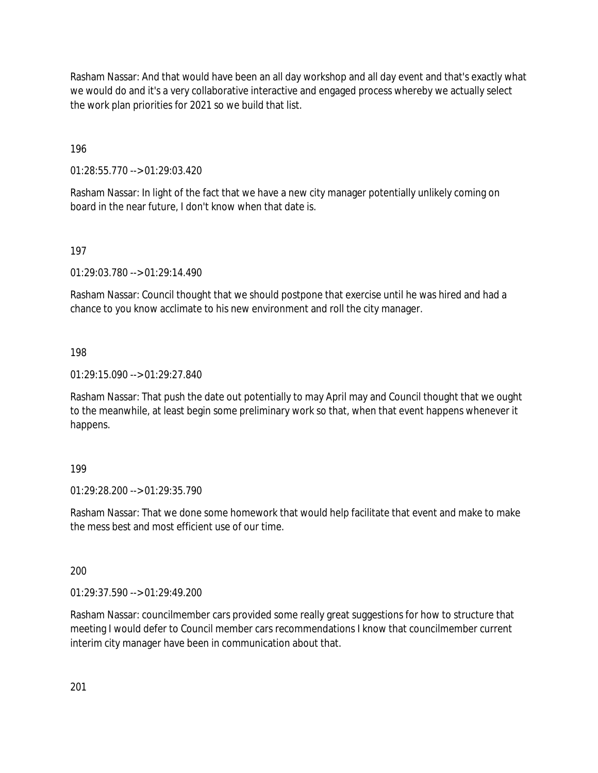Rasham Nassar: And that would have been an all day workshop and all day event and that's exactly what we would do and it's a very collaborative interactive and engaged process whereby we actually select the work plan priorities for 2021 so we build that list.

196

01:28:55.770 --> 01:29:03.420

Rasham Nassar: In light of the fact that we have a new city manager potentially unlikely coming on board in the near future, I don't know when that date is.

### 197

01:29:03.780 --> 01:29:14.490

Rasham Nassar: Council thought that we should postpone that exercise until he was hired and had a chance to you know acclimate to his new environment and roll the city manager.

### 198

01:29:15.090 --> 01:29:27.840

Rasham Nassar: That push the date out potentially to may April may and Council thought that we ought to the meanwhile, at least begin some preliminary work so that, when that event happens whenever it happens.

### 199

01:29:28.200 --> 01:29:35.790

Rasham Nassar: That we done some homework that would help facilitate that event and make to make the mess best and most efficient use of our time.

### 200

01:29:37.590 --> 01:29:49.200

Rasham Nassar: councilmember cars provided some really great suggestions for how to structure that meeting I would defer to Council member cars recommendations I know that councilmember current interim city manager have been in communication about that.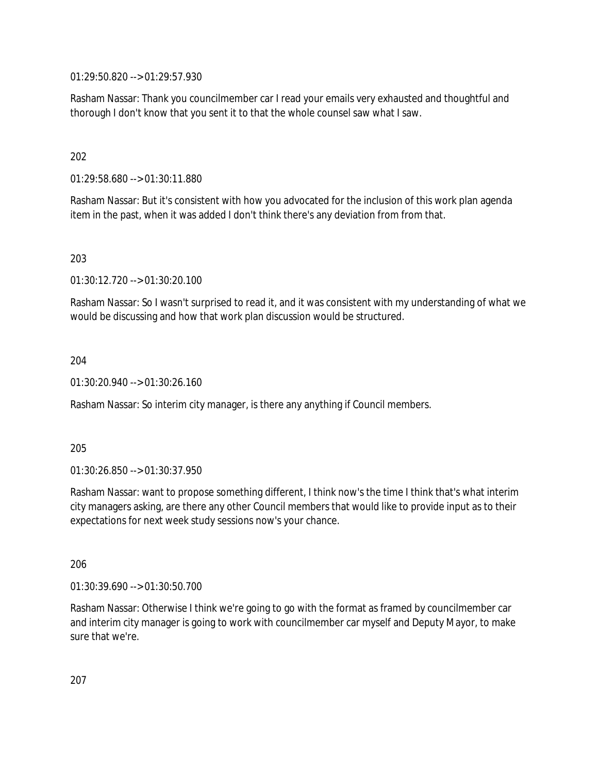01:29:50.820 --> 01:29:57.930

Rasham Nassar: Thank you councilmember car I read your emails very exhausted and thoughtful and thorough I don't know that you sent it to that the whole counsel saw what I saw.

202

01:29:58.680 --> 01:30:11.880

Rasham Nassar: But it's consistent with how you advocated for the inclusion of this work plan agenda item in the past, when it was added I don't think there's any deviation from from that.

203

01:30:12.720 --> 01:30:20.100

Rasham Nassar: So I wasn't surprised to read it, and it was consistent with my understanding of what we would be discussing and how that work plan discussion would be structured.

204

01:30:20.940 --> 01:30:26.160

Rasham Nassar: So interim city manager, is there any anything if Council members.

205

01:30:26.850 --> 01:30:37.950

Rasham Nassar: want to propose something different, I think now's the time I think that's what interim city managers asking, are there any other Council members that would like to provide input as to their expectations for next week study sessions now's your chance.

206

01:30:39.690 --> 01:30:50.700

Rasham Nassar: Otherwise I think we're going to go with the format as framed by councilmember car and interim city manager is going to work with councilmember car myself and Deputy Mayor, to make sure that we're.

207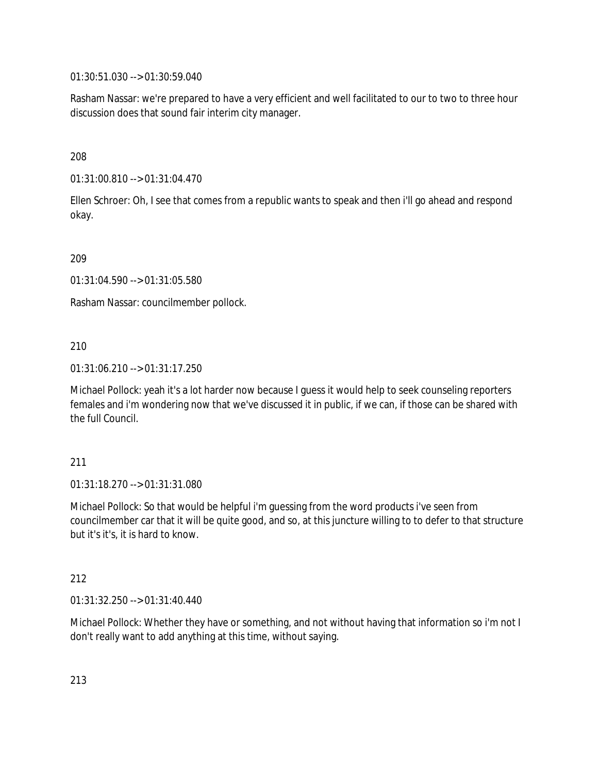01:30:51.030 --> 01:30:59.040

Rasham Nassar: we're prepared to have a very efficient and well facilitated to our to two to three hour discussion does that sound fair interim city manager.

208

01:31:00.810 --> 01:31:04.470

Ellen Schroer: Oh, I see that comes from a republic wants to speak and then i'll go ahead and respond okay.

209

01:31:04.590 --> 01:31:05.580

Rasham Nassar: councilmember pollock.

210

01:31:06.210 --> 01:31:17.250

Michael Pollock: yeah it's a lot harder now because I guess it would help to seek counseling reporters females and i'm wondering now that we've discussed it in public, if we can, if those can be shared with the full Council.

211

01:31:18.270 --> 01:31:31.080

Michael Pollock: So that would be helpful i'm guessing from the word products i've seen from councilmember car that it will be quite good, and so, at this juncture willing to to defer to that structure but it's it's, it is hard to know.

212

01:31:32.250 --> 01:31:40.440

Michael Pollock: Whether they have or something, and not without having that information so i'm not I don't really want to add anything at this time, without saying.

213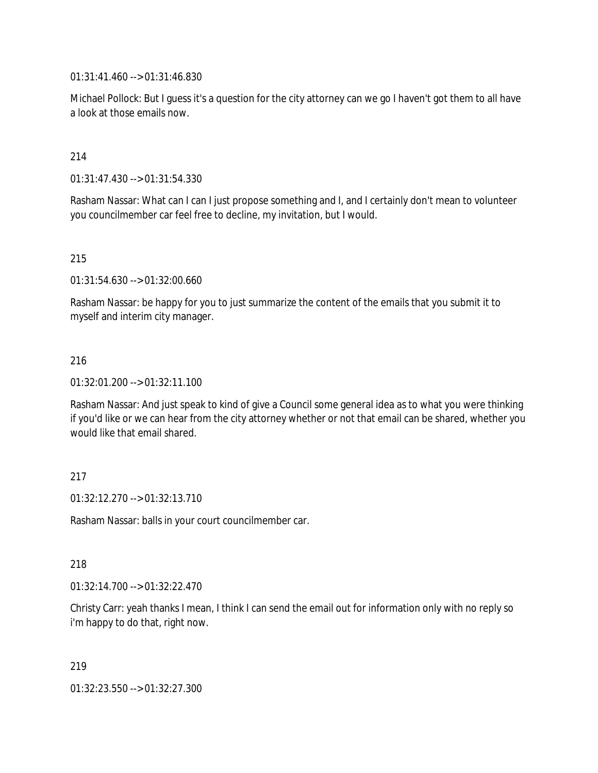01:31:41.460 --> 01:31:46.830

Michael Pollock: But I guess it's a question for the city attorney can we go I haven't got them to all have a look at those emails now.

214

01:31:47.430 --> 01:31:54.330

Rasham Nassar: What can I can I just propose something and I, and I certainly don't mean to volunteer you councilmember car feel free to decline, my invitation, but I would.

215

01:31:54.630 --> 01:32:00.660

Rasham Nassar: be happy for you to just summarize the content of the emails that you submit it to myself and interim city manager.

### 216

01:32:01.200 --> 01:32:11.100

Rasham Nassar: And just speak to kind of give a Council some general idea as to what you were thinking if you'd like or we can hear from the city attorney whether or not that email can be shared, whether you would like that email shared.

### 217

01:32:12.270 --> 01:32:13.710

Rasham Nassar: balls in your court councilmember car.

### 218

01:32:14.700 --> 01:32:22.470

Christy Carr: yeah thanks I mean, I think I can send the email out for information only with no reply so i'm happy to do that, right now.

219

01:32:23.550 --> 01:32:27.300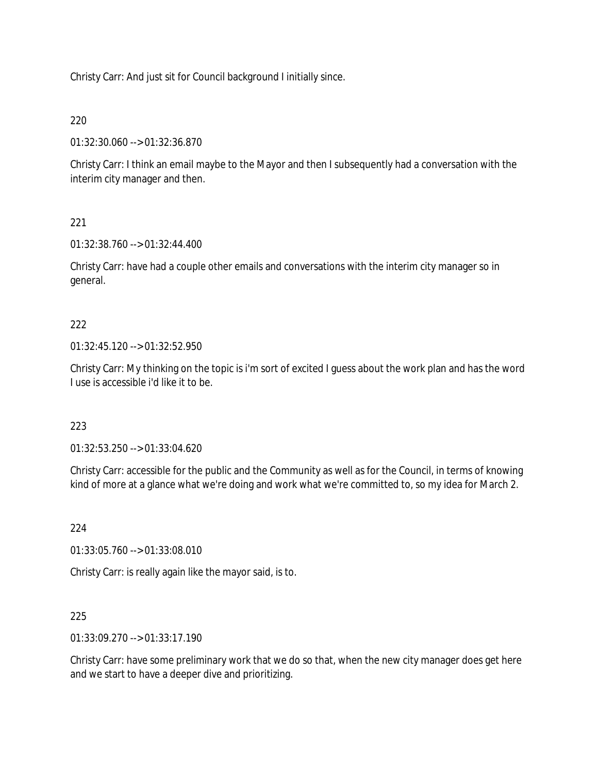Christy Carr: And just sit for Council background I initially since.

## 220

01:32:30.060 --> 01:32:36.870

Christy Carr: I think an email maybe to the Mayor and then I subsequently had a conversation with the interim city manager and then.

# 221

01:32:38.760 --> 01:32:44.400

Christy Carr: have had a couple other emails and conversations with the interim city manager so in general.

# 222

01:32:45.120 --> 01:32:52.950

Christy Carr: My thinking on the topic is i'm sort of excited I guess about the work plan and has the word I use is accessible i'd like it to be.

## 223

01:32:53.250 --> 01:33:04.620

Christy Carr: accessible for the public and the Community as well as for the Council, in terms of knowing kind of more at a glance what we're doing and work what we're committed to, so my idea for March 2.

## 224

01:33:05.760 --> 01:33:08.010

Christy Carr: is really again like the mayor said, is to.

## 225

01:33:09.270 --> 01:33:17.190

Christy Carr: have some preliminary work that we do so that, when the new city manager does get here and we start to have a deeper dive and prioritizing.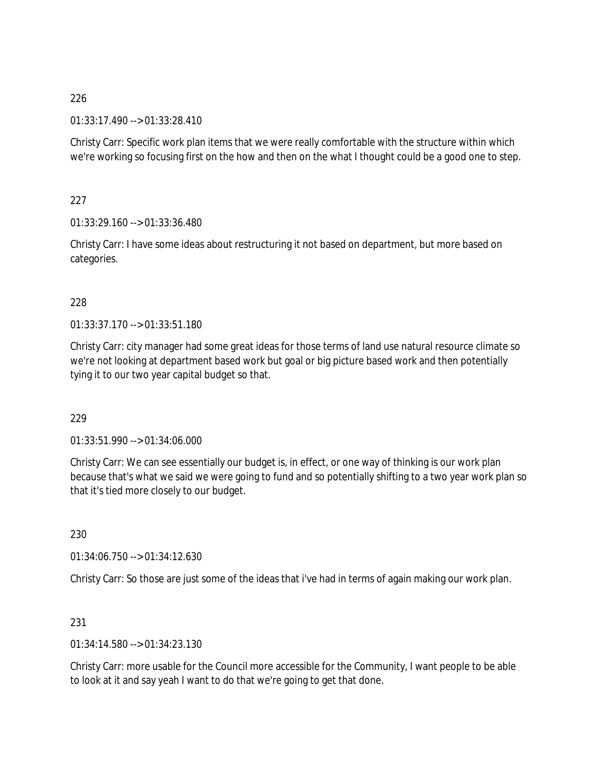01:33:17.490 --> 01:33:28.410

Christy Carr: Specific work plan items that we were really comfortable with the structure within which we're working so focusing first on the how and then on the what I thought could be a good one to step.

227

01:33:29.160 --> 01:33:36.480

Christy Carr: I have some ideas about restructuring it not based on department, but more based on categories.

# 228

01:33:37.170 --> 01:33:51.180

Christy Carr: city manager had some great ideas for those terms of land use natural resource climate so we're not looking at department based work but goal or big picture based work and then potentially tying it to our two year capital budget so that.

# 229

01:33:51.990 --> 01:34:06.000

Christy Carr: We can see essentially our budget is, in effect, or one way of thinking is our work plan because that's what we said we were going to fund and so potentially shifting to a two year work plan so that it's tied more closely to our budget.

230

01:34:06.750 --> 01:34:12.630

Christy Carr: So those are just some of the ideas that i've had in terms of again making our work plan.

231

01:34:14.580 --> 01:34:23.130

Christy Carr: more usable for the Council more accessible for the Community, I want people to be able to look at it and say yeah I want to do that we're going to get that done.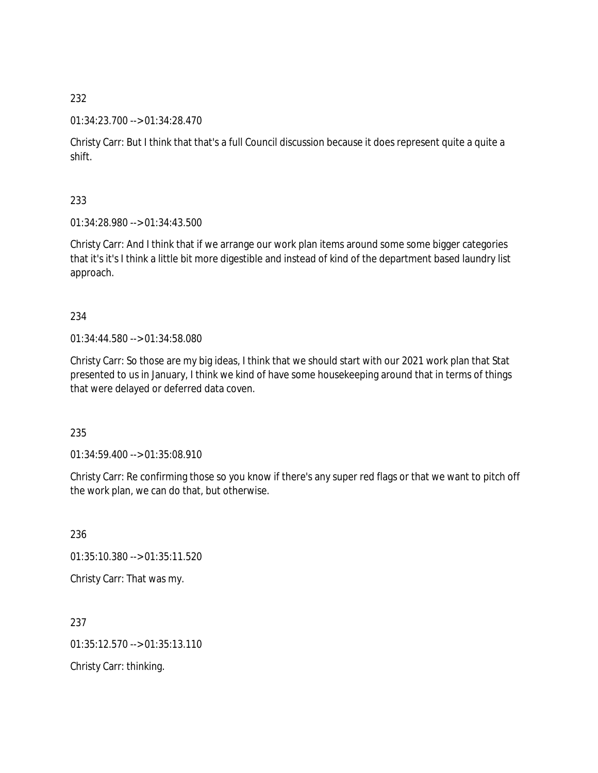### 01:34:23.700 --> 01:34:28.470

Christy Carr: But I think that that's a full Council discussion because it does represent quite a quite a shift.

233

01:34:28.980 --> 01:34:43.500

Christy Carr: And I think that if we arrange our work plan items around some some bigger categories that it's it's I think a little bit more digestible and instead of kind of the department based laundry list approach.

234

01:34:44.580 --> 01:34:58.080

Christy Carr: So those are my big ideas, I think that we should start with our 2021 work plan that Stat presented to us in January, I think we kind of have some housekeeping around that in terms of things that were delayed or deferred data coven.

235

01:34:59.400 --> 01:35:08.910

Christy Carr: Re confirming those so you know if there's any super red flags or that we want to pitch off the work plan, we can do that, but otherwise.

236 01:35:10.380 --> 01:35:11.520 Christy Carr: That was my.

237 01:35:12.570 --> 01:35:13.110 Christy Carr: thinking.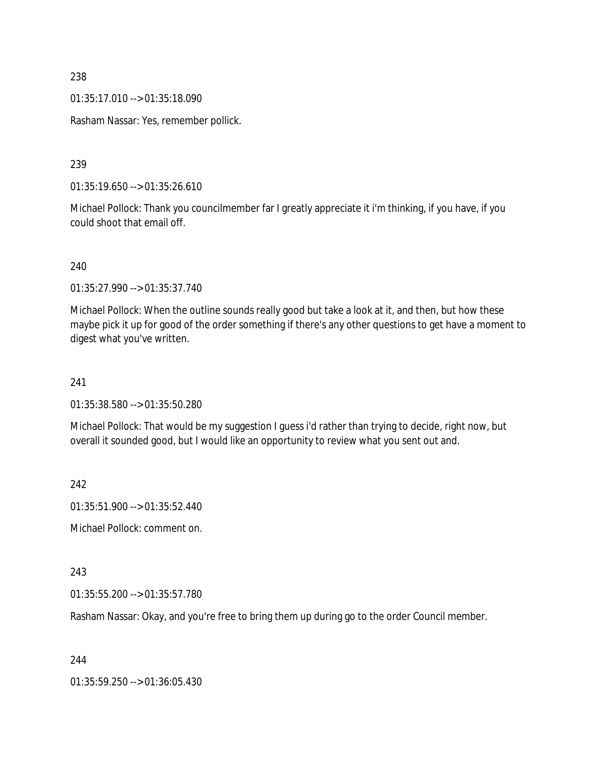01:35:17.010 --> 01:35:18.090

Rasham Nassar: Yes, remember pollick.

239

01:35:19.650 --> 01:35:26.610

Michael Pollock: Thank you councilmember far I greatly appreciate it i'm thinking, if you have, if you could shoot that email off.

240

01:35:27.990 --> 01:35:37.740

Michael Pollock: When the outline sounds really good but take a look at it, and then, but how these maybe pick it up for good of the order something if there's any other questions to get have a moment to digest what you've written.

### 241

01:35:38.580 --> 01:35:50.280

Michael Pollock: That would be my suggestion I guess i'd rather than trying to decide, right now, but overall it sounded good, but I would like an opportunity to review what you sent out and.

242

01:35:51.900 --> 01:35:52.440

Michael Pollock: comment on.

243

01:35:55.200 --> 01:35:57.780

Rasham Nassar: Okay, and you're free to bring them up during go to the order Council member.

244

01:35:59.250 --> 01:36:05.430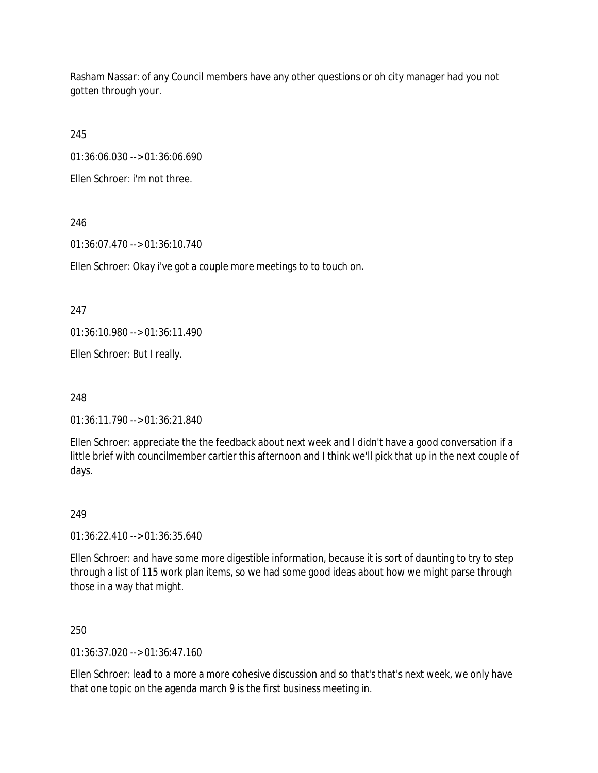Rasham Nassar: of any Council members have any other questions or oh city manager had you not gotten through your.

245

01:36:06.030 --> 01:36:06.690

Ellen Schroer: i'm not three.

246

01:36:07.470 --> 01:36:10.740

Ellen Schroer: Okay i've got a couple more meetings to to touch on.

247

01:36:10.980 --> 01:36:11.490

Ellen Schroer: But I really.

248

01:36:11.790 --> 01:36:21.840

Ellen Schroer: appreciate the the feedback about next week and I didn't have a good conversation if a little brief with councilmember cartier this afternoon and I think we'll pick that up in the next couple of days.

249

01:36:22.410 --> 01:36:35.640

Ellen Schroer: and have some more digestible information, because it is sort of daunting to try to step through a list of 115 work plan items, so we had some good ideas about how we might parse through those in a way that might.

250

01:36:37.020 --> 01:36:47.160

Ellen Schroer: lead to a more a more cohesive discussion and so that's that's next week, we only have that one topic on the agenda march 9 is the first business meeting in.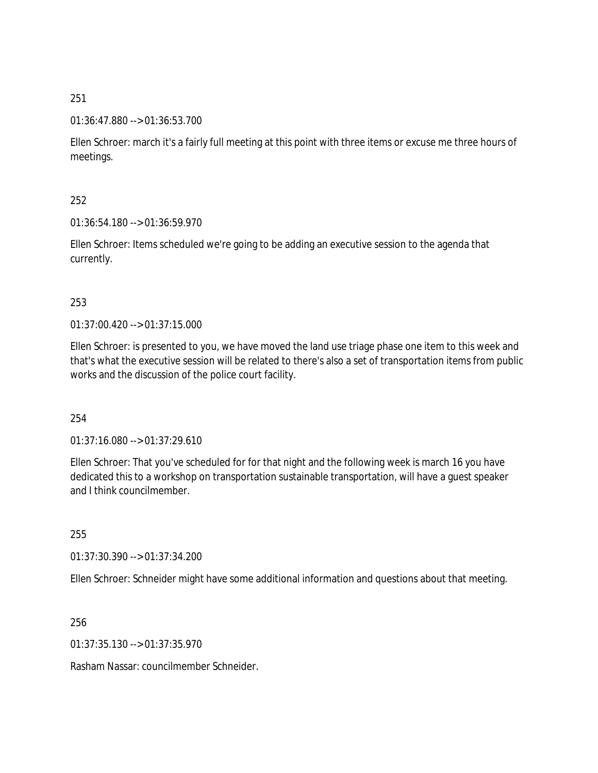### 01:36:47.880 --> 01:36:53.700

Ellen Schroer: march it's a fairly full meeting at this point with three items or excuse me three hours of meetings.

### 252

01:36:54.180 --> 01:36:59.970

Ellen Schroer: Items scheduled we're going to be adding an executive session to the agenda that currently.

### 253

01:37:00.420 --> 01:37:15.000

Ellen Schroer: is presented to you, we have moved the land use triage phase one item to this week and that's what the executive session will be related to there's also a set of transportation items from public works and the discussion of the police court facility.

### 254

01:37:16.080 --> 01:37:29.610

Ellen Schroer: That you've scheduled for for that night and the following week is march 16 you have dedicated this to a workshop on transportation sustainable transportation, will have a guest speaker and I think councilmember.

255

01:37:30.390 --> 01:37:34.200

Ellen Schroer: Schneider might have some additional information and questions about that meeting.

256

01:37:35.130 --> 01:37:35.970

Rasham Nassar: councilmember Schneider.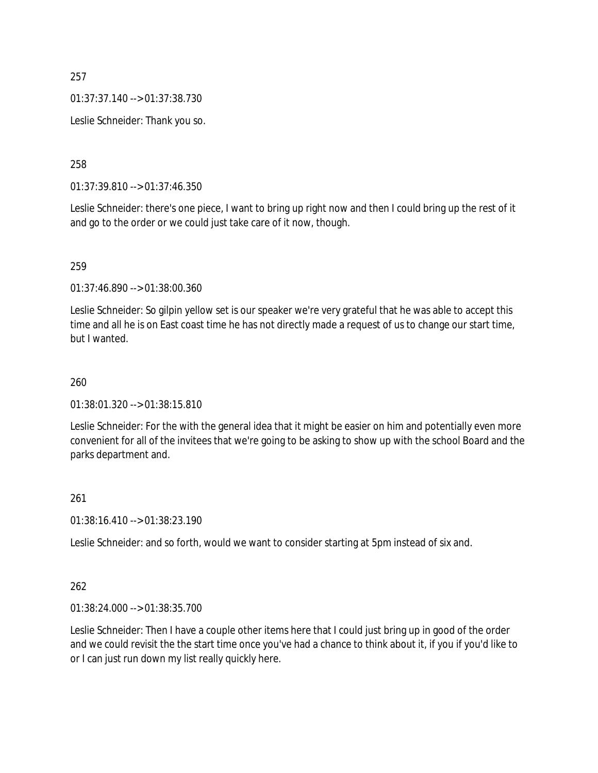01:37:37.140 --> 01:37:38.730

Leslie Schneider: Thank you so.

258

01:37:39.810 --> 01:37:46.350

Leslie Schneider: there's one piece, I want to bring up right now and then I could bring up the rest of it and go to the order or we could just take care of it now, though.

#### 259

01:37:46.890 --> 01:38:00.360

Leslie Schneider: So gilpin yellow set is our speaker we're very grateful that he was able to accept this time and all he is on East coast time he has not directly made a request of us to change our start time, but I wanted.

#### 260

01:38:01.320 --> 01:38:15.810

Leslie Schneider: For the with the general idea that it might be easier on him and potentially even more convenient for all of the invitees that we're going to be asking to show up with the school Board and the parks department and.

### 261

01:38:16.410 --> 01:38:23.190

Leslie Schneider: and so forth, would we want to consider starting at 5pm instead of six and.

### 262

01:38:24.000 --> 01:38:35.700

Leslie Schneider: Then I have a couple other items here that I could just bring up in good of the order and we could revisit the the start time once you've had a chance to think about it, if you if you'd like to or I can just run down my list really quickly here.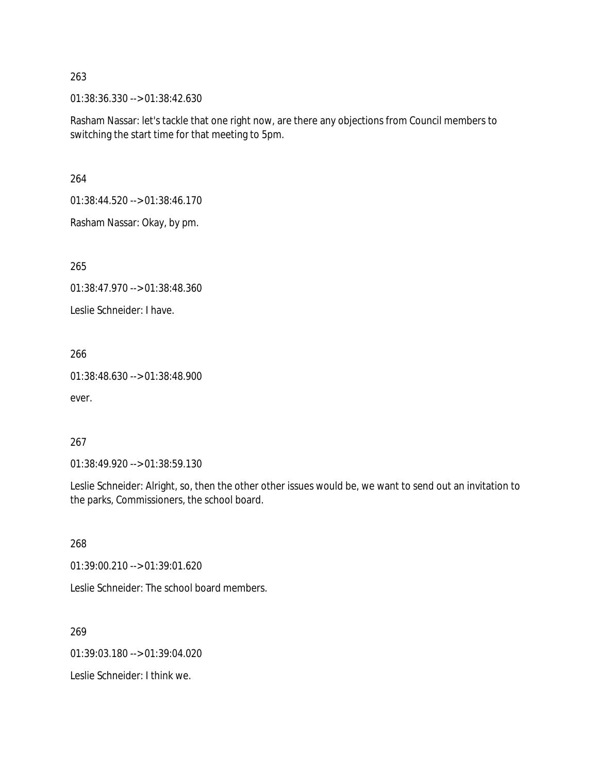01:38:36.330 --> 01:38:42.630

Rasham Nassar: let's tackle that one right now, are there any objections from Council members to switching the start time for that meeting to 5pm.

264

01:38:44.520 --> 01:38:46.170

Rasham Nassar: Okay, by pm.

265

01:38:47.970 --> 01:38:48.360

Leslie Schneider: I have.

266

01:38:48.630 --> 01:38:48.900

ever.

### 267

01:38:49.920 --> 01:38:59.130

Leslie Schneider: Alright, so, then the other other issues would be, we want to send out an invitation to the parks, Commissioners, the school board.

268

01:39:00.210 --> 01:39:01.620

Leslie Schneider: The school board members.

269

01:39:03.180 --> 01:39:04.020

Leslie Schneider: I think we.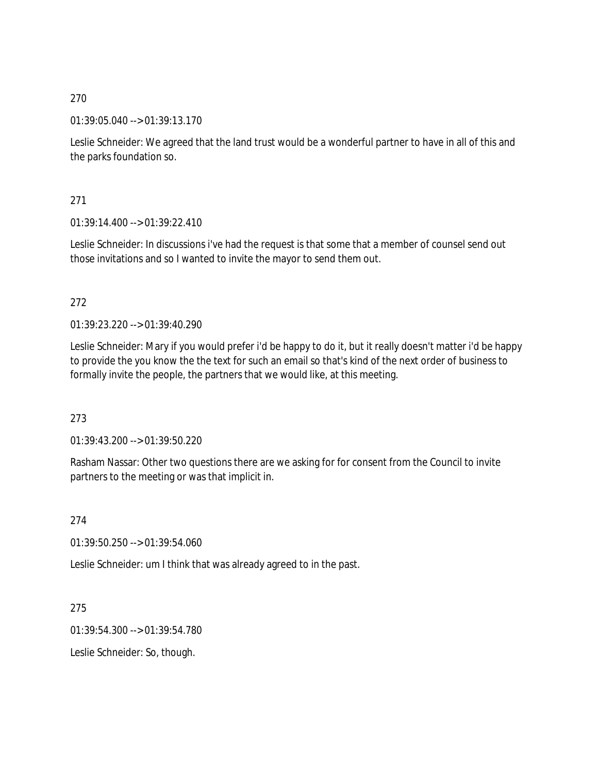01:39:05.040 --> 01:39:13.170

Leslie Schneider: We agreed that the land trust would be a wonderful partner to have in all of this and the parks foundation so.

271

 $01:39:14.400 \rightarrow 01:39:22.410$ 

Leslie Schneider: In discussions i've had the request is that some that a member of counsel send out those invitations and so I wanted to invite the mayor to send them out.

# 272

01:39:23.220 --> 01:39:40.290

Leslie Schneider: Mary if you would prefer i'd be happy to do it, but it really doesn't matter i'd be happy to provide the you know the the text for such an email so that's kind of the next order of business to formally invite the people, the partners that we would like, at this meeting.

273

01:39:43.200 --> 01:39:50.220

Rasham Nassar: Other two questions there are we asking for for consent from the Council to invite partners to the meeting or was that implicit in.

274

01:39:50.250 --> 01:39:54.060

Leslie Schneider: um I think that was already agreed to in the past.

275

01:39:54.300 --> 01:39:54.780

Leslie Schneider: So, though.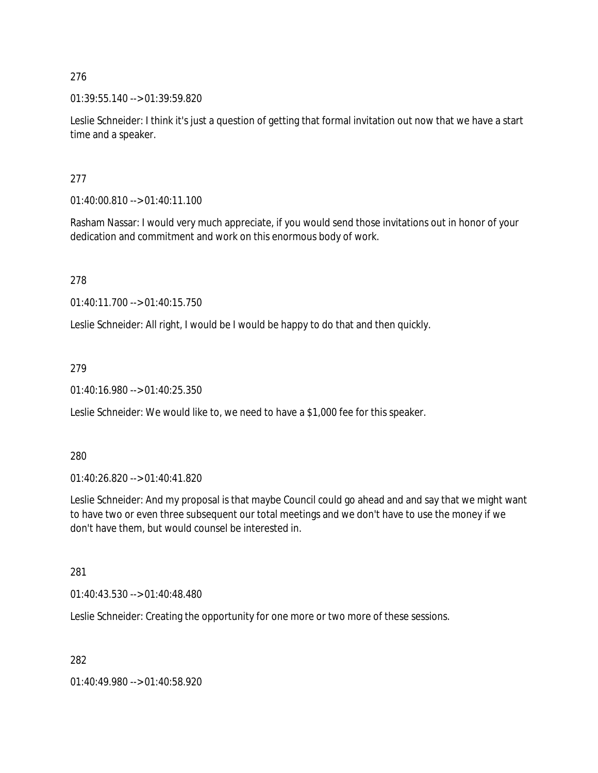01:39:55.140 --> 01:39:59.820

Leslie Schneider: I think it's just a question of getting that formal invitation out now that we have a start time and a speaker.

277

01:40:00.810 --> 01:40:11.100

Rasham Nassar: I would very much appreciate, if you would send those invitations out in honor of your dedication and commitment and work on this enormous body of work.

278

01:40:11.700 --> 01:40:15.750

Leslie Schneider: All right, I would be I would be happy to do that and then quickly.

279

01:40:16.980 --> 01:40:25.350

Leslie Schneider: We would like to, we need to have a \$1,000 fee for this speaker.

280

01:40:26.820 --> 01:40:41.820

Leslie Schneider: And my proposal is that maybe Council could go ahead and and say that we might want to have two or even three subsequent our total meetings and we don't have to use the money if we don't have them, but would counsel be interested in.

281

01:40:43.530 --> 01:40:48.480

Leslie Schneider: Creating the opportunity for one more or two more of these sessions.

282

01:40:49.980 --> 01:40:58.920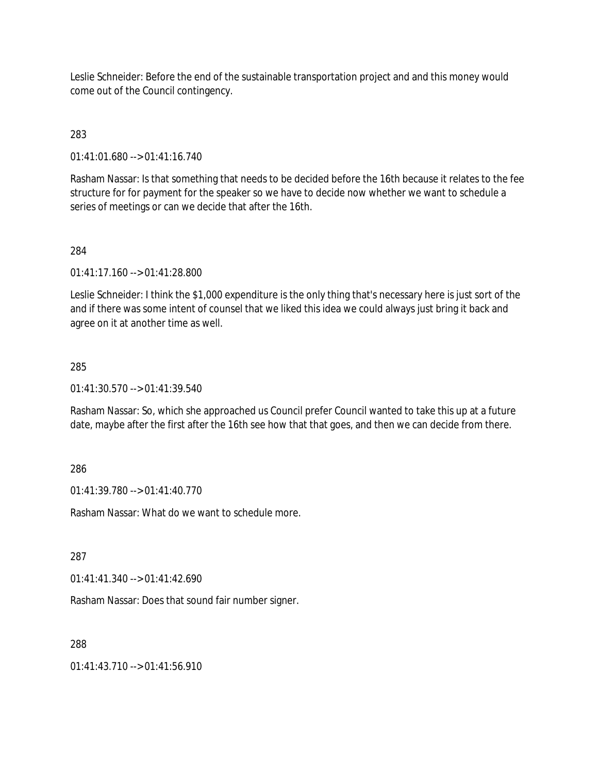Leslie Schneider: Before the end of the sustainable transportation project and and this money would come out of the Council contingency.

# 283

01:41:01.680 --> 01:41:16.740

Rasham Nassar: Is that something that needs to be decided before the 16th because it relates to the fee structure for for payment for the speaker so we have to decide now whether we want to schedule a series of meetings or can we decide that after the 16th.

# 284

01:41:17.160 --> 01:41:28.800

Leslie Schneider: I think the \$1,000 expenditure is the only thing that's necessary here is just sort of the and if there was some intent of counsel that we liked this idea we could always just bring it back and agree on it at another time as well.

# 285

01:41:30.570 --> 01:41:39.540

Rasham Nassar: So, which she approached us Council prefer Council wanted to take this up at a future date, maybe after the first after the 16th see how that that goes, and then we can decide from there.

# 286

01:41:39.780 --> 01:41:40.770

Rasham Nassar: What do we want to schedule more.

287

01:41:41.340 --> 01:41:42.690

Rasham Nassar: Does that sound fair number signer.

# 288

01:41:43.710 --> 01:41:56.910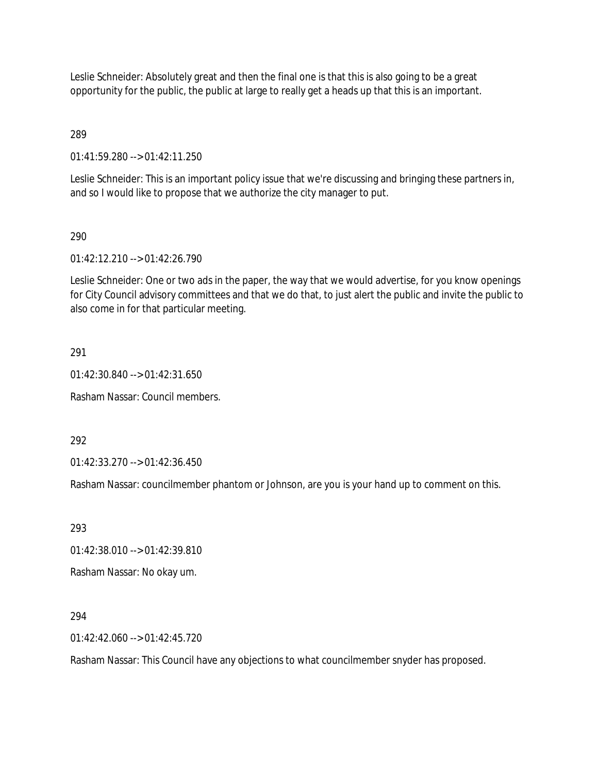Leslie Schneider: Absolutely great and then the final one is that this is also going to be a great opportunity for the public, the public at large to really get a heads up that this is an important.

289

01:41:59.280 --> 01:42:11.250

Leslie Schneider: This is an important policy issue that we're discussing and bringing these partners in, and so I would like to propose that we authorize the city manager to put.

### 290

01:42:12.210 --> 01:42:26.790

Leslie Schneider: One or two ads in the paper, the way that we would advertise, for you know openings for City Council advisory committees and that we do that, to just alert the public and invite the public to also come in for that particular meeting.

### 291

01:42:30.840 --> 01:42:31.650

Rasham Nassar: Council members.

292

01:42:33.270 --> 01:42:36.450

Rasham Nassar: councilmember phantom or Johnson, are you is your hand up to comment on this.

293

01:42:38.010 --> 01:42:39.810

Rasham Nassar: No okay um.

294

01:42:42.060 --> 01:42:45.720

Rasham Nassar: This Council have any objections to what councilmember snyder has proposed.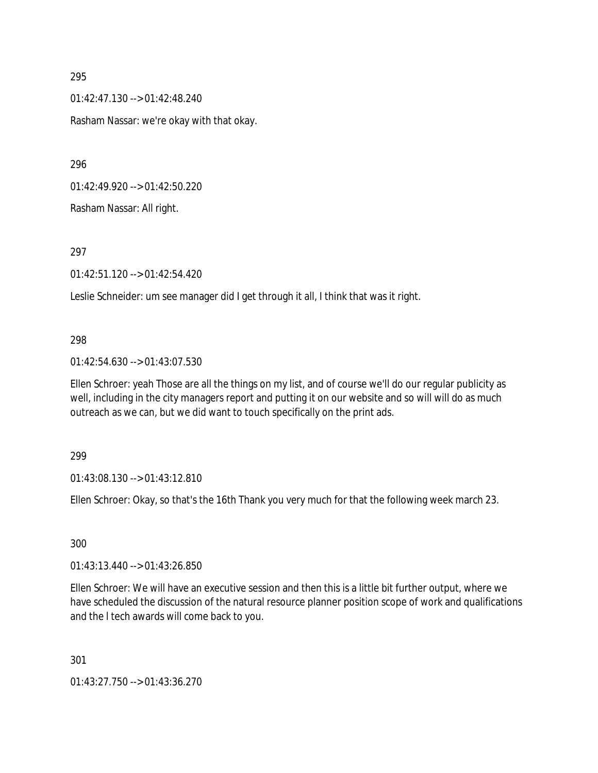01:42:47.130 --> 01:42:48.240 Rasham Nassar: we're okay with that okay.

296

01:42:49.920 --> 01:42:50.220

Rasham Nassar: All right.

297

01:42:51.120 --> 01:42:54.420

Leslie Schneider: um see manager did I get through it all, I think that was it right.

#### 298

01:42:54.630 --> 01:43:07.530

Ellen Schroer: yeah Those are all the things on my list, and of course we'll do our regular publicity as well, including in the city managers report and putting it on our website and so will will do as much outreach as we can, but we did want to touch specifically on the print ads.

299

01:43:08.130 --> 01:43:12.810

Ellen Schroer: Okay, so that's the 16th Thank you very much for that the following week march 23.

300

01:43:13.440 --> 01:43:26.850

Ellen Schroer: We will have an executive session and then this is a little bit further output, where we have scheduled the discussion of the natural resource planner position scope of work and qualifications and the l tech awards will come back to you.

301

01:43:27.750 --> 01:43:36.270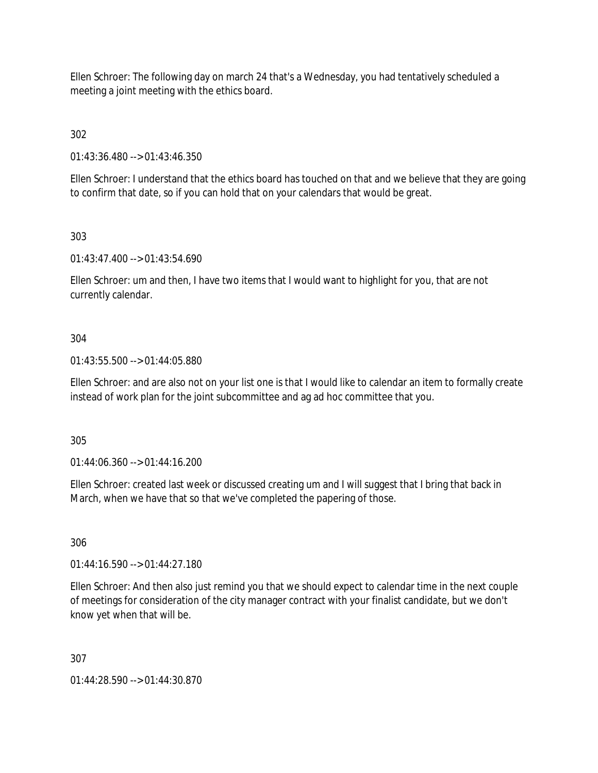Ellen Schroer: The following day on march 24 that's a Wednesday, you had tentatively scheduled a meeting a joint meeting with the ethics board.

302

01:43:36.480 --> 01:43:46.350

Ellen Schroer: I understand that the ethics board has touched on that and we believe that they are going to confirm that date, so if you can hold that on your calendars that would be great.

303

01:43:47.400 --> 01:43:54.690

Ellen Schroer: um and then, I have two items that I would want to highlight for you, that are not currently calendar.

# 304

01:43:55.500 --> 01:44:05.880

Ellen Schroer: and are also not on your list one is that I would like to calendar an item to formally create instead of work plan for the joint subcommittee and ag ad hoc committee that you.

305

01:44:06.360 --> 01:44:16.200

Ellen Schroer: created last week or discussed creating um and I will suggest that I bring that back in March, when we have that so that we've completed the papering of those.

306

01:44:16.590 --> 01:44:27.180

Ellen Schroer: And then also just remind you that we should expect to calendar time in the next couple of meetings for consideration of the city manager contract with your finalist candidate, but we don't know yet when that will be.

307

01:44:28.590 --> 01:44:30.870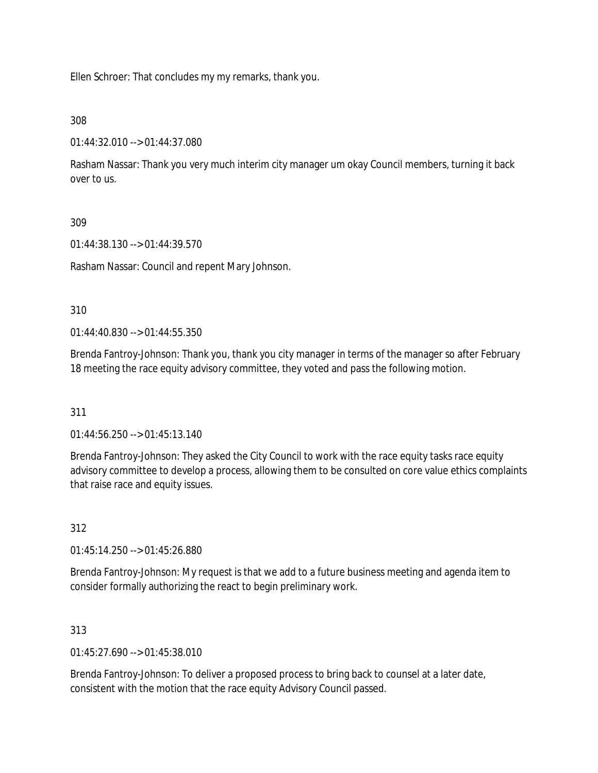Ellen Schroer: That concludes my my remarks, thank you.

# 308

01:44:32.010 --> 01:44:37.080

Rasham Nassar: Thank you very much interim city manager um okay Council members, turning it back over to us.

# 309

01:44:38.130 --> 01:44:39.570

Rasham Nassar: Council and repent Mary Johnson.

# 310

01:44:40.830 --> 01:44:55.350

Brenda Fantroy-Johnson: Thank you, thank you city manager in terms of the manager so after February 18 meeting the race equity advisory committee, they voted and pass the following motion.

# 311

01:44:56.250 --> 01:45:13.140

Brenda Fantroy-Johnson: They asked the City Council to work with the race equity tasks race equity advisory committee to develop a process, allowing them to be consulted on core value ethics complaints that raise race and equity issues.

# 312

01:45:14.250 --> 01:45:26.880

Brenda Fantroy-Johnson: My request is that we add to a future business meeting and agenda item to consider formally authorizing the react to begin preliminary work.

# 313

 $01:45:27.690 \rightarrow 01:45:38.010$ 

Brenda Fantroy-Johnson: To deliver a proposed process to bring back to counsel at a later date, consistent with the motion that the race equity Advisory Council passed.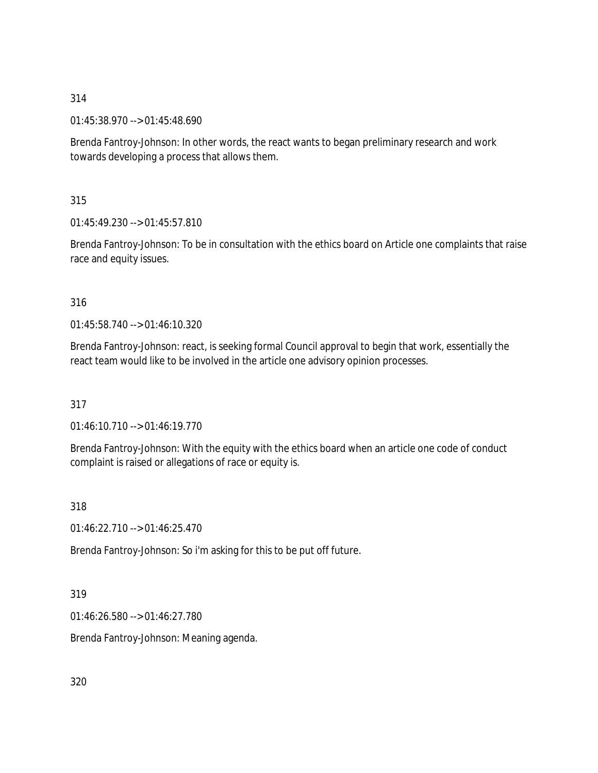01:45:38.970 --> 01:45:48.690

Brenda Fantroy-Johnson: In other words, the react wants to began preliminary research and work towards developing a process that allows them.

315

01:45:49.230 --> 01:45:57.810

Brenda Fantroy-Johnson: To be in consultation with the ethics board on Article one complaints that raise race and equity issues.

# 316

01:45:58.740 --> 01:46:10.320

Brenda Fantroy-Johnson: react, is seeking formal Council approval to begin that work, essentially the react team would like to be involved in the article one advisory opinion processes.

317

01:46:10.710 --> 01:46:19.770

Brenda Fantroy-Johnson: With the equity with the ethics board when an article one code of conduct complaint is raised or allegations of race or equity is.

318

01:46:22.710 --> 01:46:25.470

Brenda Fantroy-Johnson: So i'm asking for this to be put off future.

### 319

01:46:26.580 --> 01:46:27.780

Brenda Fantroy-Johnson: Meaning agenda.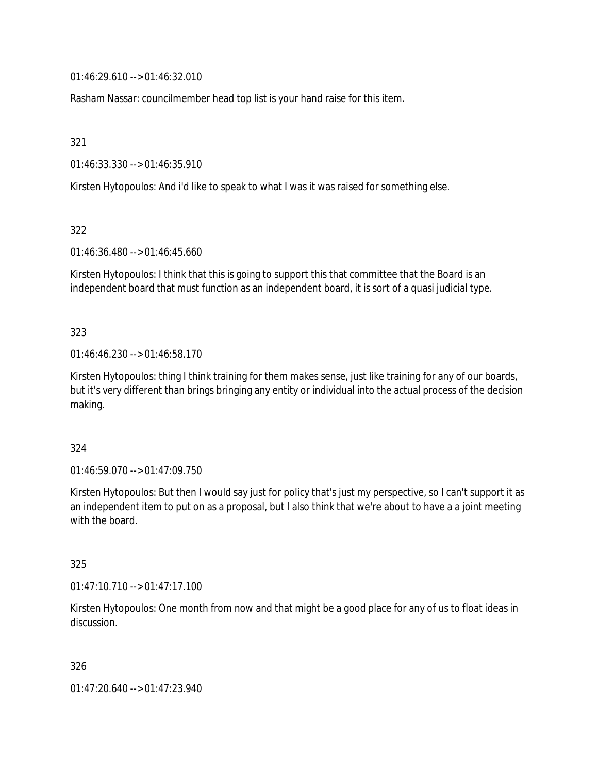01:46:29.610 --> 01:46:32.010

Rasham Nassar: councilmember head top list is your hand raise for this item.

321

01:46:33.330 --> 01:46:35.910

Kirsten Hytopoulos: And i'd like to speak to what I was it was raised for something else.

322

01:46:36.480 --> 01:46:45.660

Kirsten Hytopoulos: I think that this is going to support this that committee that the Board is an independent board that must function as an independent board, it is sort of a quasi judicial type.

323

01:46:46.230 --> 01:46:58.170

Kirsten Hytopoulos: thing I think training for them makes sense, just like training for any of our boards, but it's very different than brings bringing any entity or individual into the actual process of the decision making.

324

01:46:59.070 --> 01:47:09.750

Kirsten Hytopoulos: But then I would say just for policy that's just my perspective, so I can't support it as an independent item to put on as a proposal, but I also think that we're about to have a a joint meeting with the board.

325

01:47:10.710 --> 01:47:17.100

Kirsten Hytopoulos: One month from now and that might be a good place for any of us to float ideas in discussion.

326

01:47:20.640 --> 01:47:23.940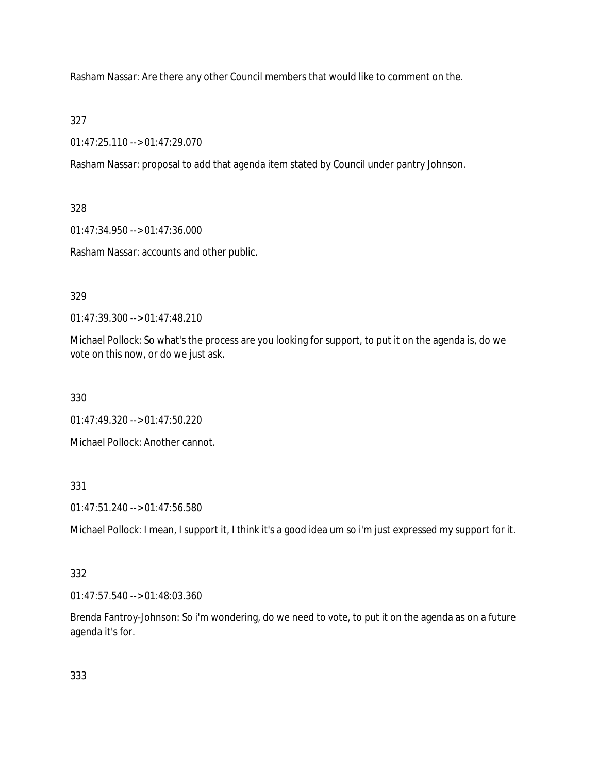Rasham Nassar: Are there any other Council members that would like to comment on the.

327

01:47:25.110 --> 01:47:29.070

Rasham Nassar: proposal to add that agenda item stated by Council under pantry Johnson.

328

01:47:34.950 --> 01:47:36.000

Rasham Nassar: accounts and other public.

# 329

01:47:39.300 --> 01:47:48.210

Michael Pollock: So what's the process are you looking for support, to put it on the agenda is, do we vote on this now, or do we just ask.

330

01:47:49.320 --> 01:47:50.220

Michael Pollock: Another cannot.

331

01:47:51.240 --> 01:47:56.580

Michael Pollock: I mean, I support it, I think it's a good idea um so i'm just expressed my support for it.

# 332

01:47:57.540 --> 01:48:03.360

Brenda Fantroy-Johnson: So i'm wondering, do we need to vote, to put it on the agenda as on a future agenda it's for.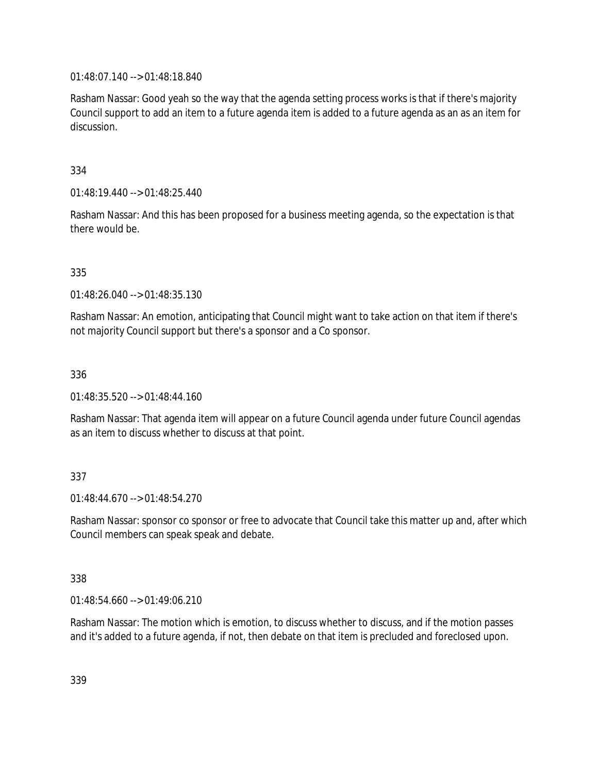01:48:07.140 --> 01:48:18.840

Rasham Nassar: Good yeah so the way that the agenda setting process works is that if there's majority Council support to add an item to a future agenda item is added to a future agenda as an as an item for discussion.

334

01:48:19.440 --> 01:48:25.440

Rasham Nassar: And this has been proposed for a business meeting agenda, so the expectation is that there would be.

335

01:48:26.040 --> 01:48:35.130

Rasham Nassar: An emotion, anticipating that Council might want to take action on that item if there's not majority Council support but there's a sponsor and a Co sponsor.

336

01:48:35.520 --> 01:48:44.160

Rasham Nassar: That agenda item will appear on a future Council agenda under future Council agendas as an item to discuss whether to discuss at that point.

### 337

 $01.48.44.670 -> 01.48.54.270$ 

Rasham Nassar: sponsor co sponsor or free to advocate that Council take this matter up and, after which Council members can speak speak and debate.

338

01:48:54.660 --> 01:49:06.210

Rasham Nassar: The motion which is emotion, to discuss whether to discuss, and if the motion passes and it's added to a future agenda, if not, then debate on that item is precluded and foreclosed upon.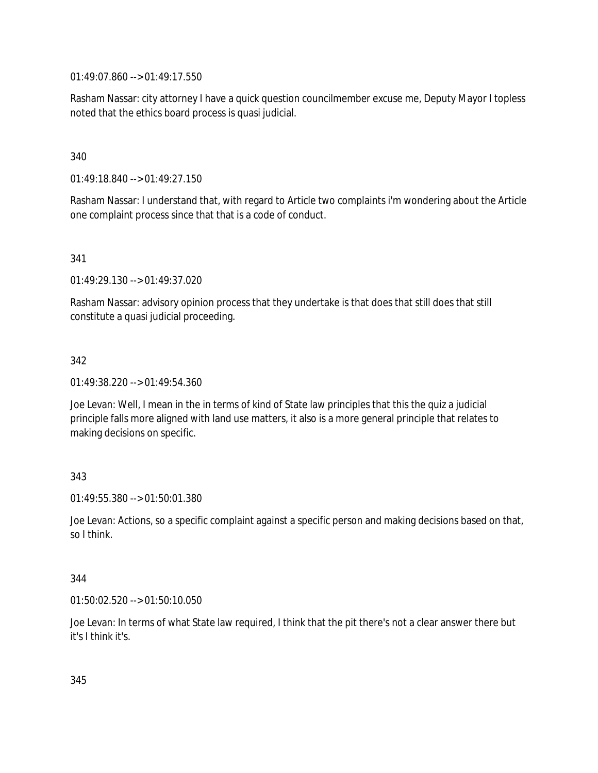01:49:07.860 --> 01:49:17.550

Rasham Nassar: city attorney I have a quick question councilmember excuse me, Deputy Mayor I topless noted that the ethics board process is quasi judicial.

# 340

01:49:18.840 --> 01:49:27.150

Rasham Nassar: I understand that, with regard to Article two complaints i'm wondering about the Article one complaint process since that that is a code of conduct.

### 341

01:49:29.130 --> 01:49:37.020

Rasham Nassar: advisory opinion process that they undertake is that does that still does that still constitute a quasi judicial proceeding.

# 342

01:49:38.220 --> 01:49:54.360

Joe Levan: Well, I mean in the in terms of kind of State law principles that this the quiz a judicial principle falls more aligned with land use matters, it also is a more general principle that relates to making decisions on specific.

### 343

01:49:55.380 --> 01:50:01.380

Joe Levan: Actions, so a specific complaint against a specific person and making decisions based on that, so I think.

### 344

01:50:02.520 --> 01:50:10.050

Joe Levan: In terms of what State law required, I think that the pit there's not a clear answer there but it's I think it's.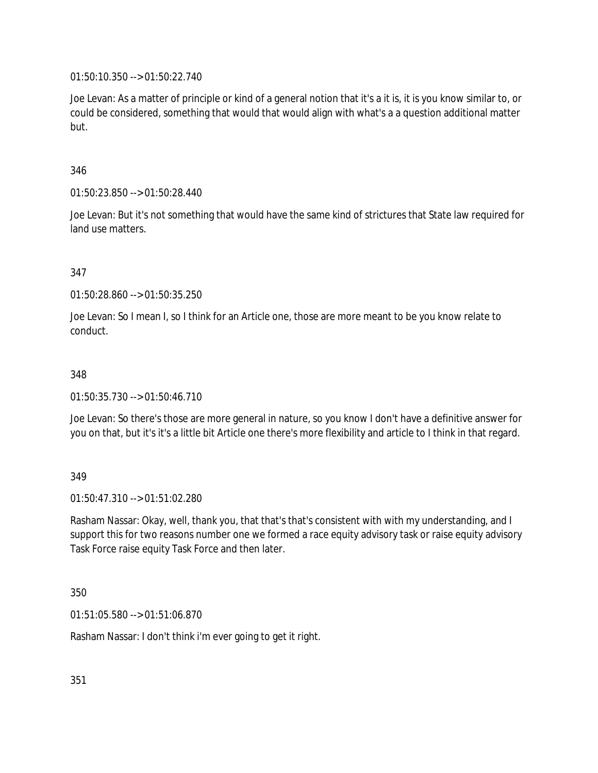01:50:10.350 --> 01:50:22.740

Joe Levan: As a matter of principle or kind of a general notion that it's a it is, it is you know similar to, or could be considered, something that would that would align with what's a a question additional matter but.

346

01:50:23.850 --> 01:50:28.440

Joe Levan: But it's not something that would have the same kind of strictures that State law required for land use matters.

# 347

01:50:28.860 --> 01:50:35.250

Joe Levan: So I mean I, so I think for an Article one, those are more meant to be you know relate to conduct.

#### 348

01:50:35.730 --> 01:50:46.710

Joe Levan: So there's those are more general in nature, so you know I don't have a definitive answer for you on that, but it's it's a little bit Article one there's more flexibility and article to I think in that regard.

### 349

01:50:47.310 --> 01:51:02.280

Rasham Nassar: Okay, well, thank you, that that's that's consistent with with my understanding, and I support this for two reasons number one we formed a race equity advisory task or raise equity advisory Task Force raise equity Task Force and then later.

#### 350

01:51:05.580 --> 01:51:06.870

Rasham Nassar: I don't think i'm ever going to get it right.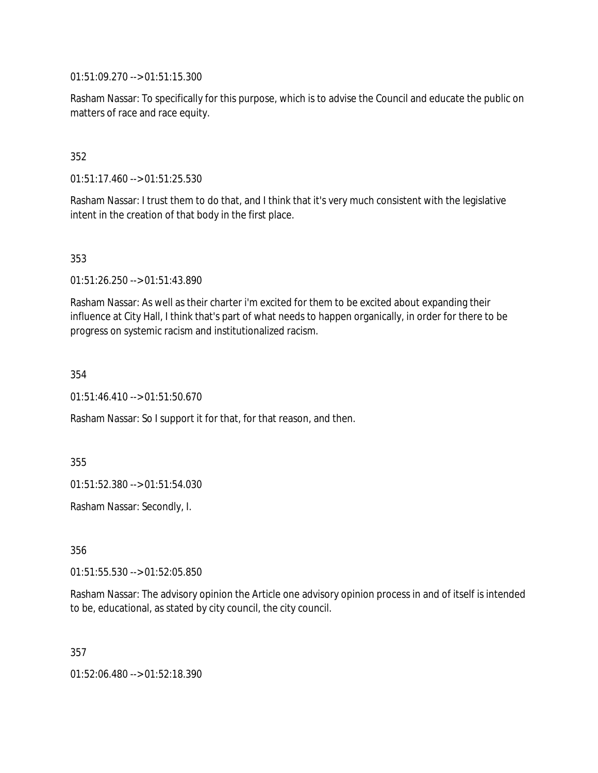01:51:09.270 --> 01:51:15.300

Rasham Nassar: To specifically for this purpose, which is to advise the Council and educate the public on matters of race and race equity.

# 352

01:51:17.460 --> 01:51:25.530

Rasham Nassar: I trust them to do that, and I think that it's very much consistent with the legislative intent in the creation of that body in the first place.

### 353

01:51:26.250 --> 01:51:43.890

Rasham Nassar: As well as their charter i'm excited for them to be excited about expanding their influence at City Hall, I think that's part of what needs to happen organically, in order for there to be progress on systemic racism and institutionalized racism.

354

01:51:46.410 --> 01:51:50.670

Rasham Nassar: So I support it for that, for that reason, and then.

355

01:51:52.380 --> 01:51:54.030

Rasham Nassar: Secondly, I.

356

01:51:55.530 --> 01:52:05.850

Rasham Nassar: The advisory opinion the Article one advisory opinion process in and of itself is intended to be, educational, as stated by city council, the city council.

357

01:52:06.480 --> 01:52:18.390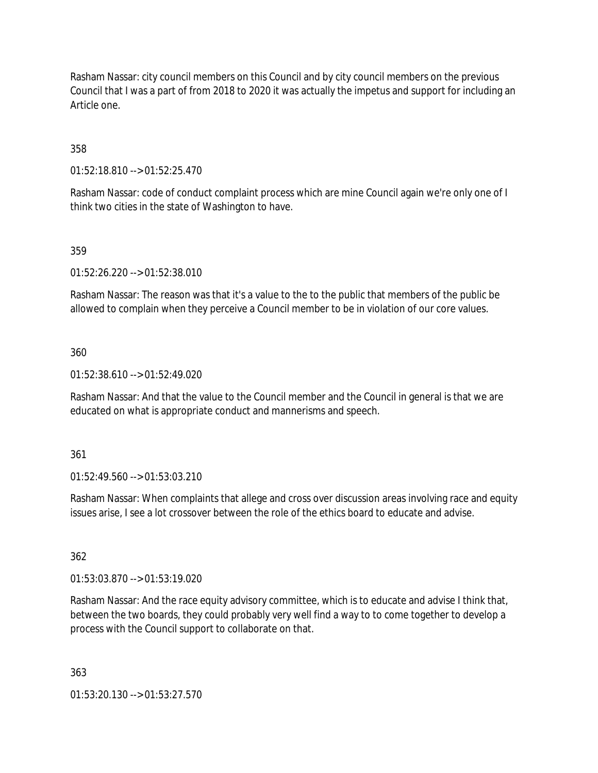Rasham Nassar: city council members on this Council and by city council members on the previous Council that I was a part of from 2018 to 2020 it was actually the impetus and support for including an Article one.

358

01:52:18.810 --> 01:52:25.470

Rasham Nassar: code of conduct complaint process which are mine Council again we're only one of I think two cities in the state of Washington to have.

# 359

01:52:26.220 --> 01:52:38.010

Rasham Nassar: The reason was that it's a value to the to the public that members of the public be allowed to complain when they perceive a Council member to be in violation of our core values.

### 360

01:52:38.610 --> 01:52:49.020

Rasham Nassar: And that the value to the Council member and the Council in general is that we are educated on what is appropriate conduct and mannerisms and speech.

### 361

01:52:49.560 --> 01:53:03.210

Rasham Nassar: When complaints that allege and cross over discussion areas involving race and equity issues arise, I see a lot crossover between the role of the ethics board to educate and advise.

### 362

01:53:03.870 --> 01:53:19.020

Rasham Nassar: And the race equity advisory committee, which is to educate and advise I think that, between the two boards, they could probably very well find a way to to come together to develop a process with the Council support to collaborate on that.

363

01:53:20.130 --> 01:53:27.570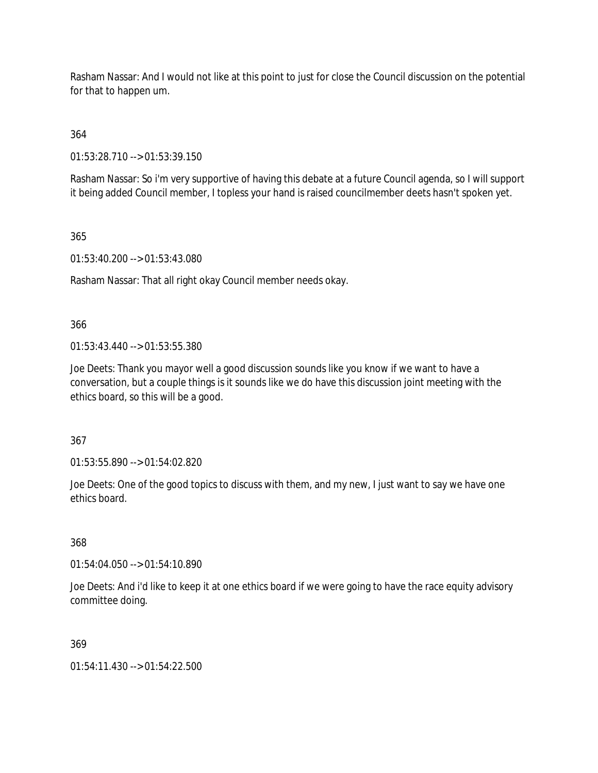Rasham Nassar: And I would not like at this point to just for close the Council discussion on the potential for that to happen um.

364

01:53:28.710 --> 01:53:39.150

Rasham Nassar: So i'm very supportive of having this debate at a future Council agenda, so I will support it being added Council member, I topless your hand is raised councilmember deets hasn't spoken yet.

# 365

01:53:40.200 --> 01:53:43.080

Rasham Nassar: That all right okay Council member needs okay.

# 366

01:53:43.440 --> 01:53:55.380

Joe Deets: Thank you mayor well a good discussion sounds like you know if we want to have a conversation, but a couple things is it sounds like we do have this discussion joint meeting with the ethics board, so this will be a good.

367

01:53:55.890 --> 01:54:02.820

Joe Deets: One of the good topics to discuss with them, and my new, I just want to say we have one ethics board.

### 368

01:54:04.050 --> 01:54:10.890

Joe Deets: And i'd like to keep it at one ethics board if we were going to have the race equity advisory committee doing.

### 369

01:54:11.430 --> 01:54:22.500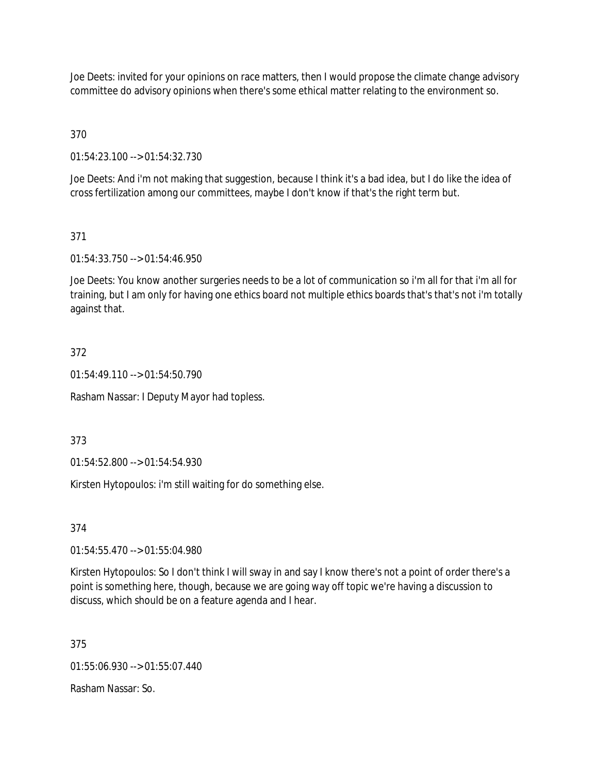Joe Deets: invited for your opinions on race matters, then I would propose the climate change advisory committee do advisory opinions when there's some ethical matter relating to the environment so.

370

01:54:23.100 --> 01:54:32.730

Joe Deets: And i'm not making that suggestion, because I think it's a bad idea, but I do like the idea of cross fertilization among our committees, maybe I don't know if that's the right term but.

# 371

01:54:33.750 --> 01:54:46.950

Joe Deets: You know another surgeries needs to be a lot of communication so i'm all for that i'm all for training, but I am only for having one ethics board not multiple ethics boards that's that's not i'm totally against that.

# 372

 $01:54:49.110 \rightarrow 01:54:50.790$ 

Rasham Nassar: I Deputy Mayor had topless.

373

01:54:52.800 --> 01:54:54.930

Kirsten Hytopoulos: i'm still waiting for do something else.

### 374

01:54:55.470 --> 01:55:04.980

Kirsten Hytopoulos: So I don't think I will sway in and say I know there's not a point of order there's a point is something here, though, because we are going way off topic we're having a discussion to discuss, which should be on a feature agenda and I hear.

375

01:55:06.930 --> 01:55:07.440

Rasham Nassar: So.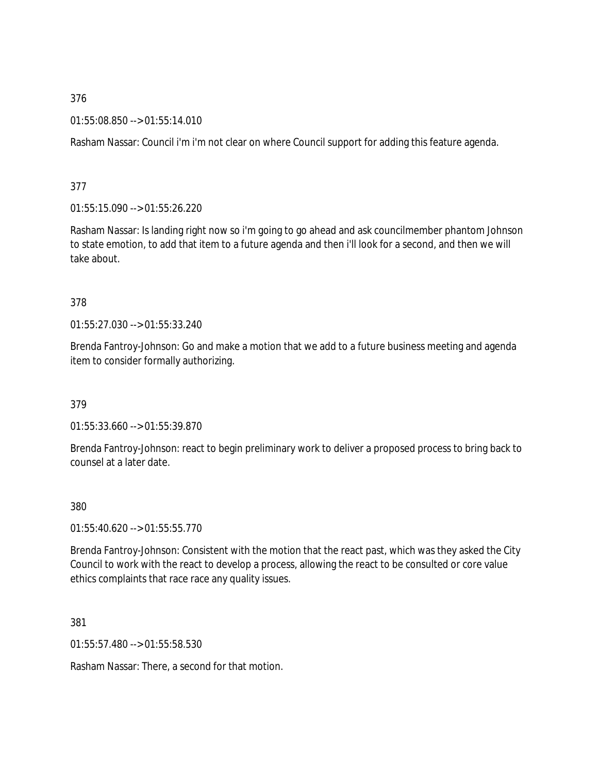01:55:08.850 --> 01:55:14.010

Rasham Nassar: Council i'm i'm not clear on where Council support for adding this feature agenda.

377

01:55:15.090 --> 01:55:26.220

Rasham Nassar: Is landing right now so i'm going to go ahead and ask councilmember phantom Johnson to state emotion, to add that item to a future agenda and then i'll look for a second, and then we will take about.

378

01:55:27.030 --> 01:55:33.240

Brenda Fantroy-Johnson: Go and make a motion that we add to a future business meeting and agenda item to consider formally authorizing.

379

01:55:33.660 --> 01:55:39.870

Brenda Fantroy-Johnson: react to begin preliminary work to deliver a proposed process to bring back to counsel at a later date.

380

 $01:55:40.620 \rightarrow 01:55:55.770$ 

Brenda Fantroy-Johnson: Consistent with the motion that the react past, which was they asked the City Council to work with the react to develop a process, allowing the react to be consulted or core value ethics complaints that race race any quality issues.

381

01:55:57.480 --> 01:55:58.530

Rasham Nassar: There, a second for that motion.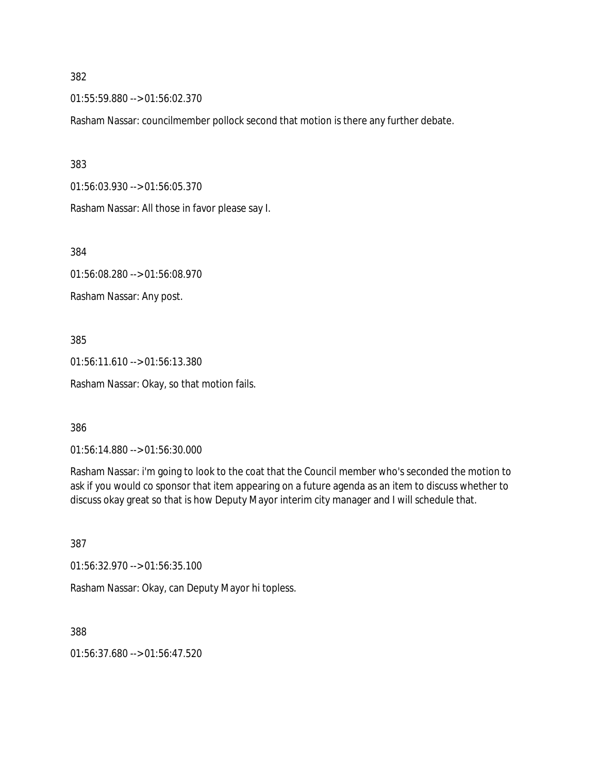01:55:59.880 --> 01:56:02.370

Rasham Nassar: councilmember pollock second that motion is there any further debate.

383

01:56:03.930 --> 01:56:05.370

Rasham Nassar: All those in favor please say I.

384

01:56:08.280 --> 01:56:08.970

Rasham Nassar: Any post.

385

01:56:11.610 --> 01:56:13.380 Rasham Nassar: Okay, so that motion fails.

386

01:56:14.880 --> 01:56:30.000

Rasham Nassar: i'm going to look to the coat that the Council member who's seconded the motion to ask if you would co sponsor that item appearing on a future agenda as an item to discuss whether to discuss okay great so that is how Deputy Mayor interim city manager and I will schedule that.

387

01:56:32.970 --> 01:56:35.100

Rasham Nassar: Okay, can Deputy Mayor hi topless.

388

01:56:37.680 --> 01:56:47.520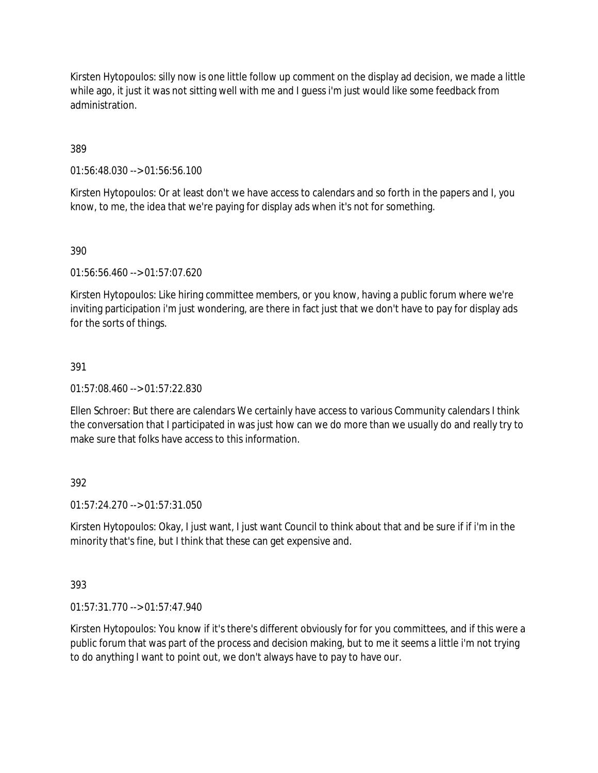Kirsten Hytopoulos: silly now is one little follow up comment on the display ad decision, we made a little while ago, it just it was not sitting well with me and I guess i'm just would like some feedback from administration.

389

01:56:48.030 --> 01:56:56.100

Kirsten Hytopoulos: Or at least don't we have access to calendars and so forth in the papers and I, you know, to me, the idea that we're paying for display ads when it's not for something.

390

01:56:56.460 --> 01:57:07.620

Kirsten Hytopoulos: Like hiring committee members, or you know, having a public forum where we're inviting participation i'm just wondering, are there in fact just that we don't have to pay for display ads for the sorts of things.

### 391

01:57:08.460 --> 01:57:22.830

Ellen Schroer: But there are calendars We certainly have access to various Community calendars I think the conversation that I participated in was just how can we do more than we usually do and really try to make sure that folks have access to this information.

392

01:57:24.270 --> 01:57:31.050

Kirsten Hytopoulos: Okay, I just want, I just want Council to think about that and be sure if if i'm in the minority that's fine, but I think that these can get expensive and.

393

01:57:31.770 --> 01:57:47.940

Kirsten Hytopoulos: You know if it's there's different obviously for for you committees, and if this were a public forum that was part of the process and decision making, but to me it seems a little i'm not trying to do anything I want to point out, we don't always have to pay to have our.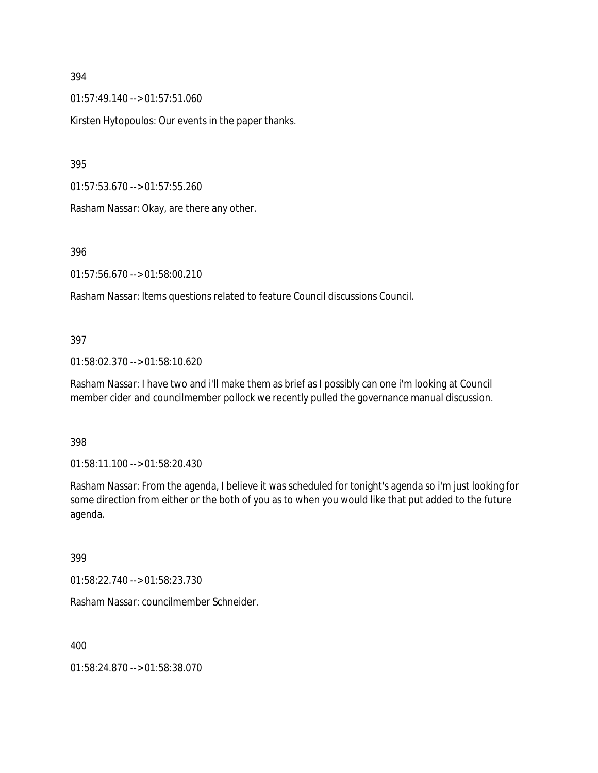01:57:49.140 --> 01:57:51.060

Kirsten Hytopoulos: Our events in the paper thanks.

395

01:57:53.670 --> 01:57:55.260

Rasham Nassar: Okay, are there any other.

396

01:57:56.670 --> 01:58:00.210

Rasham Nassar: Items questions related to feature Council discussions Council.

#### 397

01:58:02.370 --> 01:58:10.620

Rasham Nassar: I have two and i'll make them as brief as I possibly can one i'm looking at Council member cider and councilmember pollock we recently pulled the governance manual discussion.

#### 398

01:58:11.100 --> 01:58:20.430

Rasham Nassar: From the agenda, I believe it was scheduled for tonight's agenda so i'm just looking for some direction from either or the both of you as to when you would like that put added to the future agenda.

#### 399

01:58:22.740 --> 01:58:23.730

Rasham Nassar: councilmember Schneider.

400

01:58:24.870 --> 01:58:38.070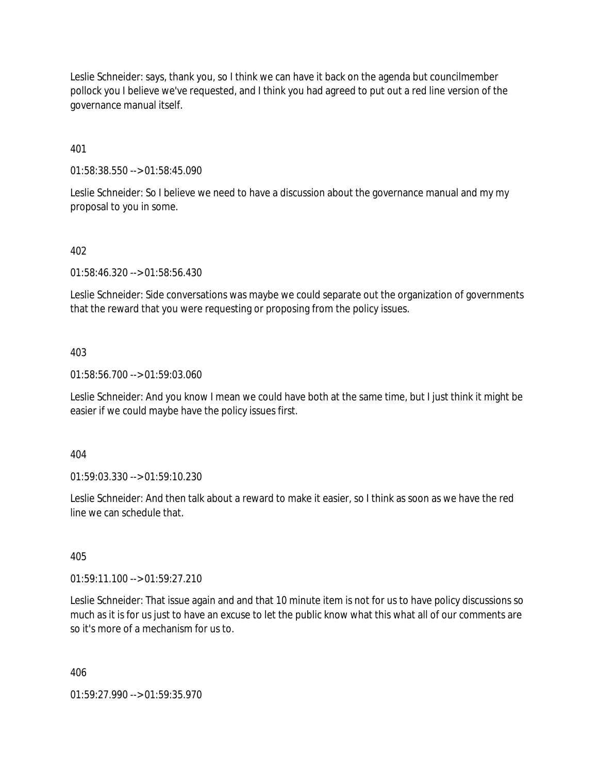Leslie Schneider: says, thank you, so I think we can have it back on the agenda but councilmember pollock you I believe we've requested, and I think you had agreed to put out a red line version of the governance manual itself.

401

01:58:38.550 --> 01:58:45.090

Leslie Schneider: So I believe we need to have a discussion about the governance manual and my my proposal to you in some.

### 402

01:58:46.320 --> 01:58:56.430

Leslie Schneider: Side conversations was maybe we could separate out the organization of governments that the reward that you were requesting or proposing from the policy issues.

### 403

01:58:56.700 --> 01:59:03.060

Leslie Schneider: And you know I mean we could have both at the same time, but I just think it might be easier if we could maybe have the policy issues first.

#### 404

01:59:03.330 --> 01:59:10.230

Leslie Schneider: And then talk about a reward to make it easier, so I think as soon as we have the red line we can schedule that.

#### 405

01:59:11.100 --> 01:59:27.210

Leslie Schneider: That issue again and and that 10 minute item is not for us to have policy discussions so much as it is for us just to have an excuse to let the public know what this what all of our comments are so it's more of a mechanism for us to.

406

01:59:27.990 --> 01:59:35.970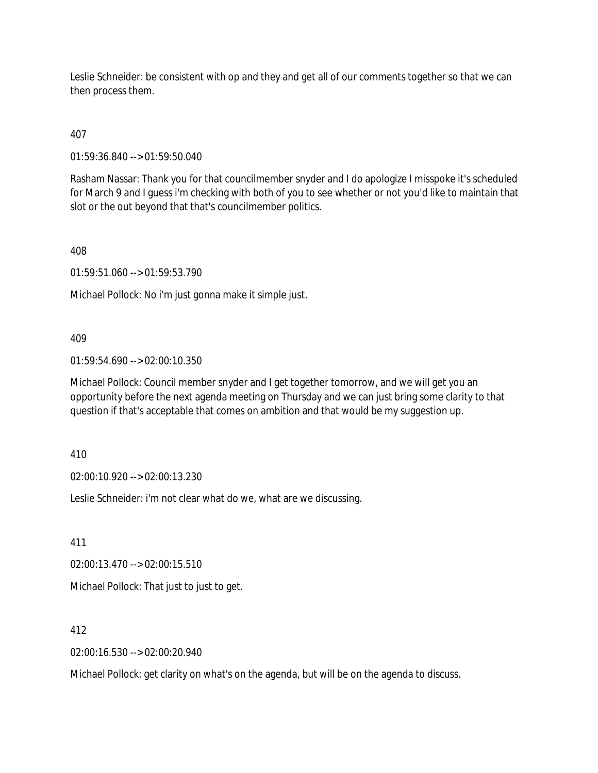Leslie Schneider: be consistent with op and they and get all of our comments together so that we can then process them.

407

01:59:36.840 --> 01:59:50.040

Rasham Nassar: Thank you for that councilmember snyder and I do apologize I misspoke it's scheduled for March 9 and I guess i'm checking with both of you to see whether or not you'd like to maintain that slot or the out beyond that that's councilmember politics.

408

01:59:51.060 --> 01:59:53.790

Michael Pollock: No i'm just gonna make it simple just.

409

01:59:54.690 --> 02:00:10.350

Michael Pollock: Council member snyder and I get together tomorrow, and we will get you an opportunity before the next agenda meeting on Thursday and we can just bring some clarity to that question if that's acceptable that comes on ambition and that would be my suggestion up.

410

02:00:10.920 --> 02:00:13.230

Leslie Schneider: i'm not clear what do we, what are we discussing.

411

02:00:13.470 --> 02:00:15.510

Michael Pollock: That just to just to get.

412

02:00:16.530 --> 02:00:20.940

Michael Pollock: get clarity on what's on the agenda, but will be on the agenda to discuss.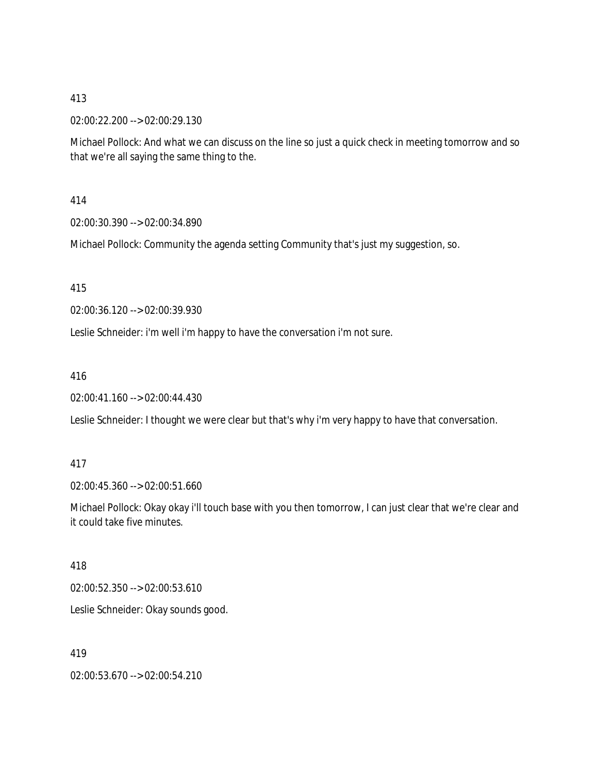### 02:00:22.200 --> 02:00:29.130

Michael Pollock: And what we can discuss on the line so just a quick check in meeting tomorrow and so that we're all saying the same thing to the.

414

02:00:30.390 --> 02:00:34.890

Michael Pollock: Community the agenda setting Community that's just my suggestion, so.

415

02:00:36.120 --> 02:00:39.930

Leslie Schneider: i'm well i'm happy to have the conversation i'm not sure.

416

02:00:41.160 --> 02:00:44.430

Leslie Schneider: I thought we were clear but that's why i'm very happy to have that conversation.

417

02:00:45.360 --> 02:00:51.660

Michael Pollock: Okay okay i'll touch base with you then tomorrow, I can just clear that we're clear and it could take five minutes.

418

02:00:52.350 --> 02:00:53.610

Leslie Schneider: Okay sounds good.

419

02:00:53.670 --> 02:00:54.210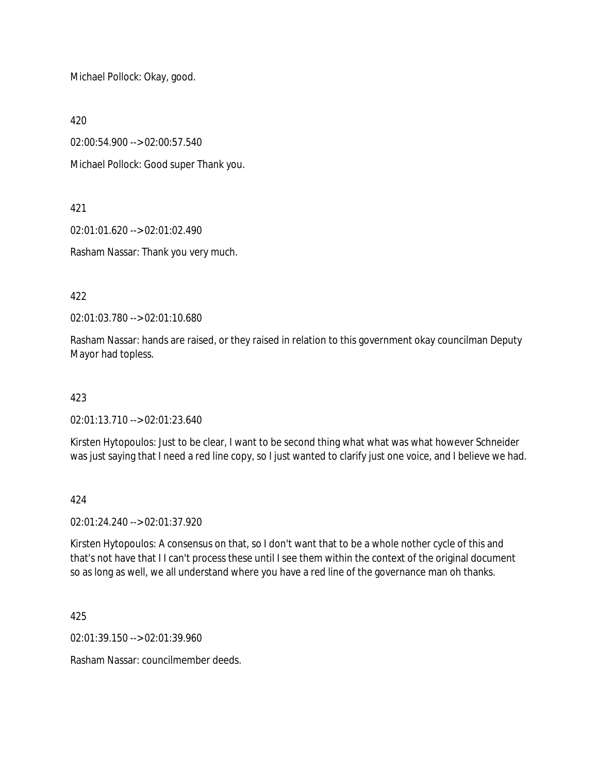Michael Pollock: Okay, good.

420

02:00:54.900 --> 02:00:57.540

Michael Pollock: Good super Thank you.

421

02:01:01.620 --> 02:01:02.490

Rasham Nassar: Thank you very much.

422

02:01:03.780 --> 02:01:10.680

Rasham Nassar: hands are raised, or they raised in relation to this government okay councilman Deputy Mayor had topless.

423

02:01:13.710 --> 02:01:23.640

Kirsten Hytopoulos: Just to be clear, I want to be second thing what what was what however Schneider was just saying that I need a red line copy, so I just wanted to clarify just one voice, and I believe we had.

424

02:01:24.240 --> 02:01:37.920

Kirsten Hytopoulos: A consensus on that, so I don't want that to be a whole nother cycle of this and that's not have that I I can't process these until I see them within the context of the original document so as long as well, we all understand where you have a red line of the governance man oh thanks.

425

02:01:39.150 --> 02:01:39.960

Rasham Nassar: councilmember deeds.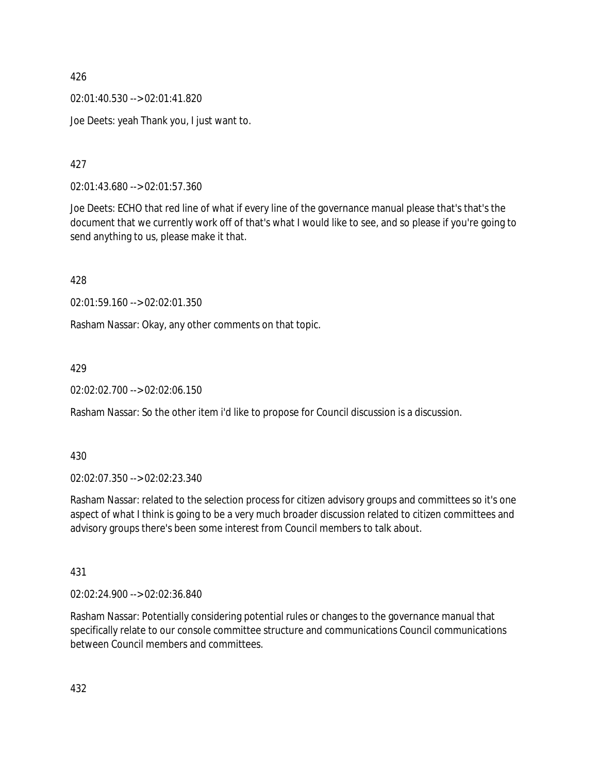02:01:40.530 --> 02:01:41.820

Joe Deets: yeah Thank you, I just want to.

427

02:01:43.680 --> 02:01:57.360

Joe Deets: ECHO that red line of what if every line of the governance manual please that's that's the document that we currently work off of that's what I would like to see, and so please if you're going to send anything to us, please make it that.

428

02:01:59.160 --> 02:02:01.350

Rasham Nassar: Okay, any other comments on that topic.

429

02:02:02.700 --> 02:02:06.150

Rasham Nassar: So the other item i'd like to propose for Council discussion is a discussion.

430

02:02:07.350 --> 02:02:23.340

Rasham Nassar: related to the selection process for citizen advisory groups and committees so it's one aspect of what I think is going to be a very much broader discussion related to citizen committees and advisory groups there's been some interest from Council members to talk about.

431

02:02:24.900 --> 02:02:36.840

Rasham Nassar: Potentially considering potential rules or changes to the governance manual that specifically relate to our console committee structure and communications Council communications between Council members and committees.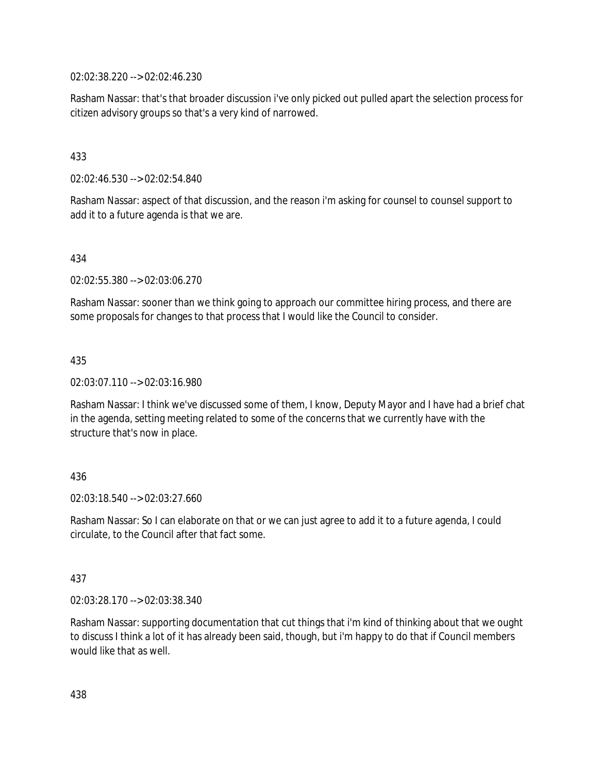02:02:38.220 --> 02:02:46.230

Rasham Nassar: that's that broader discussion i've only picked out pulled apart the selection process for citizen advisory groups so that's a very kind of narrowed.

# 433

02:02:46.530 --> 02:02:54.840

Rasham Nassar: aspect of that discussion, and the reason i'm asking for counsel to counsel support to add it to a future agenda is that we are.

### 434

02:02:55.380 --> 02:03:06.270

Rasham Nassar: sooner than we think going to approach our committee hiring process, and there are some proposals for changes to that process that I would like the Council to consider.

### 435

02:03:07.110 --> 02:03:16.980

Rasham Nassar: I think we've discussed some of them, I know, Deputy Mayor and I have had a brief chat in the agenda, setting meeting related to some of the concerns that we currently have with the structure that's now in place.

### 436

02:03:18.540 --> 02:03:27.660

Rasham Nassar: So I can elaborate on that or we can just agree to add it to a future agenda, I could circulate, to the Council after that fact some.

### 437

02:03:28.170 --> 02:03:38.340

Rasham Nassar: supporting documentation that cut things that i'm kind of thinking about that we ought to discuss I think a lot of it has already been said, though, but i'm happy to do that if Council members would like that as well.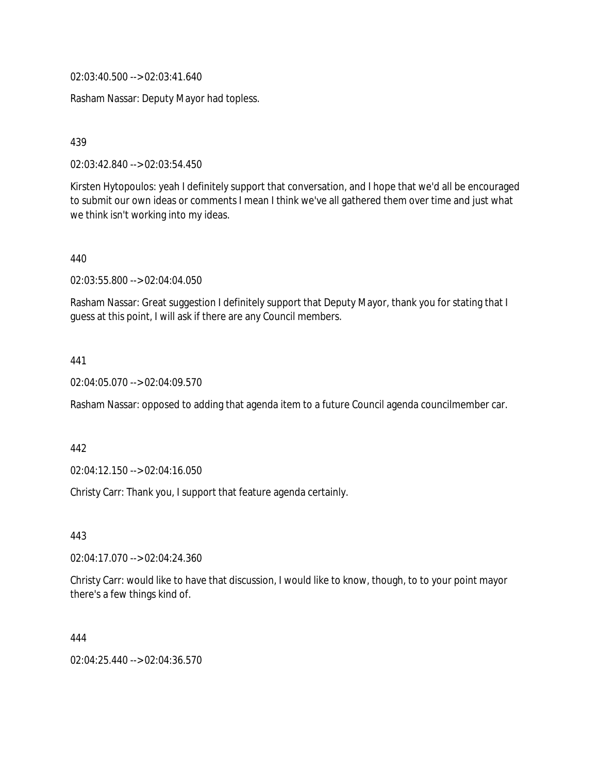02:03:40.500 --> 02:03:41.640

Rasham Nassar: Deputy Mayor had topless.

439

02:03:42.840 --> 02:03:54.450

Kirsten Hytopoulos: yeah I definitely support that conversation, and I hope that we'd all be encouraged to submit our own ideas or comments I mean I think we've all gathered them over time and just what we think isn't working into my ideas.

440

02:03:55.800 --> 02:04:04.050

Rasham Nassar: Great suggestion I definitely support that Deputy Mayor, thank you for stating that I guess at this point, I will ask if there are any Council members.

441

02:04:05.070 --> 02:04:09.570

Rasham Nassar: opposed to adding that agenda item to a future Council agenda councilmember car.

442

02:04:12.150 --> 02:04:16.050

Christy Carr: Thank you, I support that feature agenda certainly.

443

02:04:17.070 --> 02:04:24.360

Christy Carr: would like to have that discussion, I would like to know, though, to to your point mayor there's a few things kind of.

444

02:04:25.440 --> 02:04:36.570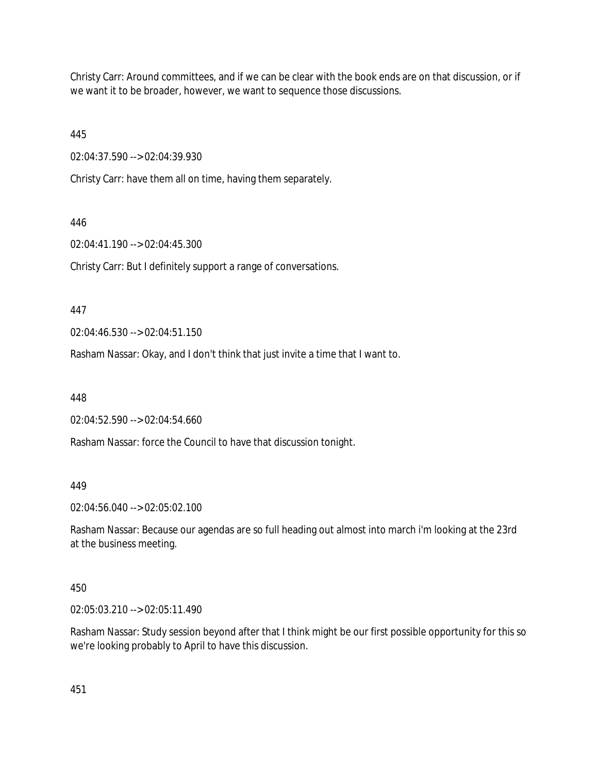Christy Carr: Around committees, and if we can be clear with the book ends are on that discussion, or if we want it to be broader, however, we want to sequence those discussions.

445

02:04:37.590 --> 02:04:39.930

Christy Carr: have them all on time, having them separately.

446

02:04:41.190 --> 02:04:45.300

Christy Carr: But I definitely support a range of conversations.

447

02:04:46.530 --> 02:04:51.150

Rasham Nassar: Okay, and I don't think that just invite a time that I want to.

448

02:04:52.590 --> 02:04:54.660

Rasham Nassar: force the Council to have that discussion tonight.

449

02:04:56.040 --> 02:05:02.100

Rasham Nassar: Because our agendas are so full heading out almost into march i'm looking at the 23rd at the business meeting.

450

02:05:03.210 --> 02:05:11.490

Rasham Nassar: Study session beyond after that I think might be our first possible opportunity for this so we're looking probably to April to have this discussion.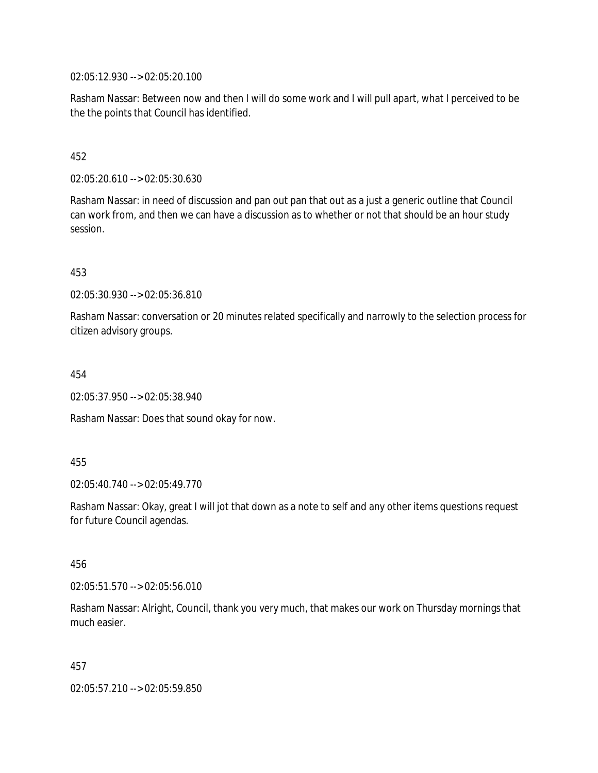02:05:12.930 --> 02:05:20.100

Rasham Nassar: Between now and then I will do some work and I will pull apart, what I perceived to be the the points that Council has identified.

#### 452

02:05:20.610 --> 02:05:30.630

Rasham Nassar: in need of discussion and pan out pan that out as a just a generic outline that Council can work from, and then we can have a discussion as to whether or not that should be an hour study session.

453

02:05:30.930 --> 02:05:36.810

Rasham Nassar: conversation or 20 minutes related specifically and narrowly to the selection process for citizen advisory groups.

454

02:05:37.950 --> 02:05:38.940

Rasham Nassar: Does that sound okay for now.

455

02:05:40.740 --> 02:05:49.770

Rasham Nassar: Okay, great I will jot that down as a note to self and any other items questions request for future Council agendas.

456

02:05:51.570 --> 02:05:56.010

Rasham Nassar: Alright, Council, thank you very much, that makes our work on Thursday mornings that much easier.

457

02:05:57.210 --> 02:05:59.850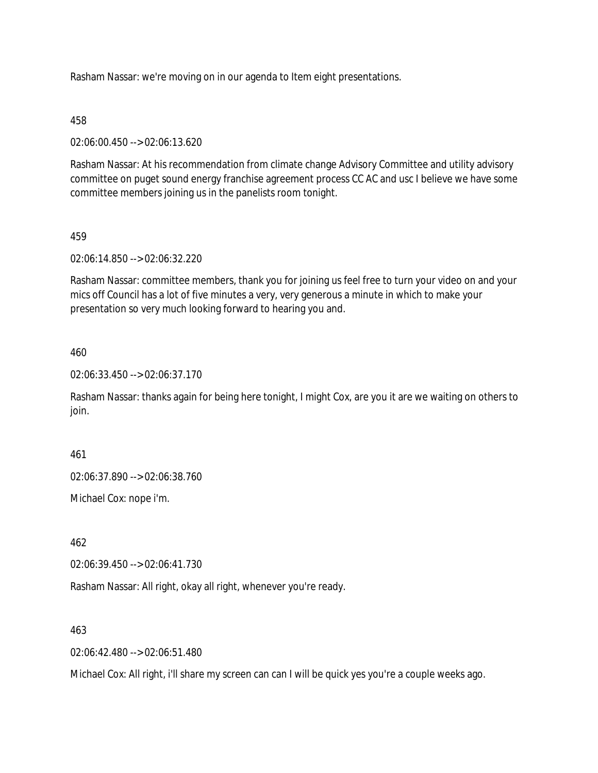Rasham Nassar: we're moving on in our agenda to Item eight presentations.

#### 458

02:06:00.450 --> 02:06:13.620

Rasham Nassar: At his recommendation from climate change Advisory Committee and utility advisory committee on puget sound energy franchise agreement process CC AC and usc I believe we have some committee members joining us in the panelists room tonight.

#### 459

02:06:14.850 --> 02:06:32.220

Rasham Nassar: committee members, thank you for joining us feel free to turn your video on and your mics off Council has a lot of five minutes a very, very generous a minute in which to make your presentation so very much looking forward to hearing you and.

#### 460

02:06:33.450 --> 02:06:37.170

Rasham Nassar: thanks again for being here tonight, I might Cox, are you it are we waiting on others to join.

461

02:06:37.890 --> 02:06:38.760

Michael Cox: nope i'm.

462

02:06:39.450 --> 02:06:41.730

Rasham Nassar: All right, okay all right, whenever you're ready.

463

02:06:42.480 --> 02:06:51.480

Michael Cox: All right, i'll share my screen can can I will be quick yes you're a couple weeks ago.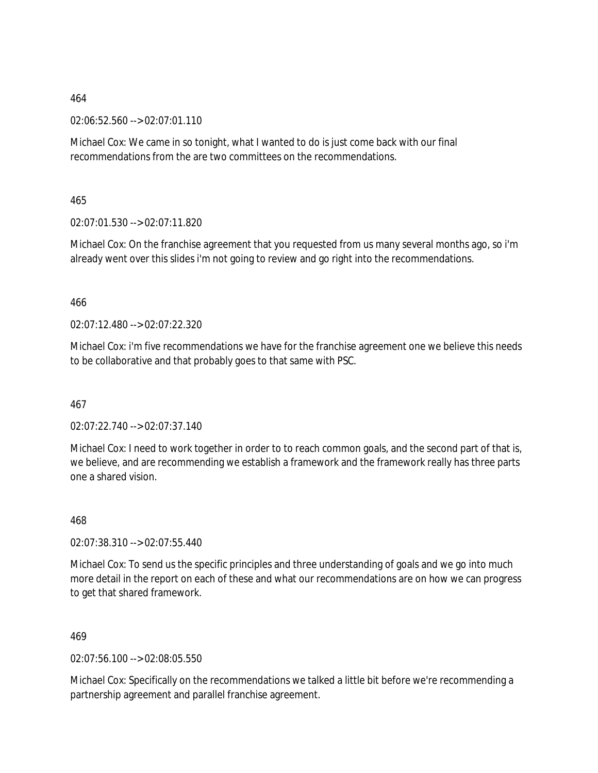02:06:52.560 --> 02:07:01.110

Michael Cox: We came in so tonight, what I wanted to do is just come back with our final recommendations from the are two committees on the recommendations.

465

02:07:01.530 --> 02:07:11.820

Michael Cox: On the franchise agreement that you requested from us many several months ago, so i'm already went over this slides i'm not going to review and go right into the recommendations.

466

02:07:12.480 --> 02:07:22.320

Michael Cox: i'm five recommendations we have for the franchise agreement one we believe this needs to be collaborative and that probably goes to that same with PSC.

467

02:07:22.740 --> 02:07:37.140

Michael Cox: I need to work together in order to to reach common goals, and the second part of that is, we believe, and are recommending we establish a framework and the framework really has three parts one a shared vision.

468

02:07:38.310 --> 02:07:55.440

Michael Cox: To send us the specific principles and three understanding of goals and we go into much more detail in the report on each of these and what our recommendations are on how we can progress to get that shared framework.

469

02:07:56.100 --> 02:08:05.550

Michael Cox: Specifically on the recommendations we talked a little bit before we're recommending a partnership agreement and parallel franchise agreement.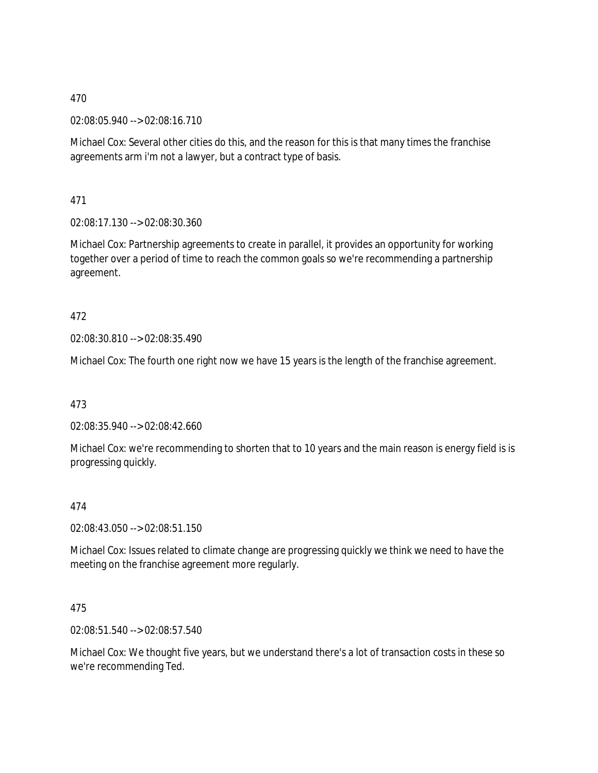02:08:05.940 --> 02:08:16.710

Michael Cox: Several other cities do this, and the reason for this is that many times the franchise agreements arm i'm not a lawyer, but a contract type of basis.

471

02:08:17.130 --> 02:08:30.360

Michael Cox: Partnership agreements to create in parallel, it provides an opportunity for working together over a period of time to reach the common goals so we're recommending a partnership agreement.

# 472

02:08:30.810 --> 02:08:35.490

Michael Cox: The fourth one right now we have 15 years is the length of the franchise agreement.

473

02:08:35.940 --> 02:08:42.660

Michael Cox: we're recommending to shorten that to 10 years and the main reason is energy field is is progressing quickly.

# 474

02:08:43.050 --> 02:08:51.150

Michael Cox: Issues related to climate change are progressing quickly we think we need to have the meeting on the franchise agreement more regularly.

# 475

02:08:51.540 --> 02:08:57.540

Michael Cox: We thought five years, but we understand there's a lot of transaction costs in these so we're recommending Ted.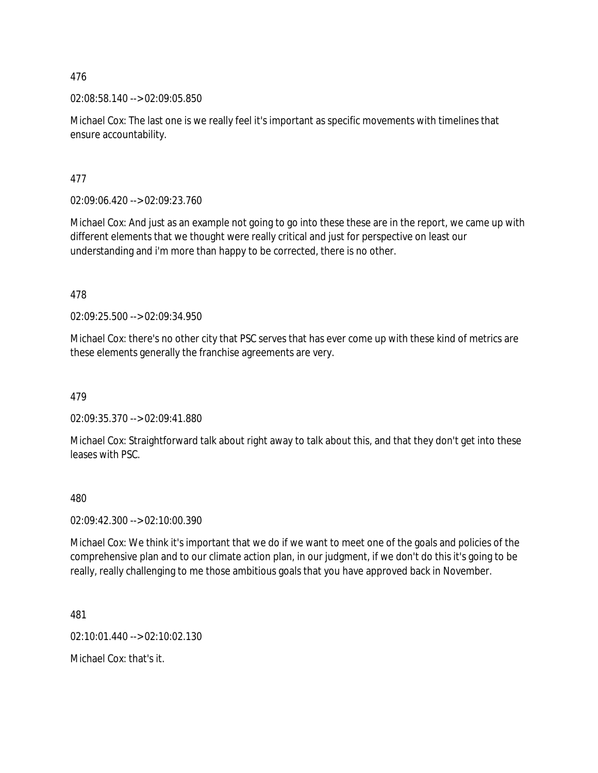02:08:58.140 --> 02:09:05.850

Michael Cox: The last one is we really feel it's important as specific movements with timelines that ensure accountability.

477

02:09:06.420 --> 02:09:23.760

Michael Cox: And just as an example not going to go into these these are in the report, we came up with different elements that we thought were really critical and just for perspective on least our understanding and i'm more than happy to be corrected, there is no other.

478

02:09:25.500 --> 02:09:34.950

Michael Cox: there's no other city that PSC serves that has ever come up with these kind of metrics are these elements generally the franchise agreements are very.

479

02:09:35.370 --> 02:09:41.880

Michael Cox: Straightforward talk about right away to talk about this, and that they don't get into these leases with PSC.

480

02:09:42.300 --> 02:10:00.390

Michael Cox: We think it's important that we do if we want to meet one of the goals and policies of the comprehensive plan and to our climate action plan, in our judgment, if we don't do this it's going to be really, really challenging to me those ambitious goals that you have approved back in November.

481

02:10:01.440 --> 02:10:02.130

Michael Cox: that's it.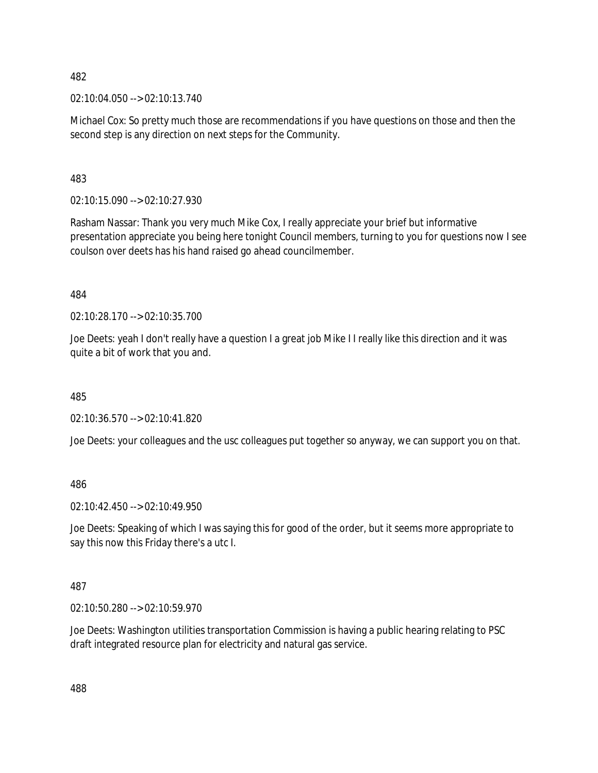02:10:04.050 --> 02:10:13.740

Michael Cox: So pretty much those are recommendations if you have questions on those and then the second step is any direction on next steps for the Community.

483

02:10:15.090 --> 02:10:27.930

Rasham Nassar: Thank you very much Mike Cox, I really appreciate your brief but informative presentation appreciate you being here tonight Council members, turning to you for questions now I see coulson over deets has his hand raised go ahead councilmember.

484

02:10:28.170 --> 02:10:35.700

Joe Deets: yeah I don't really have a question I a great job Mike I I really like this direction and it was quite a bit of work that you and.

485

02:10:36.570 --> 02:10:41.820

Joe Deets: your colleagues and the usc colleagues put together so anyway, we can support you on that.

486

02:10:42.450 --> 02:10:49.950

Joe Deets: Speaking of which I was saying this for good of the order, but it seems more appropriate to say this now this Friday there's a utc I.

487

02:10:50.280 --> 02:10:59.970

Joe Deets: Washington utilities transportation Commission is having a public hearing relating to PSC draft integrated resource plan for electricity and natural gas service.

488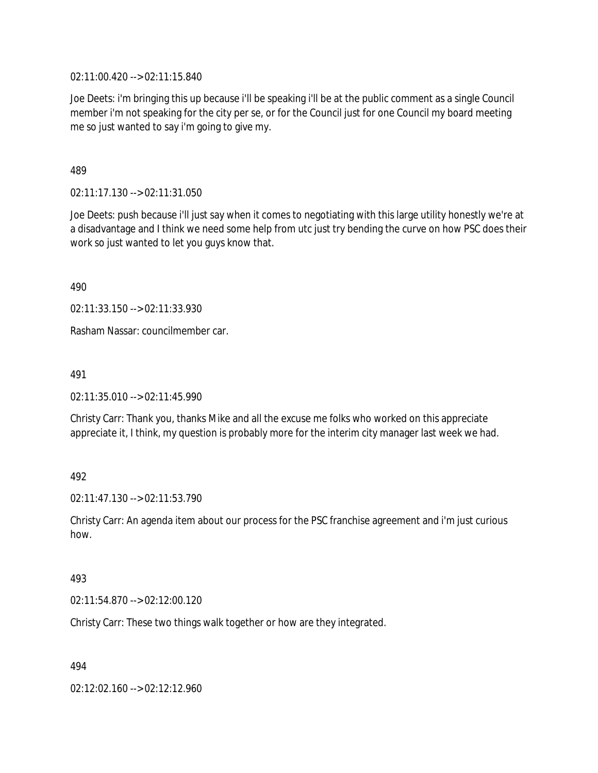02:11:00.420 --> 02:11:15.840

Joe Deets: i'm bringing this up because i'll be speaking i'll be at the public comment as a single Council member i'm not speaking for the city per se, or for the Council just for one Council my board meeting me so just wanted to say i'm going to give my.

489

02:11:17.130 --> 02:11:31.050

Joe Deets: push because i'll just say when it comes to negotiating with this large utility honestly we're at a disadvantage and I think we need some help from utc just try bending the curve on how PSC does their work so just wanted to let you guys know that.

490

02:11:33.150 --> 02:11:33.930

Rasham Nassar: councilmember car.

491

02:11:35.010 --> 02:11:45.990

Christy Carr: Thank you, thanks Mike and all the excuse me folks who worked on this appreciate appreciate it, I think, my question is probably more for the interim city manager last week we had.

492

02:11:47.130 --> 02:11:53.790

Christy Carr: An agenda item about our process for the PSC franchise agreement and i'm just curious how.

493

02:11:54.870 --> 02:12:00.120

Christy Carr: These two things walk together or how are they integrated.

494

02:12:02.160 --> 02:12:12.960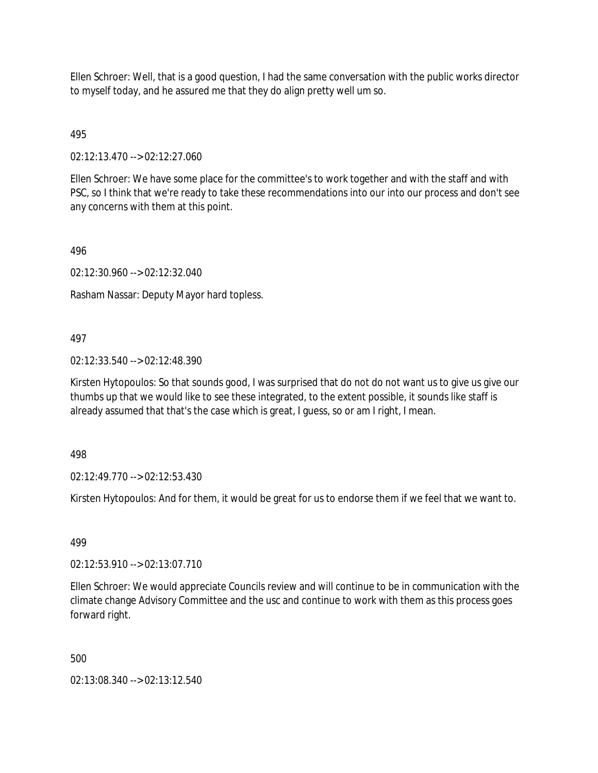Ellen Schroer: Well, that is a good question, I had the same conversation with the public works director to myself today, and he assured me that they do align pretty well um so.

# 495

02:12:13.470 --> 02:12:27.060

Ellen Schroer: We have some place for the committee's to work together and with the staff and with PSC, so I think that we're ready to take these recommendations into our into our process and don't see any concerns with them at this point.

### 496

02:12:30.960 --> 02:12:32.040

Rasham Nassar: Deputy Mayor hard topless.

# 497

02:12:33.540 --> 02:12:48.390

Kirsten Hytopoulos: So that sounds good, I was surprised that do not do not want us to give us give our thumbs up that we would like to see these integrated, to the extent possible, it sounds like staff is already assumed that that's the case which is great, I guess, so or am I right, I mean.

498

02:12:49.770 --> 02:12:53.430

Kirsten Hytopoulos: And for them, it would be great for us to endorse them if we feel that we want to.

499

02:12:53.910 --> 02:13:07.710

Ellen Schroer: We would appreciate Councils review and will continue to be in communication with the climate change Advisory Committee and the usc and continue to work with them as this process goes forward right.

500

02:13:08.340 --> 02:13:12.540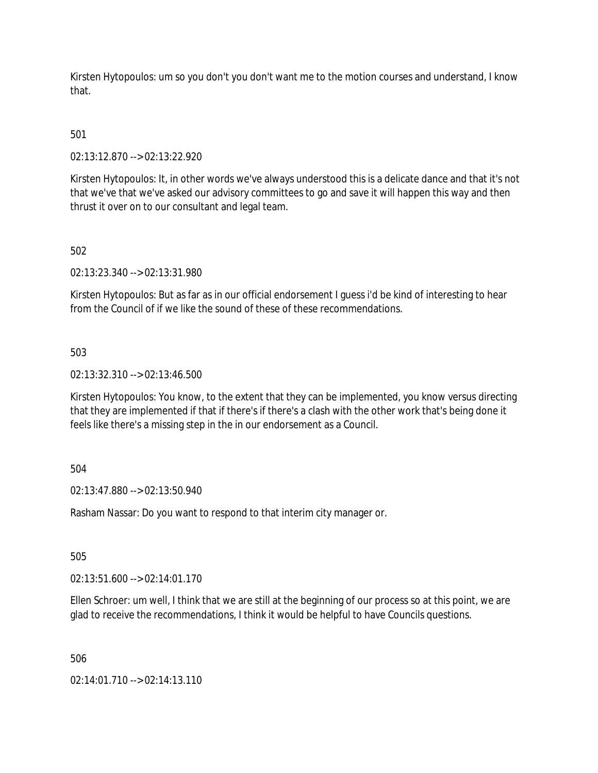Kirsten Hytopoulos: um so you don't you don't want me to the motion courses and understand, I know that.

# 501

02:13:12.870 --> 02:13:22.920

Kirsten Hytopoulos: It, in other words we've always understood this is a delicate dance and that it's not that we've that we've asked our advisory committees to go and save it will happen this way and then thrust it over on to our consultant and legal team.

### 502

02:13:23.340 --> 02:13:31.980

Kirsten Hytopoulos: But as far as in our official endorsement I guess i'd be kind of interesting to hear from the Council of if we like the sound of these of these recommendations.

#### 503

02:13:32.310 --> 02:13:46.500

Kirsten Hytopoulos: You know, to the extent that they can be implemented, you know versus directing that they are implemented if that if there's if there's a clash with the other work that's being done it feels like there's a missing step in the in our endorsement as a Council.

# 504

02:13:47.880 --> 02:13:50.940

Rasham Nassar: Do you want to respond to that interim city manager or.

505

02:13:51.600 --> 02:14:01.170

Ellen Schroer: um well, I think that we are still at the beginning of our process so at this point, we are glad to receive the recommendations, I think it would be helpful to have Councils questions.

506

02:14:01.710 --> 02:14:13.110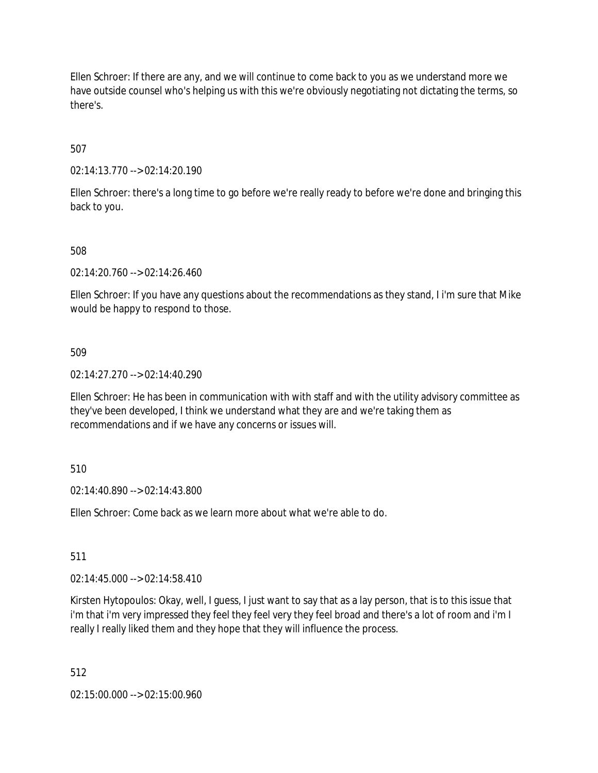Ellen Schroer: If there are any, and we will continue to come back to you as we understand more we have outside counsel who's helping us with this we're obviously negotiating not dictating the terms, so there's.

507

02:14:13.770 --> 02:14:20.190

Ellen Schroer: there's a long time to go before we're really ready to before we're done and bringing this back to you.

508

02:14:20.760 --> 02:14:26.460

Ellen Schroer: If you have any questions about the recommendations as they stand, I i'm sure that Mike would be happy to respond to those.

509

02:14:27.270 --> 02:14:40.290

Ellen Schroer: He has been in communication with with staff and with the utility advisory committee as they've been developed, I think we understand what they are and we're taking them as recommendations and if we have any concerns or issues will.

510

02:14:40.890 --> 02:14:43.800

Ellen Schroer: Come back as we learn more about what we're able to do.

511

02:14:45.000 --> 02:14:58.410

Kirsten Hytopoulos: Okay, well, I guess, I just want to say that as a lay person, that is to this issue that i'm that i'm very impressed they feel they feel very they feel broad and there's a lot of room and i'm I really I really liked them and they hope that they will influence the process.

512

02:15:00.000 --> 02:15:00.960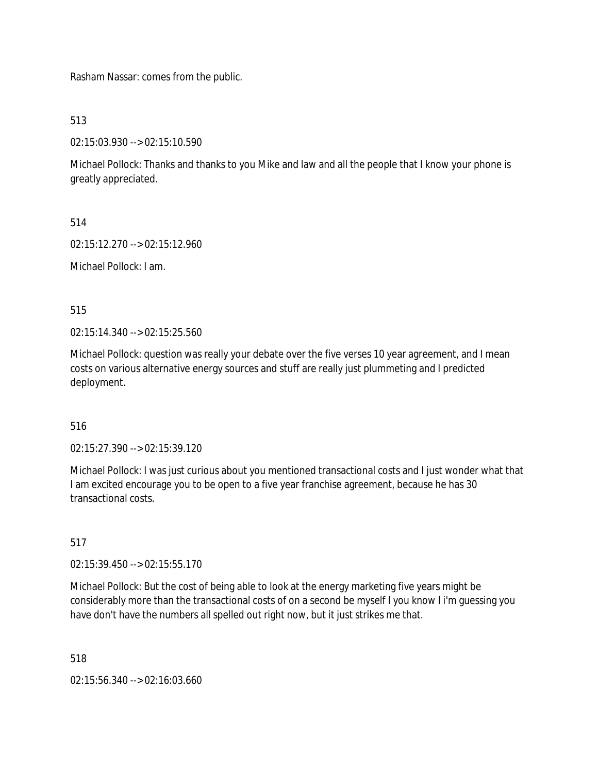Rasham Nassar: comes from the public.

513

02:15:03.930 --> 02:15:10.590

Michael Pollock: Thanks and thanks to you Mike and law and all the people that I know your phone is greatly appreciated.

514

02:15:12.270 --> 02:15:12.960

Michael Pollock: I am.

515

02:15:14.340 --> 02:15:25.560

Michael Pollock: question was really your debate over the five verses 10 year agreement, and I mean costs on various alternative energy sources and stuff are really just plummeting and I predicted deployment.

# 516

02:15:27.390 --> 02:15:39.120

Michael Pollock: I was just curious about you mentioned transactional costs and I just wonder what that I am excited encourage you to be open to a five year franchise agreement, because he has 30 transactional costs.

517

02:15:39.450 --> 02:15:55.170

Michael Pollock: But the cost of being able to look at the energy marketing five years might be considerably more than the transactional costs of on a second be myself I you know I i'm guessing you have don't have the numbers all spelled out right now, but it just strikes me that.

518

02:15:56.340 --> 02:16:03.660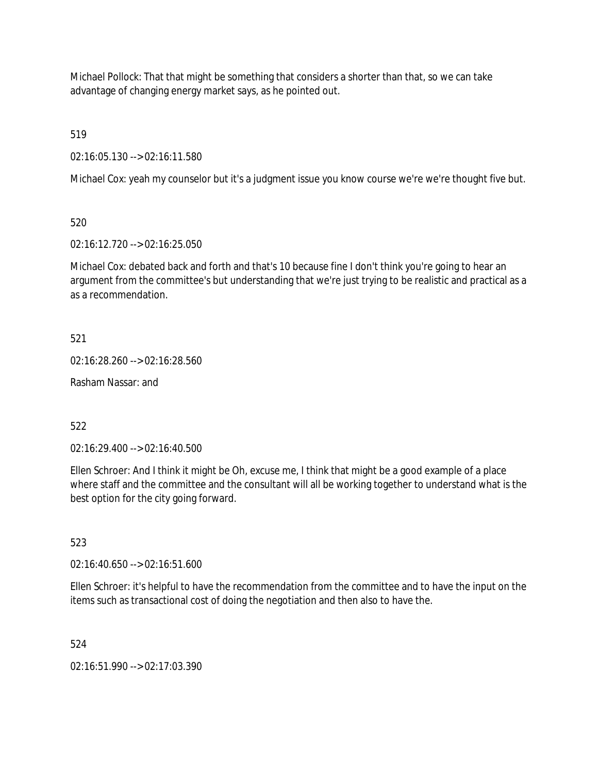Michael Pollock: That that might be something that considers a shorter than that, so we can take advantage of changing energy market says, as he pointed out.

519

02:16:05.130 --> 02:16:11.580

Michael Cox: yeah my counselor but it's a judgment issue you know course we're we're thought five but.

520

02:16:12.720 --> 02:16:25.050

Michael Cox: debated back and forth and that's 10 because fine I don't think you're going to hear an argument from the committee's but understanding that we're just trying to be realistic and practical as a as a recommendation.

521

02:16:28.260 --> 02:16:28.560

Rasham Nassar: and

522

02:16:29.400 --> 02:16:40.500

Ellen Schroer: And I think it might be Oh, excuse me, I think that might be a good example of a place where staff and the committee and the consultant will all be working together to understand what is the best option for the city going forward.

523

02:16:40.650 --> 02:16:51.600

Ellen Schroer: it's helpful to have the recommendation from the committee and to have the input on the items such as transactional cost of doing the negotiation and then also to have the.

524

02:16:51.990 --> 02:17:03.390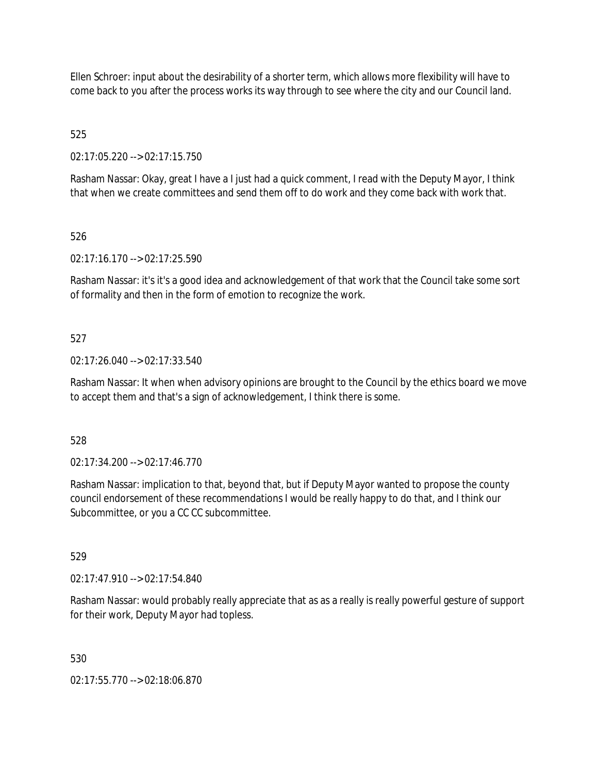Ellen Schroer: input about the desirability of a shorter term, which allows more flexibility will have to come back to you after the process works its way through to see where the city and our Council land.

525

02:17:05.220 --> 02:17:15.750

Rasham Nassar: Okay, great I have a I just had a quick comment, I read with the Deputy Mayor, I think that when we create committees and send them off to do work and they come back with work that.

### 526

02:17:16.170 --> 02:17:25.590

Rasham Nassar: it's it's a good idea and acknowledgement of that work that the Council take some sort of formality and then in the form of emotion to recognize the work.

### 527

02:17:26.040 --> 02:17:33.540

Rasham Nassar: It when when advisory opinions are brought to the Council by the ethics board we move to accept them and that's a sign of acknowledgement, I think there is some.

528

02:17:34.200 --> 02:17:46.770

Rasham Nassar: implication to that, beyond that, but if Deputy Mayor wanted to propose the county council endorsement of these recommendations I would be really happy to do that, and I think our Subcommittee, or you a CC CC subcommittee.

529

02:17:47.910 --> 02:17:54.840

Rasham Nassar: would probably really appreciate that as as a really is really powerful gesture of support for their work, Deputy Mayor had topless.

530

02:17:55.770 --> 02:18:06.870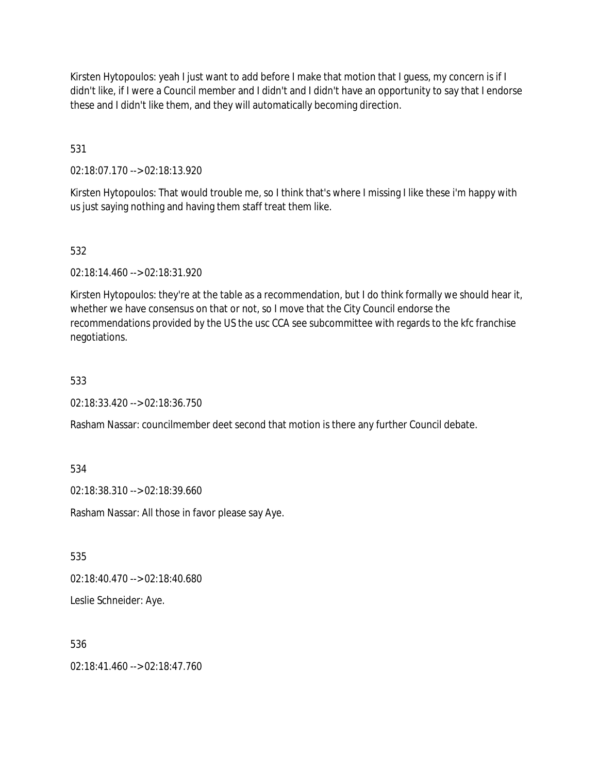Kirsten Hytopoulos: yeah I just want to add before I make that motion that I guess, my concern is if I didn't like, if I were a Council member and I didn't and I didn't have an opportunity to say that I endorse these and I didn't like them, and they will automatically becoming direction.

531

02:18:07.170 --> 02:18:13.920

Kirsten Hytopoulos: That would trouble me, so I think that's where I missing I like these i'm happy with us just saying nothing and having them staff treat them like.

# 532

02:18:14.460 --> 02:18:31.920

Kirsten Hytopoulos: they're at the table as a recommendation, but I do think formally we should hear it, whether we have consensus on that or not, so I move that the City Council endorse the recommendations provided by the US the usc CCA see subcommittee with regards to the kfc franchise negotiations.

### 533

02:18:33.420 --> 02:18:36.750

Rasham Nassar: councilmember deet second that motion is there any further Council debate.

534

02:18:38.310 --> 02:18:39.660

Rasham Nassar: All those in favor please say Aye.

535

02:18:40.470 --> 02:18:40.680

Leslie Schneider: Aye.

### 536

02:18:41.460 --> 02:18:47.760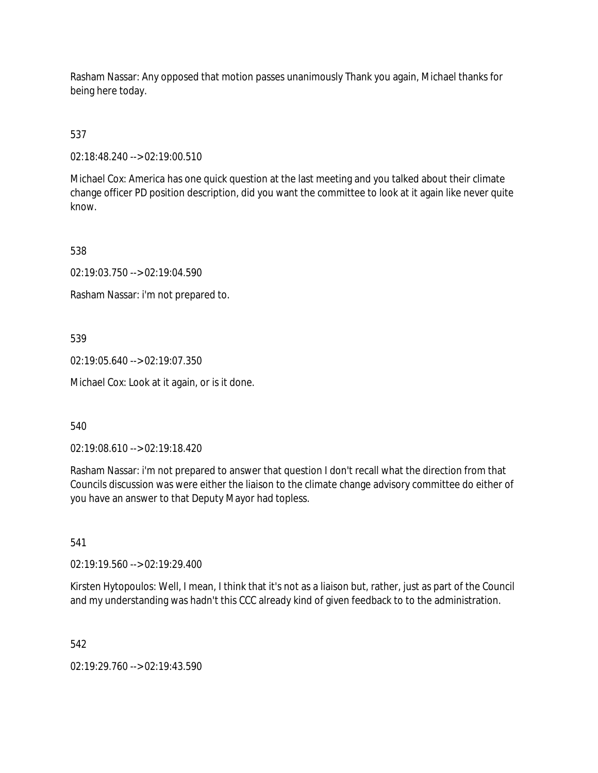Rasham Nassar: Any opposed that motion passes unanimously Thank you again, Michael thanks for being here today.

537

02:18:48.240 --> 02:19:00.510

Michael Cox: America has one quick question at the last meeting and you talked about their climate change officer PD position description, did you want the committee to look at it again like never quite know.

538

02:19:03.750 --> 02:19:04.590

Rasham Nassar: i'm not prepared to.

539

02:19:05.640 --> 02:19:07.350

Michael Cox: Look at it again, or is it done.

540

02:19:08.610 --> 02:19:18.420

Rasham Nassar: i'm not prepared to answer that question I don't recall what the direction from that Councils discussion was were either the liaison to the climate change advisory committee do either of you have an answer to that Deputy Mayor had topless.

541

02:19:19.560 --> 02:19:29.400

Kirsten Hytopoulos: Well, I mean, I think that it's not as a liaison but, rather, just as part of the Council and my understanding was hadn't this CCC already kind of given feedback to to the administration.

542

02:19:29.760 --> 02:19:43.590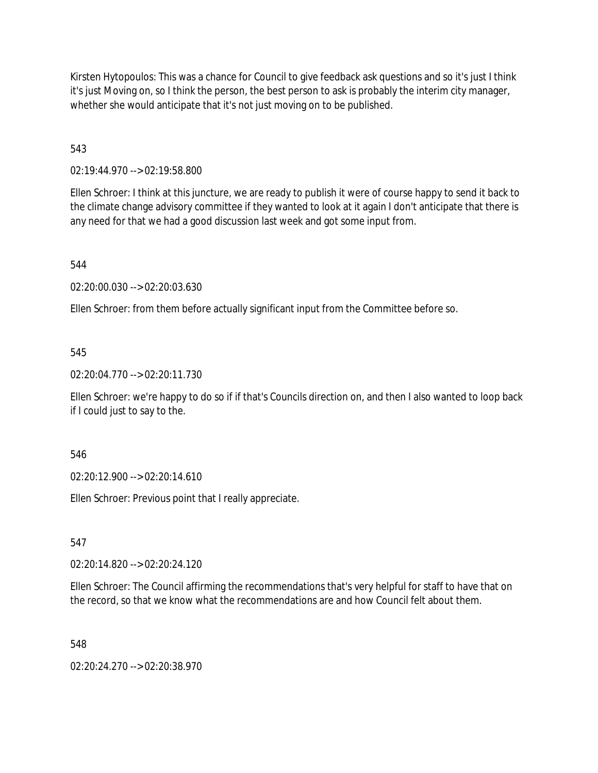Kirsten Hytopoulos: This was a chance for Council to give feedback ask questions and so it's just I think it's just Moving on, so I think the person, the best person to ask is probably the interim city manager, whether she would anticipate that it's not just moving on to be published.

543

02:19:44.970 --> 02:19:58.800

Ellen Schroer: I think at this juncture, we are ready to publish it were of course happy to send it back to the climate change advisory committee if they wanted to look at it again I don't anticipate that there is any need for that we had a good discussion last week and got some input from.

544

02:20:00.030 --> 02:20:03.630

Ellen Schroer: from them before actually significant input from the Committee before so.

545

02:20:04.770 --> 02:20:11.730

Ellen Schroer: we're happy to do so if if that's Councils direction on, and then I also wanted to loop back if I could just to say to the.

546

02:20:12.900 --> 02:20:14.610

Ellen Schroer: Previous point that I really appreciate.

547

02:20:14.820 --> 02:20:24.120

Ellen Schroer: The Council affirming the recommendations that's very helpful for staff to have that on the record, so that we know what the recommendations are and how Council felt about them.

548

02:20:24.270 --> 02:20:38.970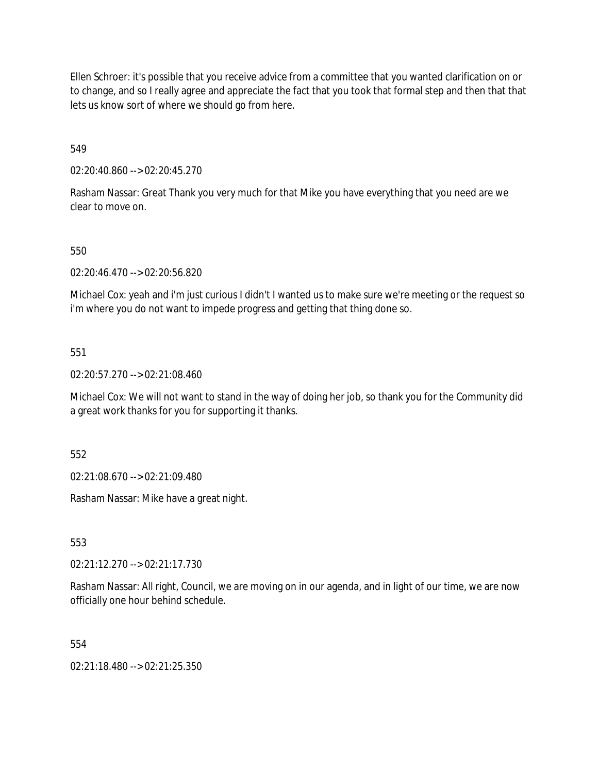Ellen Schroer: it's possible that you receive advice from a committee that you wanted clarification on or to change, and so I really agree and appreciate the fact that you took that formal step and then that that lets us know sort of where we should go from here.

549

02:20:40.860 --> 02:20:45.270

Rasham Nassar: Great Thank you very much for that Mike you have everything that you need are we clear to move on.

550

02:20:46.470 --> 02:20:56.820

Michael Cox: yeah and i'm just curious I didn't I wanted us to make sure we're meeting or the request so i'm where you do not want to impede progress and getting that thing done so.

551

02:20:57.270 --> 02:21:08.460

Michael Cox: We will not want to stand in the way of doing her job, so thank you for the Community did a great work thanks for you for supporting it thanks.

552

02:21:08.670 --> 02:21:09.480

Rasham Nassar: Mike have a great night.

553

02:21:12.270 --> 02:21:17.730

Rasham Nassar: All right, Council, we are moving on in our agenda, and in light of our time, we are now officially one hour behind schedule.

554

02:21:18.480 --> 02:21:25.350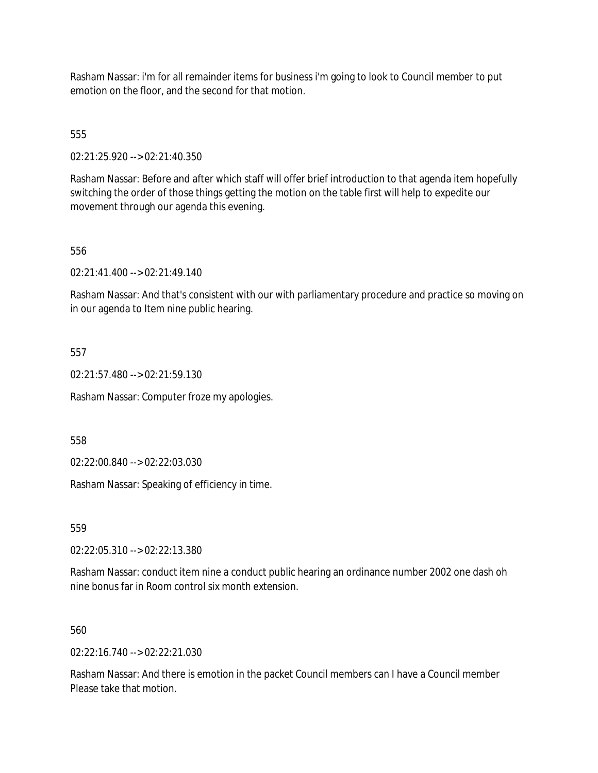Rasham Nassar: i'm for all remainder items for business i'm going to look to Council member to put emotion on the floor, and the second for that motion.

555

02:21:25.920 --> 02:21:40.350

Rasham Nassar: Before and after which staff will offer brief introduction to that agenda item hopefully switching the order of those things getting the motion on the table first will help to expedite our movement through our agenda this evening.

556

02:21:41.400 --> 02:21:49.140

Rasham Nassar: And that's consistent with our with parliamentary procedure and practice so moving on in our agenda to Item nine public hearing.

557

02:21:57.480 --> 02:21:59.130

Rasham Nassar: Computer froze my apologies.

558

02:22:00.840 --> 02:22:03.030

Rasham Nassar: Speaking of efficiency in time.

559

02:22:05.310 --> 02:22:13.380

Rasham Nassar: conduct item nine a conduct public hearing an ordinance number 2002 one dash oh nine bonus far in Room control six month extension.

560

 $02:22:16.740 \rightarrow 02:22:21.030$ 

Rasham Nassar: And there is emotion in the packet Council members can I have a Council member Please take that motion.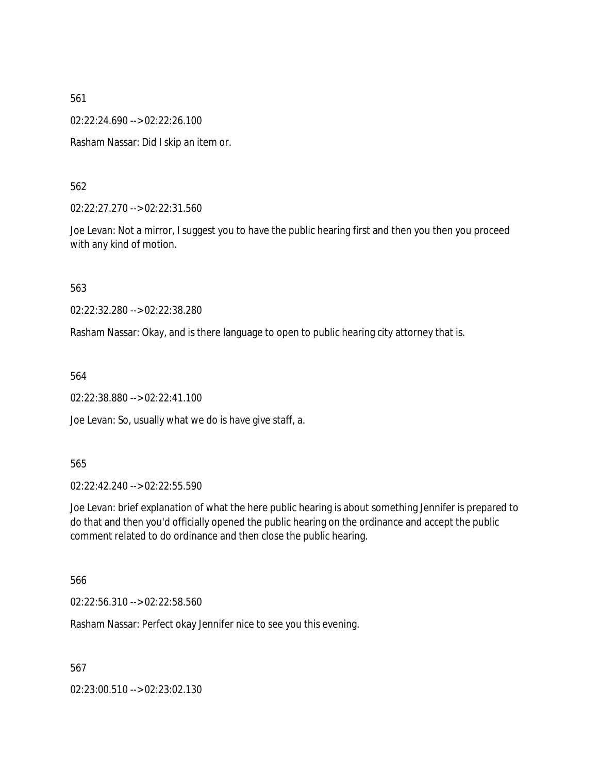02:22:24.690 --> 02:22:26.100

Rasham Nassar: Did I skip an item or.

562

02:22:27.270 --> 02:22:31.560

Joe Levan: Not a mirror, I suggest you to have the public hearing first and then you then you proceed with any kind of motion.

563

02:22:32.280 --> 02:22:38.280

Rasham Nassar: Okay, and is there language to open to public hearing city attorney that is.

564

02:22:38.880 --> 02:22:41.100

Joe Levan: So, usually what we do is have give staff, a.

565

02:22:42.240 --> 02:22:55.590

Joe Levan: brief explanation of what the here public hearing is about something Jennifer is prepared to do that and then you'd officially opened the public hearing on the ordinance and accept the public comment related to do ordinance and then close the public hearing.

566

02:22:56.310 --> 02:22:58.560

Rasham Nassar: Perfect okay Jennifer nice to see you this evening.

567

02:23:00.510 --> 02:23:02.130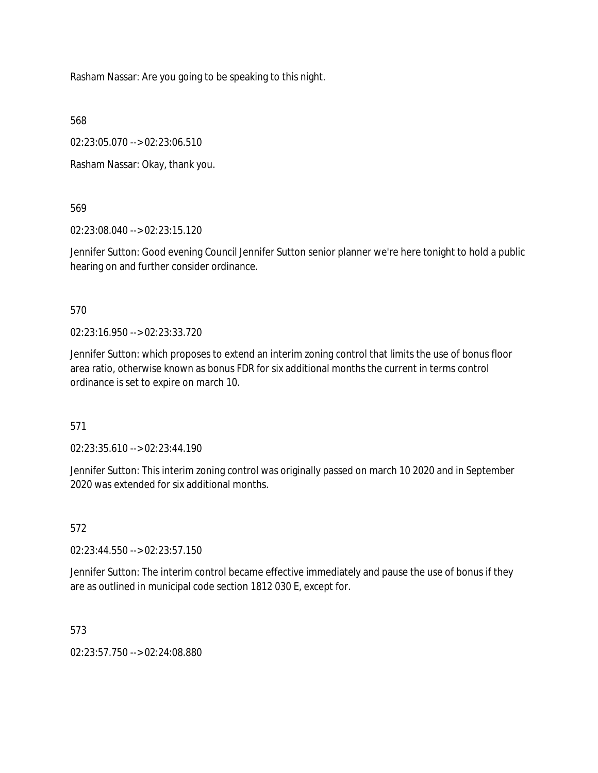Rasham Nassar: Are you going to be speaking to this night.

568

02:23:05.070 --> 02:23:06.510

Rasham Nassar: Okay, thank you.

569

02:23:08.040 --> 02:23:15.120

Jennifer Sutton: Good evening Council Jennifer Sutton senior planner we're here tonight to hold a public hearing on and further consider ordinance.

570

02:23:16.950 --> 02:23:33.720

Jennifer Sutton: which proposes to extend an interim zoning control that limits the use of bonus floor area ratio, otherwise known as bonus FDR for six additional months the current in terms control ordinance is set to expire on march 10.

571

02:23:35.610 --> 02:23:44.190

Jennifer Sutton: This interim zoning control was originally passed on march 10 2020 and in September 2020 was extended for six additional months.

572

02:23:44.550 --> 02:23:57.150

Jennifer Sutton: The interim control became effective immediately and pause the use of bonus if they are as outlined in municipal code section 1812 030 E, except for.

573

02:23:57.750 --> 02:24:08.880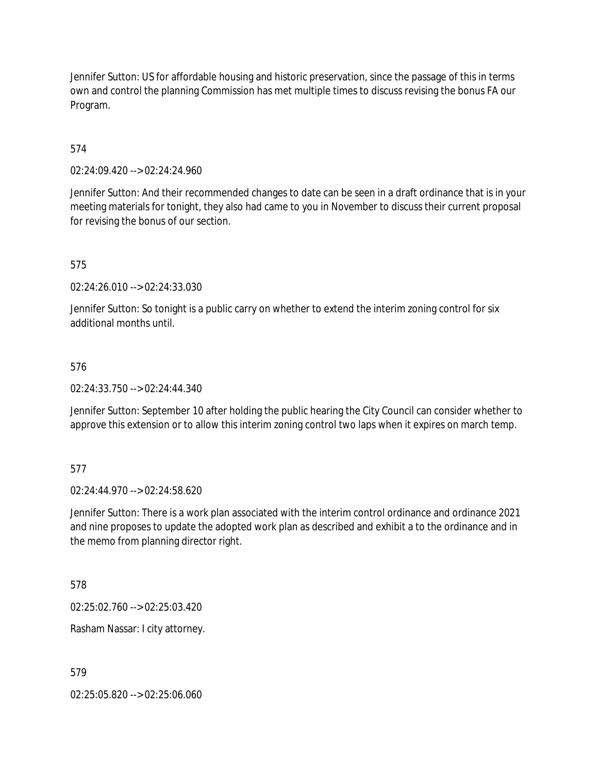Jennifer Sutton: US for affordable housing and historic preservation, since the passage of this in terms own and control the planning Commission has met multiple times to discuss revising the bonus FA our Program.

574

02:24:09.420 --> 02:24:24.960

Jennifer Sutton: And their recommended changes to date can be seen in a draft ordinance that is in your meeting materials for tonight, they also had came to you in November to discuss their current proposal for revising the bonus of our section.

575

02:24:26.010 --> 02:24:33.030

Jennifer Sutton: So tonight is a public carry on whether to extend the interim zoning control for six additional months until.

#### 576

02:24:33.750 --> 02:24:44.340

Jennifer Sutton: September 10 after holding the public hearing the City Council can consider whether to approve this extension or to allow this interim zoning control two laps when it expires on march temp.

#### 577

02:24:44.970 --> 02:24:58.620

Jennifer Sutton: There is a work plan associated with the interim control ordinance and ordinance 2021 and nine proposes to update the adopted work plan as described and exhibit a to the ordinance and in the memo from planning director right.

578

02:25:02.760 --> 02:25:03.420

Rasham Nassar: I city attorney.

579

02:25:05.820 --> 02:25:06.060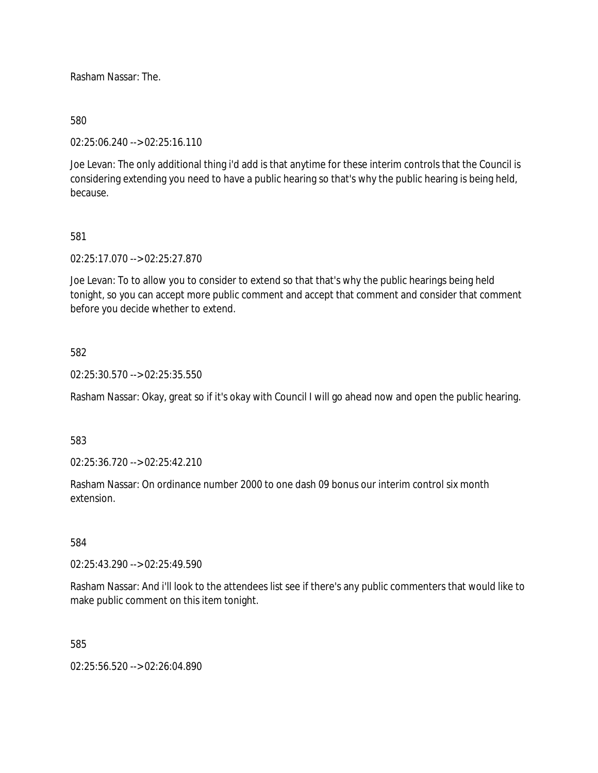Rasham Nassar: The.

### 580

02:25:06.240 --> 02:25:16.110

Joe Levan: The only additional thing i'd add is that anytime for these interim controls that the Council is considering extending you need to have a public hearing so that's why the public hearing is being held, because.

### 581

02:25:17.070 --> 02:25:27.870

Joe Levan: To to allow you to consider to extend so that that's why the public hearings being held tonight, so you can accept more public comment and accept that comment and consider that comment before you decide whether to extend.

### 582

02:25:30.570 --> 02:25:35.550

Rasham Nassar: Okay, great so if it's okay with Council I will go ahead now and open the public hearing.

583

02:25:36.720 --> 02:25:42.210

Rasham Nassar: On ordinance number 2000 to one dash 09 bonus our interim control six month extension.

#### 584

02:25:43.290 --> 02:25:49.590

Rasham Nassar: And i'll look to the attendees list see if there's any public commenters that would like to make public comment on this item tonight.

585

02:25:56.520 --> 02:26:04.890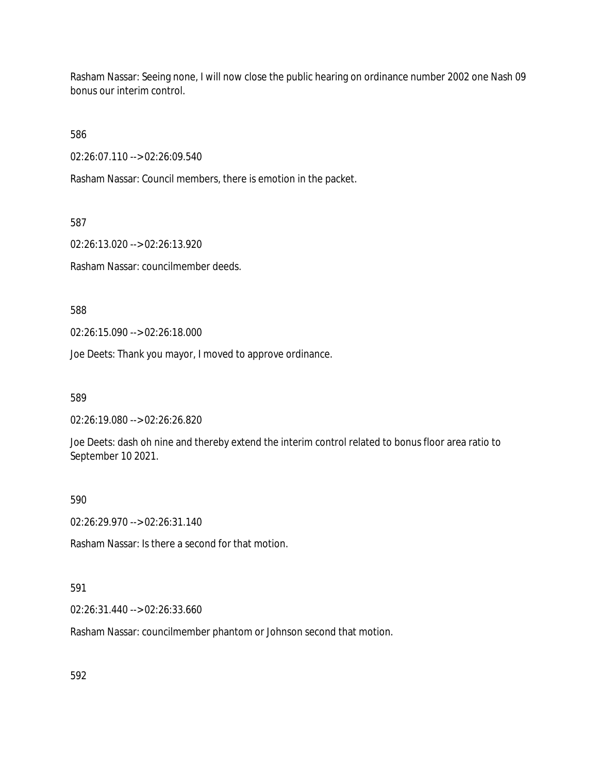Rasham Nassar: Seeing none, I will now close the public hearing on ordinance number 2002 one Nash 09 bonus our interim control.

586

02:26:07.110 --> 02:26:09.540

Rasham Nassar: Council members, there is emotion in the packet.

587

02:26:13.020 --> 02:26:13.920

Rasham Nassar: councilmember deeds.

588

02:26:15.090 --> 02:26:18.000

Joe Deets: Thank you mayor, I moved to approve ordinance.

589

02:26:19.080 --> 02:26:26.820

Joe Deets: dash oh nine and thereby extend the interim control related to bonus floor area ratio to September 10 2021.

590

02:26:29.970 --> 02:26:31.140

Rasham Nassar: Is there a second for that motion.

# 591

02:26:31.440 --> 02:26:33.660

Rasham Nassar: councilmember phantom or Johnson second that motion.

592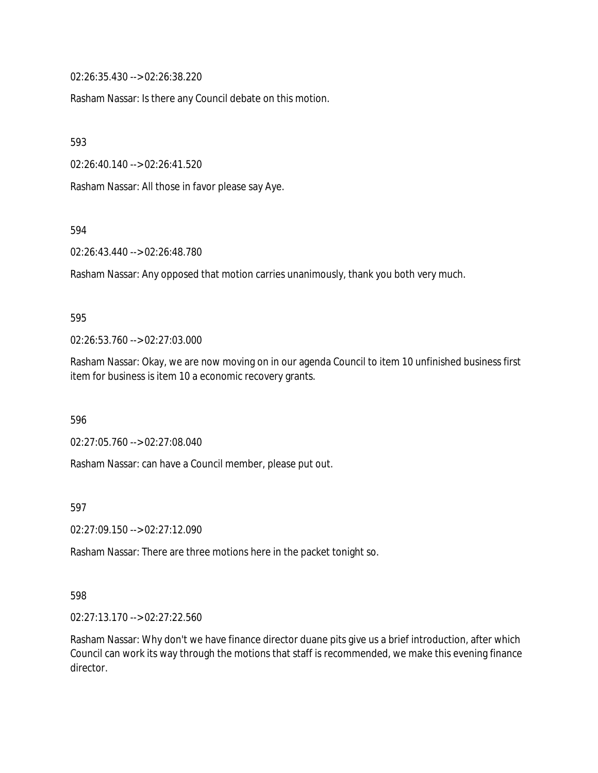02:26:35.430 --> 02:26:38.220

Rasham Nassar: Is there any Council debate on this motion.

593

02:26:40.140 --> 02:26:41.520

Rasham Nassar: All those in favor please say Aye.

594

02:26:43.440 --> 02:26:48.780

Rasham Nassar: Any opposed that motion carries unanimously, thank you both very much.

#### 595

02:26:53.760 --> 02:27:03.000

Rasham Nassar: Okay, we are now moving on in our agenda Council to item 10 unfinished business first item for business is item 10 a economic recovery grants.

596

02:27:05.760 --> 02:27:08.040

Rasham Nassar: can have a Council member, please put out.

597

02:27:09.150 --> 02:27:12.090

Rasham Nassar: There are three motions here in the packet tonight so.

#### 598

02:27:13.170 --> 02:27:22.560

Rasham Nassar: Why don't we have finance director duane pits give us a brief introduction, after which Council can work its way through the motions that staff is recommended, we make this evening finance director.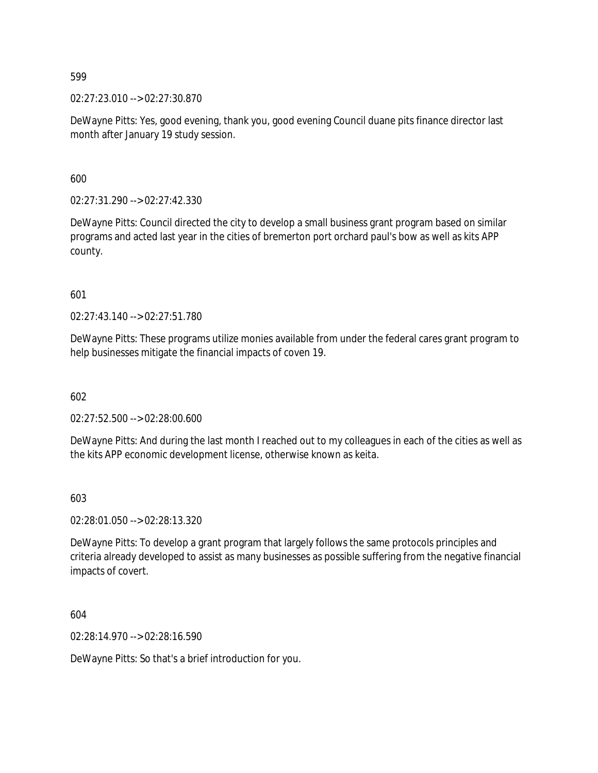02:27:23.010 --> 02:27:30.870

DeWayne Pitts: Yes, good evening, thank you, good evening Council duane pits finance director last month after January 19 study session.

600

02:27:31.290 --> 02:27:42.330

DeWayne Pitts: Council directed the city to develop a small business grant program based on similar programs and acted last year in the cities of bremerton port orchard paul's bow as well as kits APP county.

601

02:27:43.140 --> 02:27:51.780

DeWayne Pitts: These programs utilize monies available from under the federal cares grant program to help businesses mitigate the financial impacts of coven 19.

602

02:27:52.500 --> 02:28:00.600

DeWayne Pitts: And during the last month I reached out to my colleagues in each of the cities as well as the kits APP economic development license, otherwise known as keita.

603

02:28:01.050 --> 02:28:13.320

DeWayne Pitts: To develop a grant program that largely follows the same protocols principles and criteria already developed to assist as many businesses as possible suffering from the negative financial impacts of covert.

604

02:28:14.970 --> 02:28:16.590

DeWayne Pitts: So that's a brief introduction for you.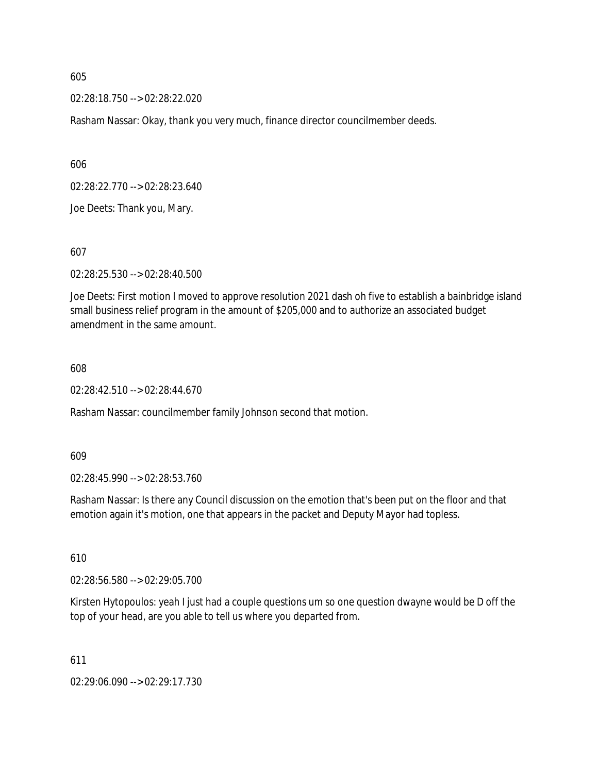02:28:18.750 --> 02:28:22.020

Rasham Nassar: Okay, thank you very much, finance director councilmember deeds.

606

02:28:22.770 --> 02:28:23.640

Joe Deets: Thank you, Mary.

607

02:28:25.530 --> 02:28:40.500

Joe Deets: First motion I moved to approve resolution 2021 dash oh five to establish a bainbridge island small business relief program in the amount of \$205,000 and to authorize an associated budget amendment in the same amount.

#### 608

02:28:42.510 --> 02:28:44.670

Rasham Nassar: councilmember family Johnson second that motion.

609

02:28:45.990 --> 02:28:53.760

Rasham Nassar: Is there any Council discussion on the emotion that's been put on the floor and that emotion again it's motion, one that appears in the packet and Deputy Mayor had topless.

610

02:28:56.580 --> 02:29:05.700

Kirsten Hytopoulos: yeah I just had a couple questions um so one question dwayne would be D off the top of your head, are you able to tell us where you departed from.

611

02:29:06.090 --> 02:29:17.730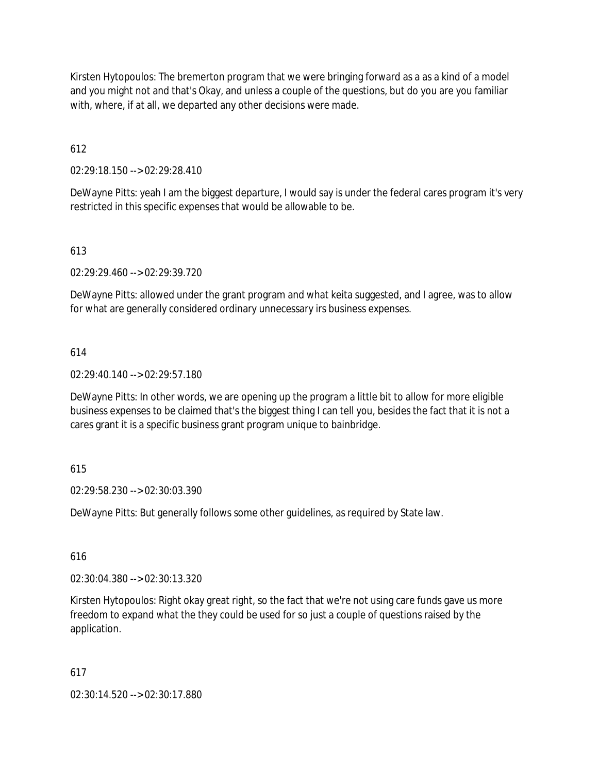Kirsten Hytopoulos: The bremerton program that we were bringing forward as a as a kind of a model and you might not and that's Okay, and unless a couple of the questions, but do you are you familiar with, where, if at all, we departed any other decisions were made.

612

02:29:18.150 --> 02:29:28.410

DeWayne Pitts: yeah I am the biggest departure, I would say is under the federal cares program it's very restricted in this specific expenses that would be allowable to be.

613

02:29:29.460 --> 02:29:39.720

DeWayne Pitts: allowed under the grant program and what keita suggested, and I agree, was to allow for what are generally considered ordinary unnecessary irs business expenses.

614

02:29:40.140 --> 02:29:57.180

DeWayne Pitts: In other words, we are opening up the program a little bit to allow for more eligible business expenses to be claimed that's the biggest thing I can tell you, besides the fact that it is not a cares grant it is a specific business grant program unique to bainbridge.

615

02:29:58.230 --> 02:30:03.390

DeWayne Pitts: But generally follows some other guidelines, as required by State law.

616

02:30:04.380 --> 02:30:13.320

Kirsten Hytopoulos: Right okay great right, so the fact that we're not using care funds gave us more freedom to expand what the they could be used for so just a couple of questions raised by the application.

617

02:30:14.520 --> 02:30:17.880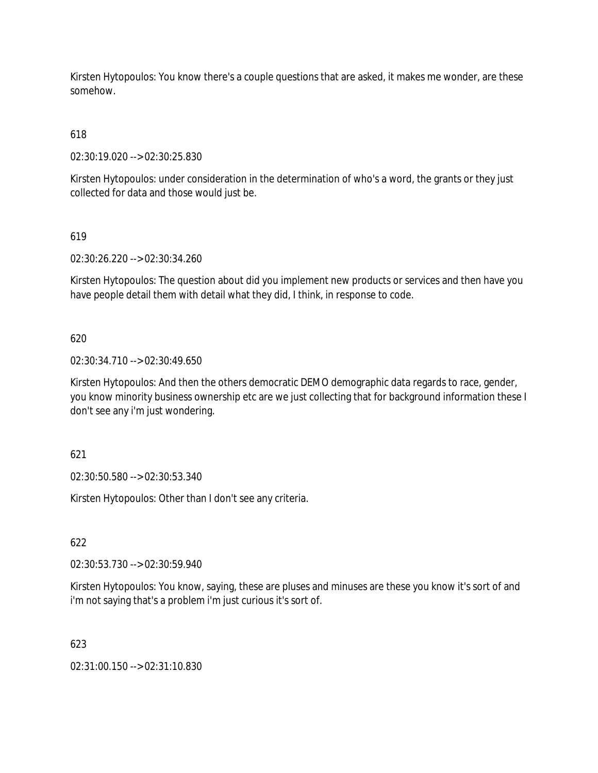Kirsten Hytopoulos: You know there's a couple questions that are asked, it makes me wonder, are these somehow.

618

02:30:19.020 --> 02:30:25.830

Kirsten Hytopoulos: under consideration in the determination of who's a word, the grants or they just collected for data and those would just be.

619

02:30:26.220 --> 02:30:34.260

Kirsten Hytopoulos: The question about did you implement new products or services and then have you have people detail them with detail what they did, I think, in response to code.

620

02:30:34.710 --> 02:30:49.650

Kirsten Hytopoulos: And then the others democratic DEMO demographic data regards to race, gender, you know minority business ownership etc are we just collecting that for background information these I don't see any i'm just wondering.

621

02:30:50.580 --> 02:30:53.340

Kirsten Hytopoulos: Other than I don't see any criteria.

622

02:30:53.730 --> 02:30:59.940

Kirsten Hytopoulos: You know, saying, these are pluses and minuses are these you know it's sort of and i'm not saying that's a problem i'm just curious it's sort of.

623

02:31:00.150 --> 02:31:10.830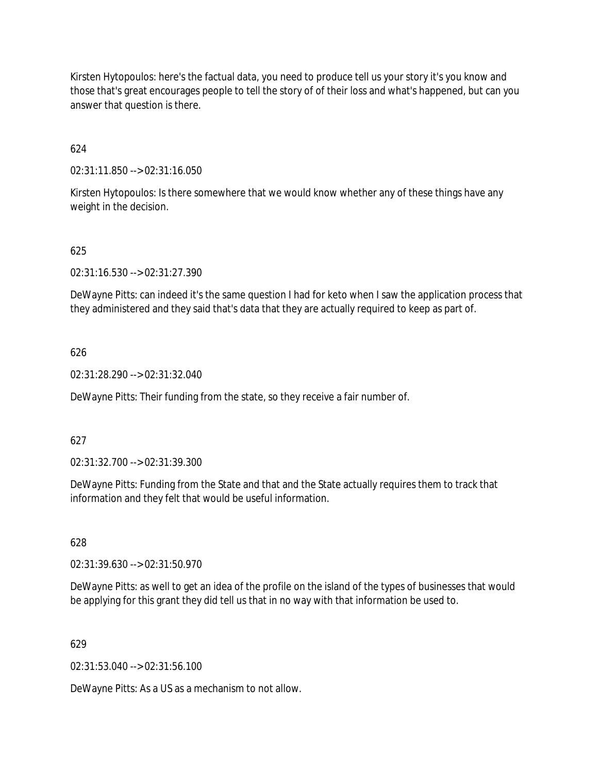Kirsten Hytopoulos: here's the factual data, you need to produce tell us your story it's you know and those that's great encourages people to tell the story of of their loss and what's happened, but can you answer that question is there.

624

02:31:11.850 --> 02:31:16.050

Kirsten Hytopoulos: Is there somewhere that we would know whether any of these things have any weight in the decision.

#### 625

02:31:16.530 --> 02:31:27.390

DeWayne Pitts: can indeed it's the same question I had for keto when I saw the application process that they administered and they said that's data that they are actually required to keep as part of.

#### 626

02:31:28.290 --> 02:31:32.040

DeWayne Pitts: Their funding from the state, so they receive a fair number of.

#### 627

02:31:32.700 --> 02:31:39.300

DeWayne Pitts: Funding from the State and that and the State actually requires them to track that information and they felt that would be useful information.

628

02:31:39.630 --> 02:31:50.970

DeWayne Pitts: as well to get an idea of the profile on the island of the types of businesses that would be applying for this grant they did tell us that in no way with that information be used to.

#### 629

02:31:53.040 --> 02:31:56.100

DeWayne Pitts: As a US as a mechanism to not allow.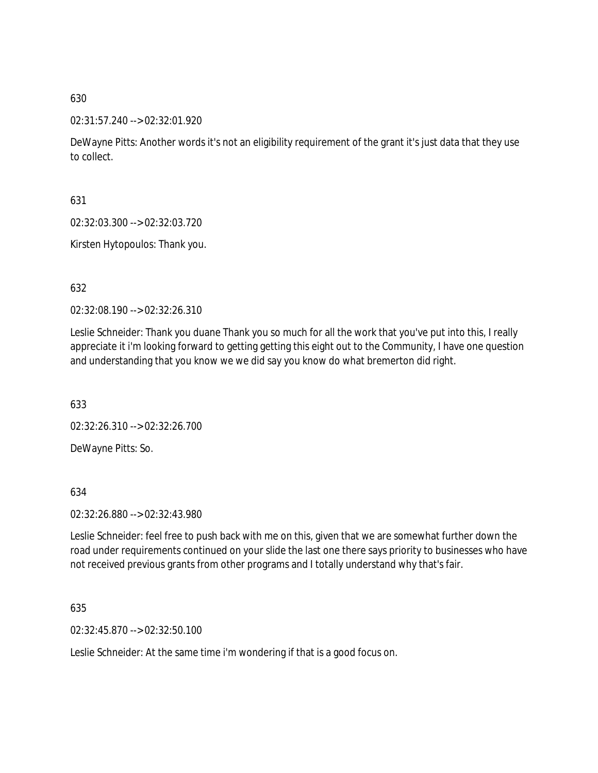02:31:57.240 --> 02:32:01.920

DeWayne Pitts: Another words it's not an eligibility requirement of the grant it's just data that they use to collect.

631

02:32:03.300 --> 02:32:03.720

Kirsten Hytopoulos: Thank you.

632

02:32:08.190 --> 02:32:26.310

Leslie Schneider: Thank you duane Thank you so much for all the work that you've put into this, I really appreciate it i'm looking forward to getting getting this eight out to the Community, I have one question and understanding that you know we we did say you know do what bremerton did right.

633

02:32:26.310 --> 02:32:26.700

DeWayne Pitts: So.

634

02:32:26.880 --> 02:32:43.980

Leslie Schneider: feel free to push back with me on this, given that we are somewhat further down the road under requirements continued on your slide the last one there says priority to businesses who have not received previous grants from other programs and I totally understand why that's fair.

635

02:32:45.870 --> 02:32:50.100

Leslie Schneider: At the same time i'm wondering if that is a good focus on.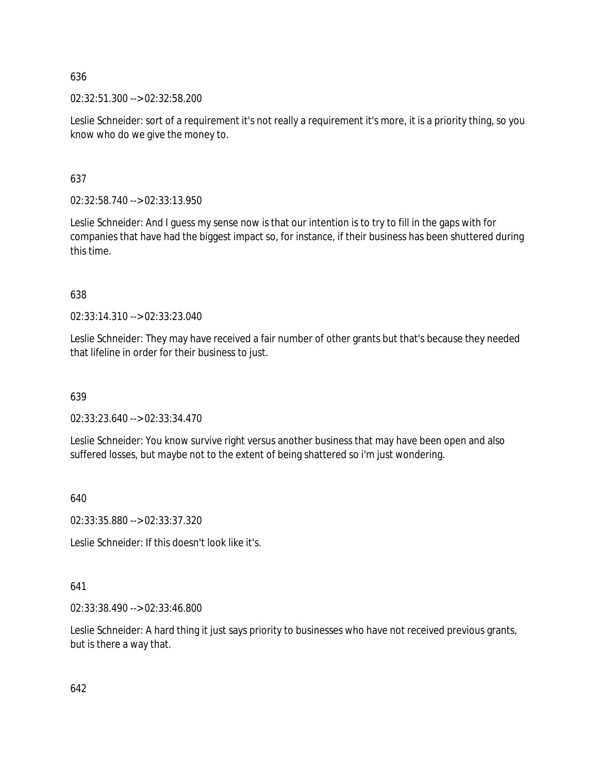02:32:51.300 --> 02:32:58.200

Leslie Schneider: sort of a requirement it's not really a requirement it's more, it is a priority thing, so you know who do we give the money to.

637

02:32:58.740 --> 02:33:13.950

Leslie Schneider: And I guess my sense now is that our intention is to try to fill in the gaps with for companies that have had the biggest impact so, for instance, if their business has been shuttered during this time.

638

02:33:14.310 --> 02:33:23.040

Leslie Schneider: They may have received a fair number of other grants but that's because they needed that lifeline in order for their business to just.

639

02:33:23.640 --> 02:33:34.470

Leslie Schneider: You know survive right versus another business that may have been open and also suffered losses, but maybe not to the extent of being shattered so i'm just wondering.

640

02:33:35.880 --> 02:33:37.320

Leslie Schneider: If this doesn't look like it's.

# 641

02:33:38.490 --> 02:33:46.800

Leslie Schneider: A hard thing it just says priority to businesses who have not received previous grants, but is there a way that.

642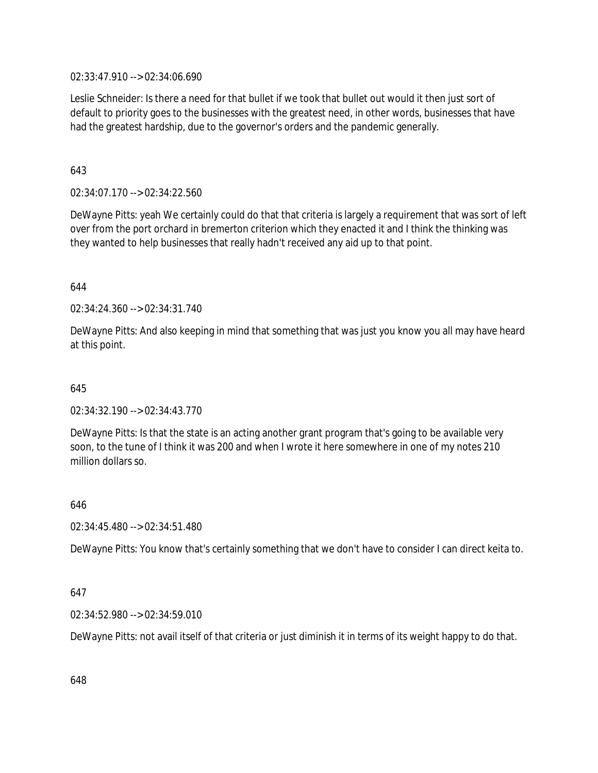02:33:47.910 --> 02:34:06.690

Leslie Schneider: Is there a need for that bullet if we took that bullet out would it then just sort of default to priority goes to the businesses with the greatest need, in other words, businesses that have had the greatest hardship, due to the governor's orders and the pandemic generally.

643

02:34:07.170 --> 02:34:22.560

DeWayne Pitts: yeah We certainly could do that that criteria is largely a requirement that was sort of left over from the port orchard in bremerton criterion which they enacted it and I think the thinking was they wanted to help businesses that really hadn't received any aid up to that point.

644

02:34:24.360 --> 02:34:31.740

DeWayne Pitts: And also keeping in mind that something that was just you know you all may have heard at this point.

645

02:34:32.190 --> 02:34:43.770

DeWayne Pitts: Is that the state is an acting another grant program that's going to be available very soon, to the tune of I think it was 200 and when I wrote it here somewhere in one of my notes 210 million dollars so.

646

02:34:45.480 --> 02:34:51.480

DeWayne Pitts: You know that's certainly something that we don't have to consider I can direct keita to.

647

02:34:52.980 --> 02:34:59.010

DeWayne Pitts: not avail itself of that criteria or just diminish it in terms of its weight happy to do that.

648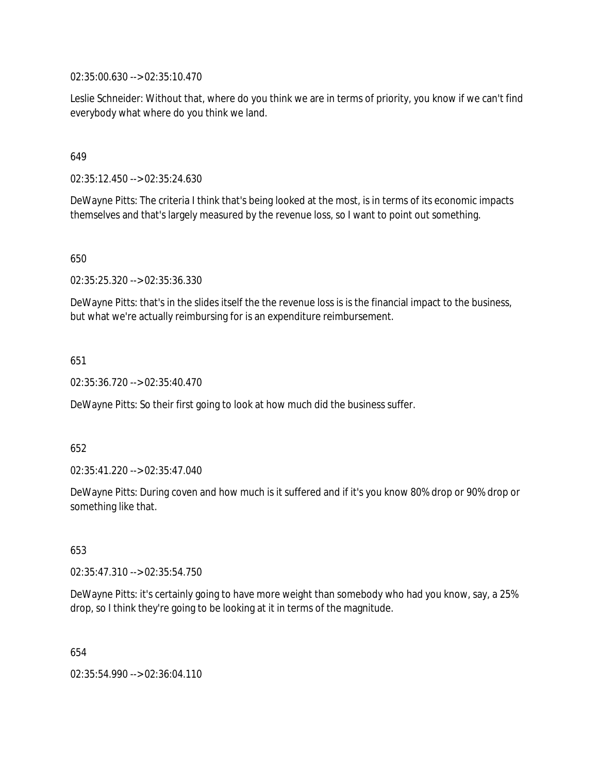02:35:00.630 --> 02:35:10.470

Leslie Schneider: Without that, where do you think we are in terms of priority, you know if we can't find everybody what where do you think we land.

#### 649

02:35:12.450 --> 02:35:24.630

DeWayne Pitts: The criteria I think that's being looked at the most, is in terms of its economic impacts themselves and that's largely measured by the revenue loss, so I want to point out something.

650

02:35:25.320 --> 02:35:36.330

DeWayne Pitts: that's in the slides itself the the revenue loss is is the financial impact to the business, but what we're actually reimbursing for is an expenditure reimbursement.

651

02:35:36.720 --> 02:35:40.470

DeWayne Pitts: So their first going to look at how much did the business suffer.

652

02:35:41.220 --> 02:35:47.040

DeWayne Pitts: During coven and how much is it suffered and if it's you know 80% drop or 90% drop or something like that.

653

02:35:47.310 --> 02:35:54.750

DeWayne Pitts: it's certainly going to have more weight than somebody who had you know, say, a 25% drop, so I think they're going to be looking at it in terms of the magnitude.

654

02:35:54.990 --> 02:36:04.110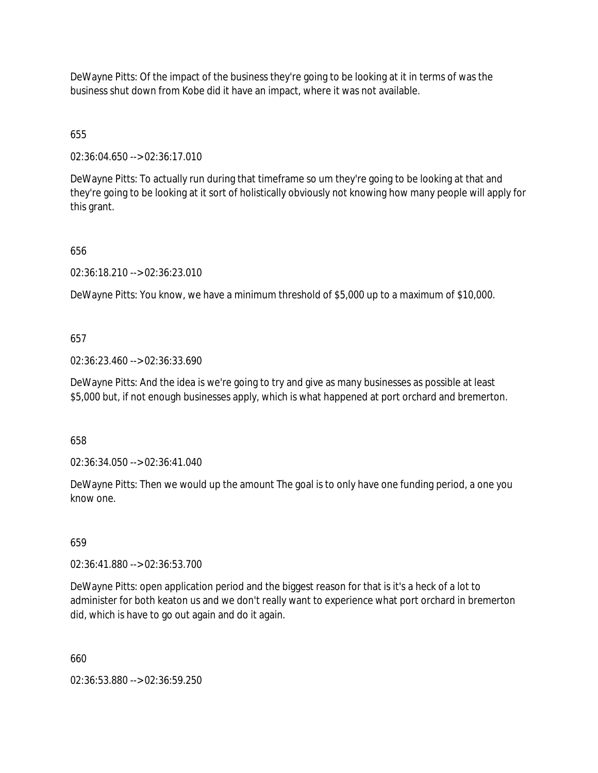DeWayne Pitts: Of the impact of the business they're going to be looking at it in terms of was the business shut down from Kobe did it have an impact, where it was not available.

655

02:36:04.650 --> 02:36:17.010

DeWayne Pitts: To actually run during that timeframe so um they're going to be looking at that and they're going to be looking at it sort of holistically obviously not knowing how many people will apply for this grant.

656

02:36:18.210 --> 02:36:23.010

DeWayne Pitts: You know, we have a minimum threshold of \$5,000 up to a maximum of \$10,000.

657

02:36:23.460 --> 02:36:33.690

DeWayne Pitts: And the idea is we're going to try and give as many businesses as possible at least \$5,000 but, if not enough businesses apply, which is what happened at port orchard and bremerton.

658

02:36:34.050 --> 02:36:41.040

DeWayne Pitts: Then we would up the amount The goal is to only have one funding period, a one you know one.

659

02:36:41.880 --> 02:36:53.700

DeWayne Pitts: open application period and the biggest reason for that is it's a heck of a lot to administer for both keaton us and we don't really want to experience what port orchard in bremerton did, which is have to go out again and do it again.

660

02:36:53.880 --> 02:36:59.250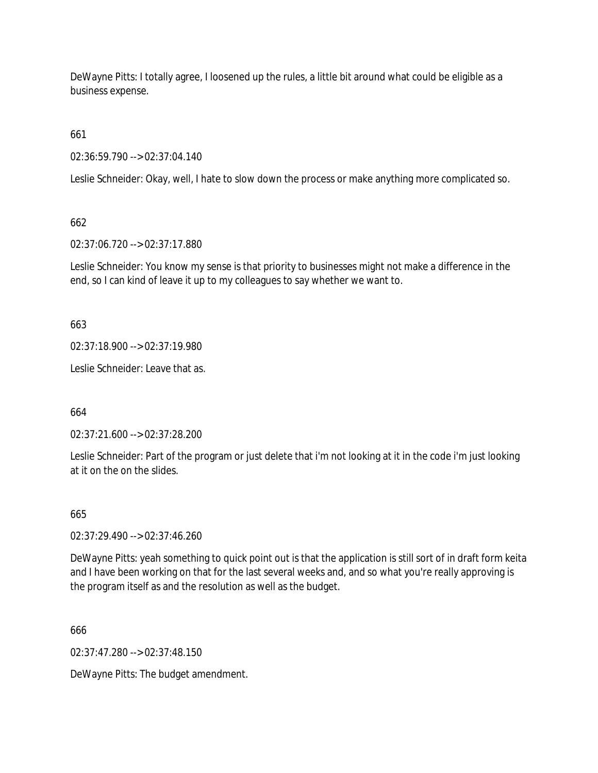DeWayne Pitts: I totally agree, I loosened up the rules, a little bit around what could be eligible as a business expense.

661

02:36:59.790 --> 02:37:04.140

Leslie Schneider: Okay, well, I hate to slow down the process or make anything more complicated so.

662

02:37:06.720 --> 02:37:17.880

Leslie Schneider: You know my sense is that priority to businesses might not make a difference in the end, so I can kind of leave it up to my colleagues to say whether we want to.

663

02:37:18.900 --> 02:37:19.980

Leslie Schneider: Leave that as.

664

02:37:21.600 --> 02:37:28.200

Leslie Schneider: Part of the program or just delete that i'm not looking at it in the code i'm just looking at it on the on the slides.

665

02:37:29.490 --> 02:37:46.260

DeWayne Pitts: yeah something to quick point out is that the application is still sort of in draft form keita and I have been working on that for the last several weeks and, and so what you're really approving is the program itself as and the resolution as well as the budget.

666

02:37:47.280 --> 02:37:48.150

DeWayne Pitts: The budget amendment.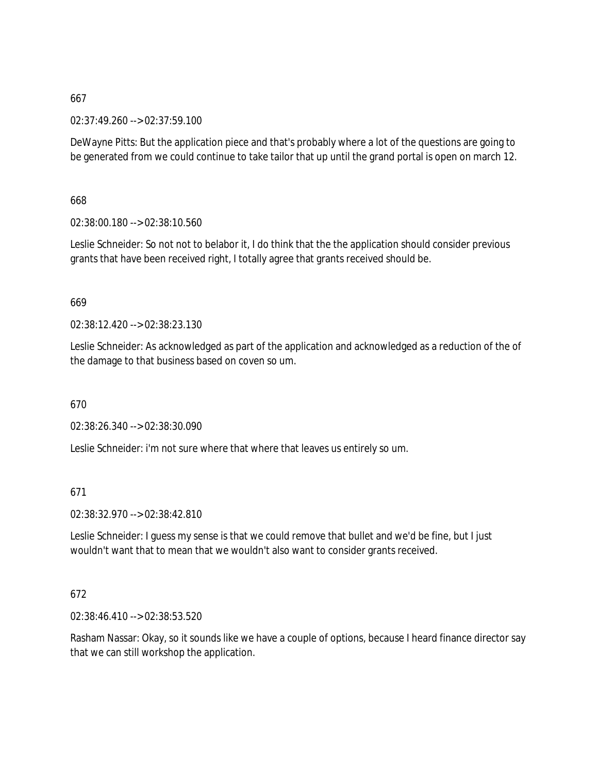02:37:49.260 --> 02:37:59.100

DeWayne Pitts: But the application piece and that's probably where a lot of the questions are going to be generated from we could continue to take tailor that up until the grand portal is open on march 12.

668

02:38:00.180 --> 02:38:10.560

Leslie Schneider: So not not to belabor it, I do think that the the application should consider previous grants that have been received right, I totally agree that grants received should be.

669

02:38:12.420 --> 02:38:23.130

Leslie Schneider: As acknowledged as part of the application and acknowledged as a reduction of the of the damage to that business based on coven so um.

670

02:38:26.340 --> 02:38:30.090

Leslie Schneider: i'm not sure where that where that leaves us entirely so um.

671

02:38:32.970 --> 02:38:42.810

Leslie Schneider: I guess my sense is that we could remove that bullet and we'd be fine, but I just wouldn't want that to mean that we wouldn't also want to consider grants received.

672

02:38:46.410 --> 02:38:53.520

Rasham Nassar: Okay, so it sounds like we have a couple of options, because I heard finance director say that we can still workshop the application.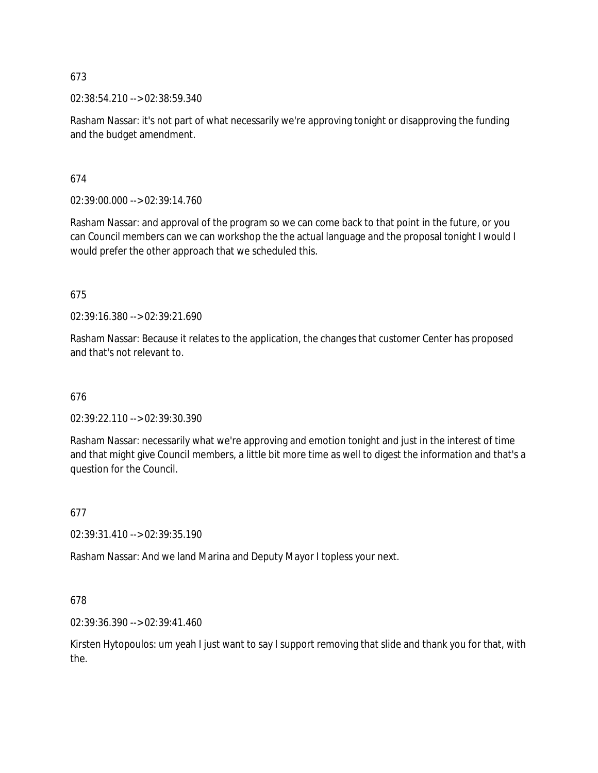02:38:54.210 --> 02:38:59.340

Rasham Nassar: it's not part of what necessarily we're approving tonight or disapproving the funding and the budget amendment.

674

02:39:00.000 --> 02:39:14.760

Rasham Nassar: and approval of the program so we can come back to that point in the future, or you can Council members can we can workshop the the actual language and the proposal tonight I would I would prefer the other approach that we scheduled this.

675

02:39:16.380 --> 02:39:21.690

Rasham Nassar: Because it relates to the application, the changes that customer Center has proposed and that's not relevant to.

676

02:39:22.110 --> 02:39:30.390

Rasham Nassar: necessarily what we're approving and emotion tonight and just in the interest of time and that might give Council members, a little bit more time as well to digest the information and that's a question for the Council.

677

02:39:31.410 --> 02:39:35.190

Rasham Nassar: And we land Marina and Deputy Mayor I topless your next.

678

02:39:36.390 --> 02:39:41.460

Kirsten Hytopoulos: um yeah I just want to say I support removing that slide and thank you for that, with the.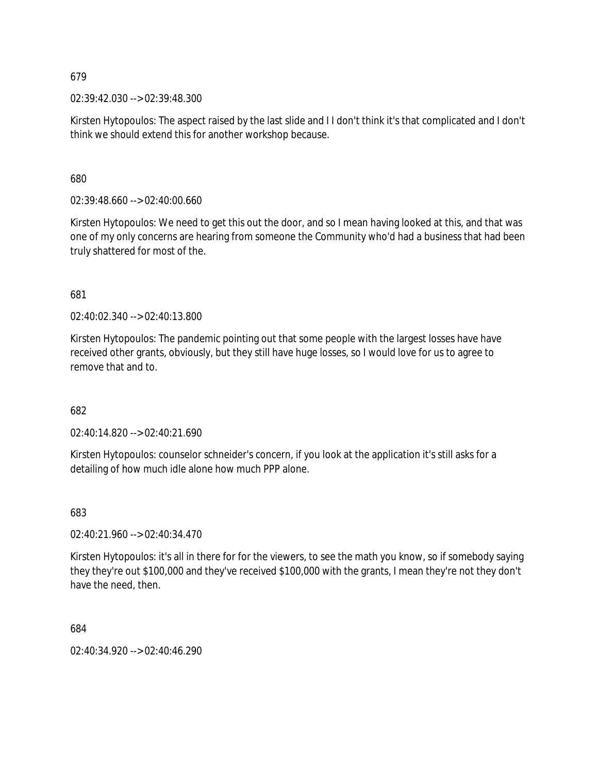02:39:42.030 --> 02:39:48.300

Kirsten Hytopoulos: The aspect raised by the last slide and I I don't think it's that complicated and I don't think we should extend this for another workshop because.

680

02:39:48.660 --> 02:40:00.660

Kirsten Hytopoulos: We need to get this out the door, and so I mean having looked at this, and that was one of my only concerns are hearing from someone the Community who'd had a business that had been truly shattered for most of the.

681

02:40:02.340 --> 02:40:13.800

Kirsten Hytopoulos: The pandemic pointing out that some people with the largest losses have have received other grants, obviously, but they still have huge losses, so I would love for us to agree to remove that and to.

682

02:40:14.820 --> 02:40:21.690

Kirsten Hytopoulos: counselor schneider's concern, if you look at the application it's still asks for a detailing of how much idle alone how much PPP alone.

683

02:40:21.960 --> 02:40:34.470

Kirsten Hytopoulos: it's all in there for for the viewers, to see the math you know, so if somebody saying they they're out \$100,000 and they've received \$100,000 with the grants, I mean they're not they don't have the need, then.

684

02:40:34.920 --> 02:40:46.290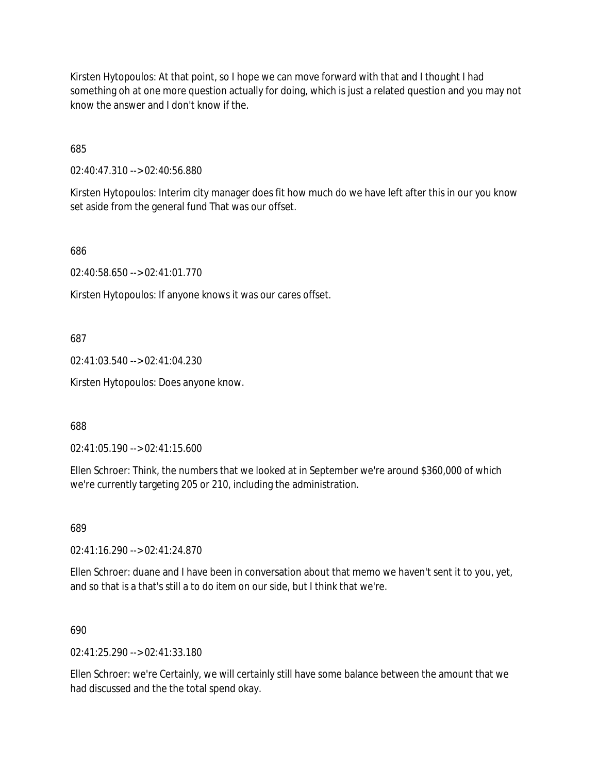Kirsten Hytopoulos: At that point, so I hope we can move forward with that and I thought I had something oh at one more question actually for doing, which is just a related question and you may not know the answer and I don't know if the.

685

02:40:47.310 --> 02:40:56.880

Kirsten Hytopoulos: Interim city manager does fit how much do we have left after this in our you know set aside from the general fund That was our offset.

686

02:40:58.650 --> 02:41:01.770

Kirsten Hytopoulos: If anyone knows it was our cares offset.

687

02:41:03.540 --> 02:41:04.230

Kirsten Hytopoulos: Does anyone know.

688

02:41:05.190 --> 02:41:15.600

Ellen Schroer: Think, the numbers that we looked at in September we're around \$360,000 of which we're currently targeting 205 or 210, including the administration.

689

02:41:16.290 --> 02:41:24.870

Ellen Schroer: duane and I have been in conversation about that memo we haven't sent it to you, yet, and so that is a that's still a to do item on our side, but I think that we're.

690

02:41:25.290 --> 02:41:33.180

Ellen Schroer: we're Certainly, we will certainly still have some balance between the amount that we had discussed and the the total spend okay.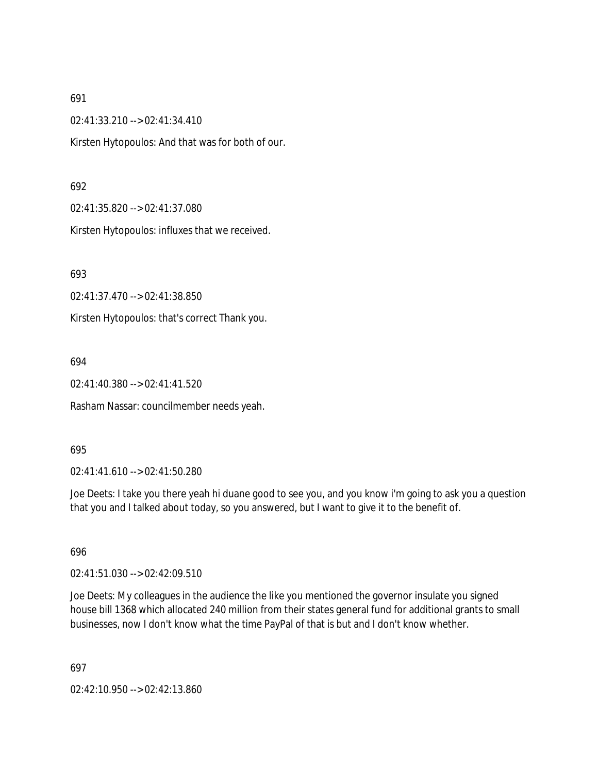02:41:33.210 --> 02:41:34.410

Kirsten Hytopoulos: And that was for both of our.

## 692

02:41:35.820 --> 02:41:37.080

Kirsten Hytopoulos: influxes that we received.

693

02:41:37.470 --> 02:41:38.850

Kirsten Hytopoulos: that's correct Thank you.

694

02:41:40.380 --> 02:41:41.520

Rasham Nassar: councilmember needs yeah.

#### 695

02:41:41.610 --> 02:41:50.280

Joe Deets: I take you there yeah hi duane good to see you, and you know i'm going to ask you a question that you and I talked about today, so you answered, but I want to give it to the benefit of.

696

02:41:51.030 --> 02:42:09.510

Joe Deets: My colleagues in the audience the like you mentioned the governor insulate you signed house bill 1368 which allocated 240 million from their states general fund for additional grants to small businesses, now I don't know what the time PayPal of that is but and I don't know whether.

697

02:42:10.950 --> 02:42:13.860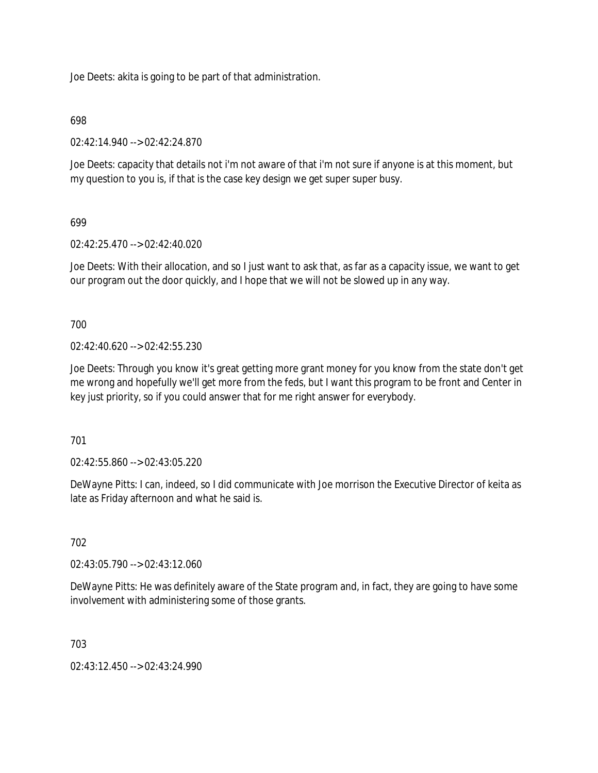Joe Deets: akita is going to be part of that administration.

## 698

02:42:14.940 --> 02:42:24.870

Joe Deets: capacity that details not i'm not aware of that i'm not sure if anyone is at this moment, but my question to you is, if that is the case key design we get super super busy.

## 699

02:42:25.470 --> 02:42:40.020

Joe Deets: With their allocation, and so I just want to ask that, as far as a capacity issue, we want to get our program out the door quickly, and I hope that we will not be slowed up in any way.

700

 $02.42.40620 - 5.02.42.55230$ 

Joe Deets: Through you know it's great getting more grant money for you know from the state don't get me wrong and hopefully we'll get more from the feds, but I want this program to be front and Center in key just priority, so if you could answer that for me right answer for everybody.

701

02:42:55.860 --> 02:43:05.220

DeWayne Pitts: I can, indeed, so I did communicate with Joe morrison the Executive Director of keita as late as Friday afternoon and what he said is.

## 702

02:43:05.790 --> 02:43:12.060

DeWayne Pitts: He was definitely aware of the State program and, in fact, they are going to have some involvement with administering some of those grants.

703

02:43:12.450 --> 02:43:24.990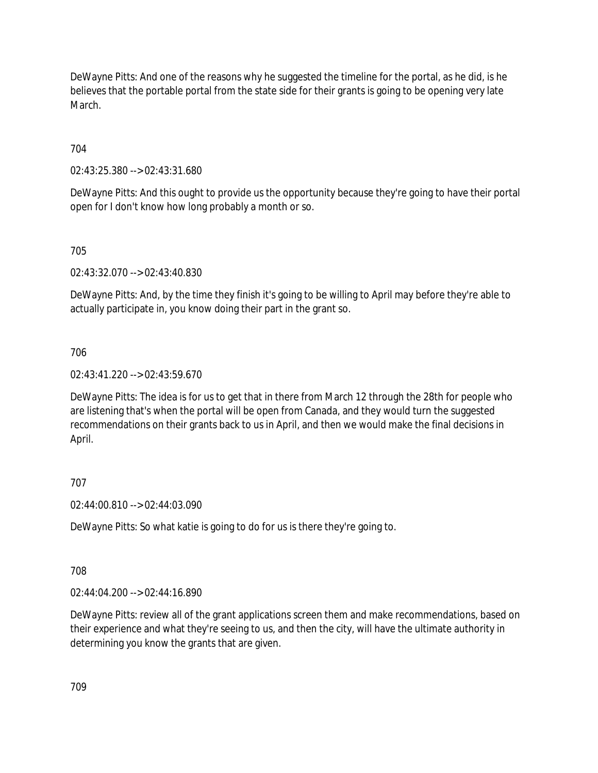DeWayne Pitts: And one of the reasons why he suggested the timeline for the portal, as he did, is he believes that the portable portal from the state side for their grants is going to be opening very late March.

704

02:43:25.380 --> 02:43:31.680

DeWayne Pitts: And this ought to provide us the opportunity because they're going to have their portal open for I don't know how long probably a month or so.

705

02:43:32.070 --> 02:43:40.830

DeWayne Pitts: And, by the time they finish it's going to be willing to April may before they're able to actually participate in, you know doing their part in the grant so.

706

02:43:41.220 --> 02:43:59.670

DeWayne Pitts: The idea is for us to get that in there from March 12 through the 28th for people who are listening that's when the portal will be open from Canada, and they would turn the suggested recommendations on their grants back to us in April, and then we would make the final decisions in April.

707

02:44:00.810 --> 02:44:03.090

DeWayne Pitts: So what katie is going to do for us is there they're going to.

708

02:44:04.200 --> 02:44:16.890

DeWayne Pitts: review all of the grant applications screen them and make recommendations, based on their experience and what they're seeing to us, and then the city, will have the ultimate authority in determining you know the grants that are given.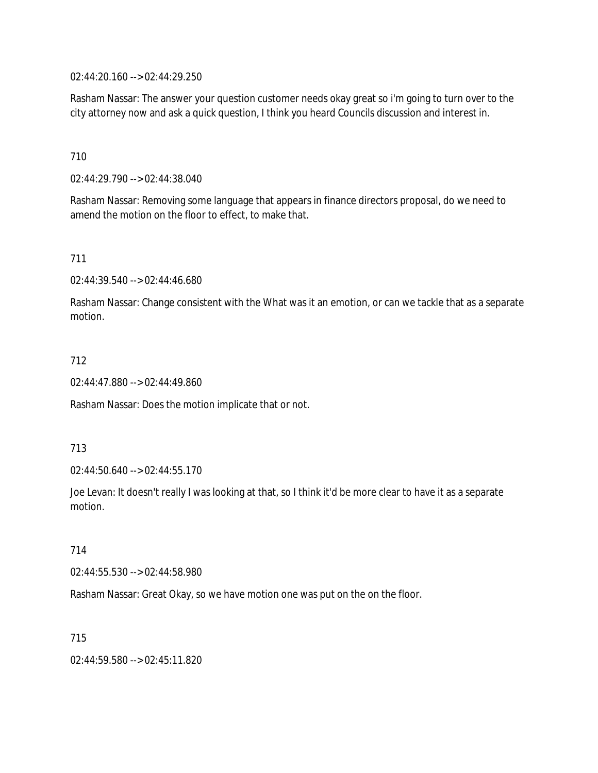02:44:20.160 --> 02:44:29.250

Rasham Nassar: The answer your question customer needs okay great so i'm going to turn over to the city attorney now and ask a quick question, I think you heard Councils discussion and interest in.

710

02:44:29.790 --> 02:44:38.040

Rasham Nassar: Removing some language that appears in finance directors proposal, do we need to amend the motion on the floor to effect, to make that.

711

02:44:39.540 --> 02:44:46.680

Rasham Nassar: Change consistent with the What was it an emotion, or can we tackle that as a separate motion.

712

02:44:47.880 --> 02:44:49.860

Rasham Nassar: Does the motion implicate that or not.

713

02:44:50.640 --> 02:44:55.170

Joe Levan: It doesn't really I was looking at that, so I think it'd be more clear to have it as a separate motion.

714

02:44:55.530 --> 02:44:58.980

Rasham Nassar: Great Okay, so we have motion one was put on the on the floor.

715

02:44:59.580 --> 02:45:11.820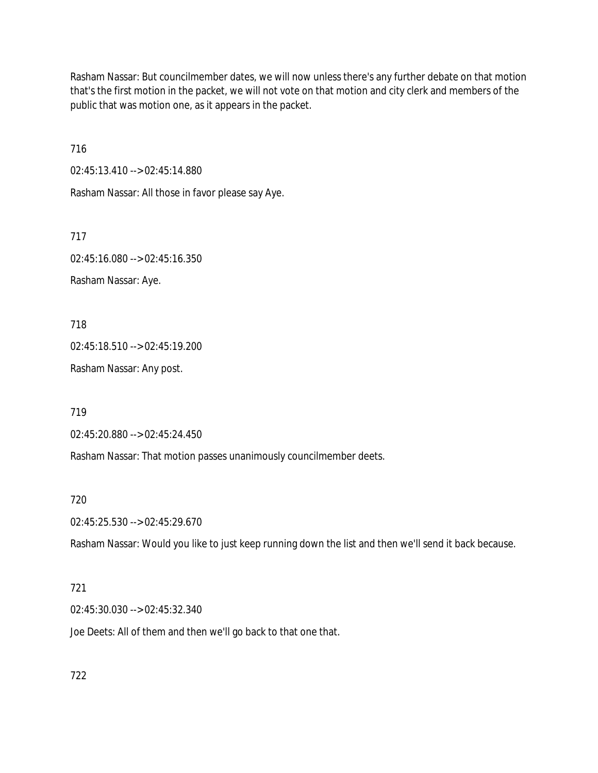Rasham Nassar: But councilmember dates, we will now unless there's any further debate on that motion that's the first motion in the packet, we will not vote on that motion and city clerk and members of the public that was motion one, as it appears in the packet.

716

02:45:13.410 --> 02:45:14.880

Rasham Nassar: All those in favor please say Aye.

717

02:45:16.080 --> 02:45:16.350 Rasham Nassar: Aye.

718

02:45:18.510 --> 02:45:19.200

Rasham Nassar: Any post.

719

02:45:20.880 --> 02:45:24.450

Rasham Nassar: That motion passes unanimously councilmember deets.

720

02:45:25.530 --> 02:45:29.670

Rasham Nassar: Would you like to just keep running down the list and then we'll send it back because.

## 721

02:45:30.030 --> 02:45:32.340

Joe Deets: All of them and then we'll go back to that one that.

722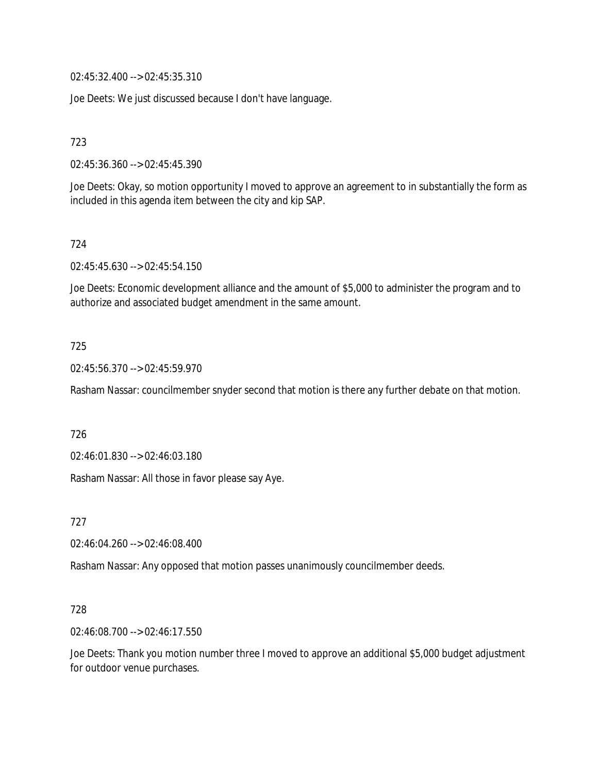02:45:32.400 --> 02:45:35.310

Joe Deets: We just discussed because I don't have language.

723

02:45:36.360 --> 02:45:45.390

Joe Deets: Okay, so motion opportunity I moved to approve an agreement to in substantially the form as included in this agenda item between the city and kip SAP.

724

02:45:45.630 --> 02:45:54.150

Joe Deets: Economic development alliance and the amount of \$5,000 to administer the program and to authorize and associated budget amendment in the same amount.

#### 725

02:45:56.370 --> 02:45:59.970

Rasham Nassar: councilmember snyder second that motion is there any further debate on that motion.

726

02:46:01.830 --> 02:46:03.180

Rasham Nassar: All those in favor please say Aye.

727

02:46:04.260 --> 02:46:08.400

Rasham Nassar: Any opposed that motion passes unanimously councilmember deeds.

#### 728

02:46:08.700 --> 02:46:17.550

Joe Deets: Thank you motion number three I moved to approve an additional \$5,000 budget adjustment for outdoor venue purchases.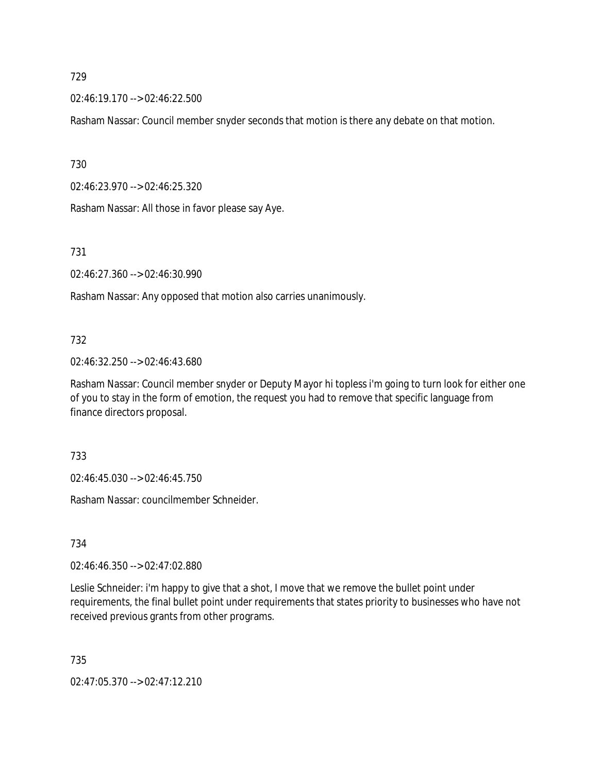02:46:19.170 --> 02:46:22.500

Rasham Nassar: Council member snyder seconds that motion is there any debate on that motion.

730

02:46:23.970 --> 02:46:25.320

Rasham Nassar: All those in favor please say Aye.

731

02:46:27.360 --> 02:46:30.990

Rasham Nassar: Any opposed that motion also carries unanimously.

## 732

02:46:32.250 --> 02:46:43.680

Rasham Nassar: Council member snyder or Deputy Mayor hi topless i'm going to turn look for either one of you to stay in the form of emotion, the request you had to remove that specific language from finance directors proposal.

733

02:46:45.030 --> 02:46:45.750

Rasham Nassar: councilmember Schneider.

734

02:46:46.350 --> 02:47:02.880

Leslie Schneider: i'm happy to give that a shot, I move that we remove the bullet point under requirements, the final bullet point under requirements that states priority to businesses who have not received previous grants from other programs.

735

02:47:05.370 --> 02:47:12.210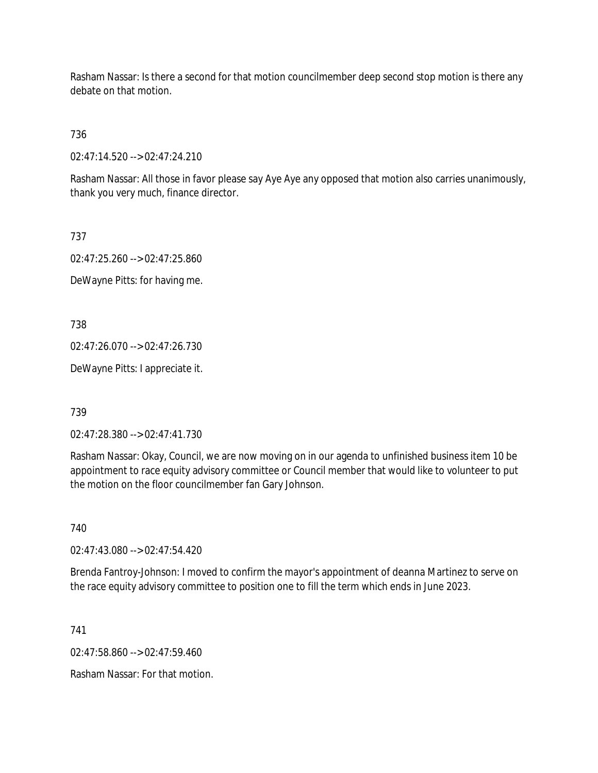Rasham Nassar: Is there a second for that motion councilmember deep second stop motion is there any debate on that motion.

736

02:47:14.520 --> 02:47:24.210

Rasham Nassar: All those in favor please say Aye Aye any opposed that motion also carries unanimously, thank you very much, finance director.

737

02:47:25.260 --> 02:47:25.860 DeWayne Pitts: for having me.

738

02:47:26.070 --> 02:47:26.730

DeWayne Pitts: I appreciate it.

739

02:47:28.380 --> 02:47:41.730

Rasham Nassar: Okay, Council, we are now moving on in our agenda to unfinished business item 10 be appointment to race equity advisory committee or Council member that would like to volunteer to put the motion on the floor councilmember fan Gary Johnson.

740

02:47:43.080 --> 02:47:54.420

Brenda Fantroy-Johnson: I moved to confirm the mayor's appointment of deanna Martinez to serve on the race equity advisory committee to position one to fill the term which ends in June 2023.

741

 $02.47.58.860 -> 02.47.59.460$ 

Rasham Nassar: For that motion.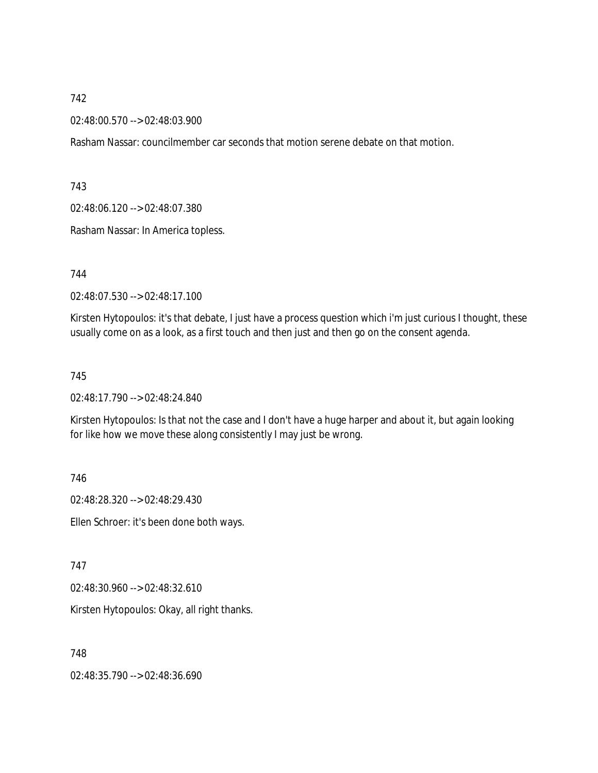02:48:00.570 --> 02:48:03.900

Rasham Nassar: councilmember car seconds that motion serene debate on that motion.

743

02:48:06.120 --> 02:48:07.380

Rasham Nassar: In America topless.

744

02:48:07.530 --> 02:48:17.100

Kirsten Hytopoulos: it's that debate, I just have a process question which i'm just curious I thought, these usually come on as a look, as a first touch and then just and then go on the consent agenda.

#### 745

02:48:17.790 --> 02:48:24.840

Kirsten Hytopoulos: Is that not the case and I don't have a huge harper and about it, but again looking for like how we move these along consistently I may just be wrong.

746

02:48:28.320 --> 02:48:29.430

Ellen Schroer: it's been done both ways.

747

02:48:30.960 --> 02:48:32.610

Kirsten Hytopoulos: Okay, all right thanks.

748

02:48:35.790 --> 02:48:36.690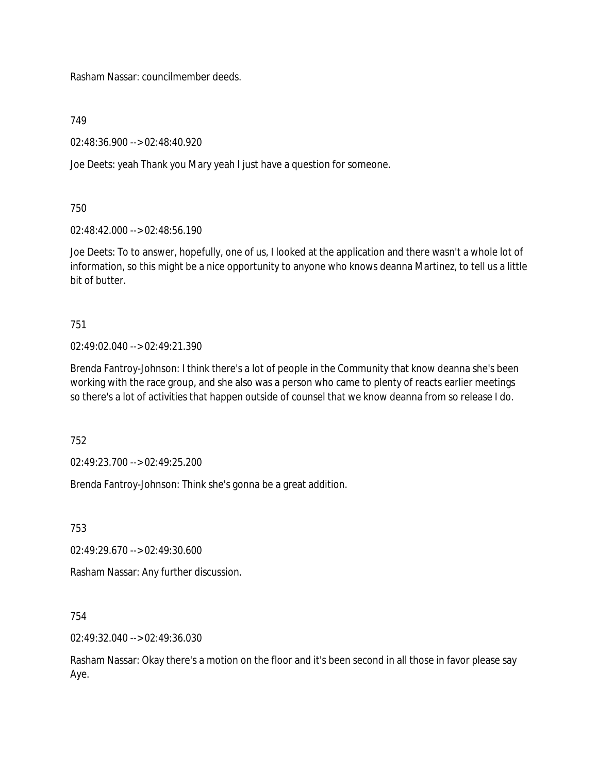Rasham Nassar: councilmember deeds.

749

02:48:36.900 --> 02:48:40.920

Joe Deets: yeah Thank you Mary yeah I just have a question for someone.

750

02:48:42.000 --> 02:48:56.190

Joe Deets: To to answer, hopefully, one of us, I looked at the application and there wasn't a whole lot of information, so this might be a nice opportunity to anyone who knows deanna Martinez, to tell us a little bit of butter.

751

02:49:02.040 --> 02:49:21.390

Brenda Fantroy-Johnson: I think there's a lot of people in the Community that know deanna she's been working with the race group, and she also was a person who came to plenty of reacts earlier meetings so there's a lot of activities that happen outside of counsel that we know deanna from so release I do.

752

02:49:23.700 --> 02:49:25.200

Brenda Fantroy-Johnson: Think she's gonna be a great addition.

753

02:49:29.670 --> 02:49:30.600

Rasham Nassar: Any further discussion.

754

02:49:32.040 --> 02:49:36.030

Rasham Nassar: Okay there's a motion on the floor and it's been second in all those in favor please say Aye.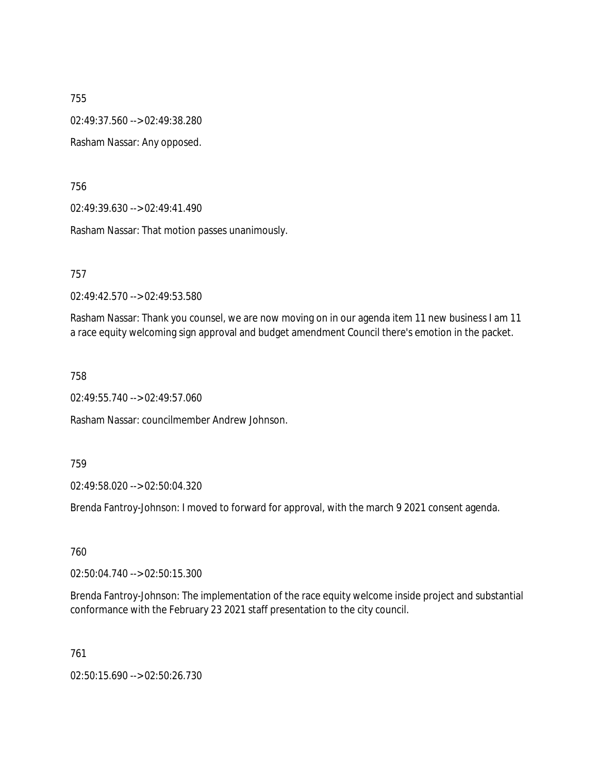02:49:37.560 --> 02:49:38.280

Rasham Nassar: Any opposed.

756

02:49:39.630 --> 02:49:41.490

Rasham Nassar: That motion passes unanimously.

757

02:49:42.570 --> 02:49:53.580

Rasham Nassar: Thank you counsel, we are now moving on in our agenda item 11 new business I am 11 a race equity welcoming sign approval and budget amendment Council there's emotion in the packet.

758

02:49:55.740 --> 02:49:57.060

Rasham Nassar: councilmember Andrew Johnson.

759

02:49:58.020 --> 02:50:04.320

Brenda Fantroy-Johnson: I moved to forward for approval, with the march 9 2021 consent agenda.

760

02:50:04.740 --> 02:50:15.300

Brenda Fantroy-Johnson: The implementation of the race equity welcome inside project and substantial conformance with the February 23 2021 staff presentation to the city council.

761

02:50:15.690 --> 02:50:26.730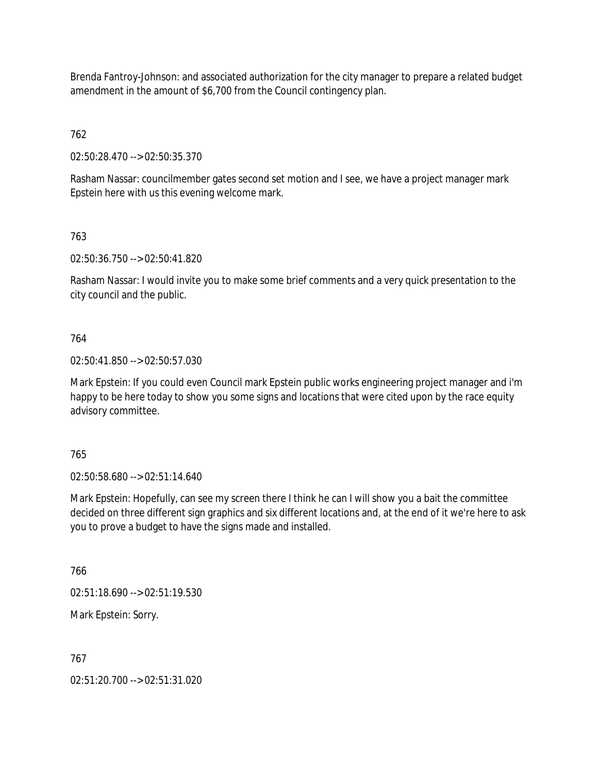Brenda Fantroy-Johnson: and associated authorization for the city manager to prepare a related budget amendment in the amount of \$6,700 from the Council contingency plan.

762

02:50:28.470 --> 02:50:35.370

Rasham Nassar: councilmember gates second set motion and I see, we have a project manager mark Epstein here with us this evening welcome mark.

763

02:50:36.750 --> 02:50:41.820

Rasham Nassar: I would invite you to make some brief comments and a very quick presentation to the city council and the public.

764

02:50:41.850 --> 02:50:57.030

Mark Epstein: If you could even Council mark Epstein public works engineering project manager and i'm happy to be here today to show you some signs and locations that were cited upon by the race equity advisory committee.

765

02:50:58.680 --> 02:51:14.640

Mark Epstein: Hopefully, can see my screen there I think he can I will show you a bait the committee decided on three different sign graphics and six different locations and, at the end of it we're here to ask you to prove a budget to have the signs made and installed.

766

02:51:18.690 --> 02:51:19.530

Mark Epstein: Sorry.

767

02:51:20.700 --> 02:51:31.020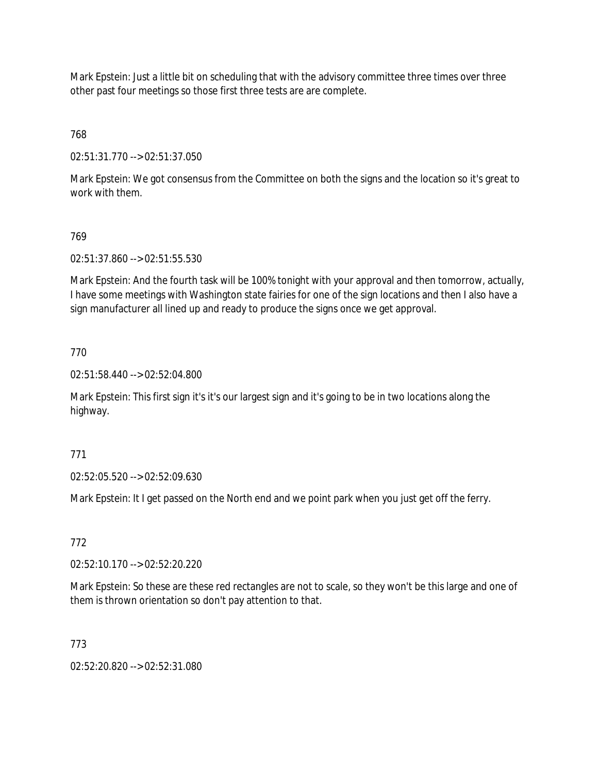Mark Epstein: Just a little bit on scheduling that with the advisory committee three times over three other past four meetings so those first three tests are are complete.

768

02:51:31.770 --> 02:51:37.050

Mark Epstein: We got consensus from the Committee on both the signs and the location so it's great to work with them.

# 769

02:51:37.860 --> 02:51:55.530

Mark Epstein: And the fourth task will be 100% tonight with your approval and then tomorrow, actually, I have some meetings with Washington state fairies for one of the sign locations and then I also have a sign manufacturer all lined up and ready to produce the signs once we get approval.

# 770

02:51:58.440 --> 02:52:04.800

Mark Epstein: This first sign it's it's our largest sign and it's going to be in two locations along the highway.

## 771

02:52:05.520 --> 02:52:09.630

Mark Epstein: It I get passed on the North end and we point park when you just get off the ferry.

## 772

02:52:10.170 --> 02:52:20.220

Mark Epstein: So these are these red rectangles are not to scale, so they won't be this large and one of them is thrown orientation so don't pay attention to that.

## 773

02:52:20.820 --> 02:52:31.080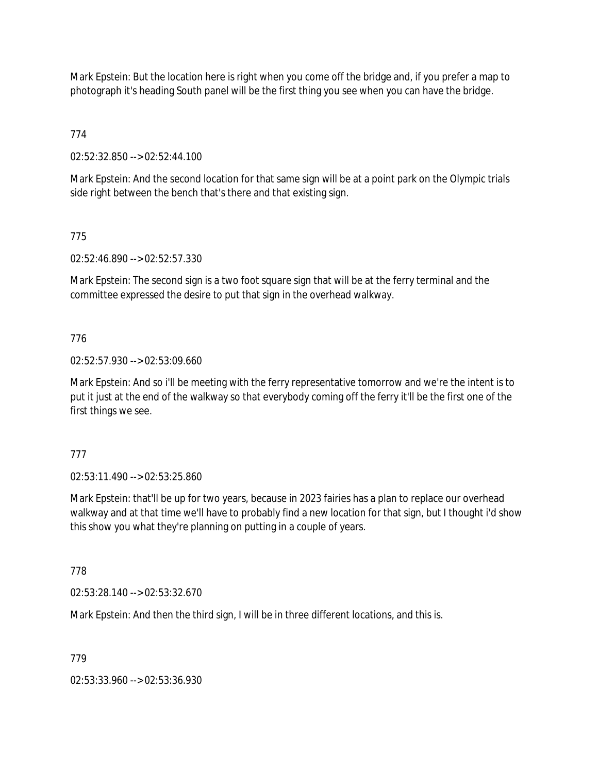Mark Epstein: But the location here is right when you come off the bridge and, if you prefer a map to photograph it's heading South panel will be the first thing you see when you can have the bridge.

774

02:52:32.850 --> 02:52:44.100

Mark Epstein: And the second location for that same sign will be at a point park on the Olympic trials side right between the bench that's there and that existing sign.

# 775

02:52:46.890 --> 02:52:57.330

Mark Epstein: The second sign is a two foot square sign that will be at the ferry terminal and the committee expressed the desire to put that sign in the overhead walkway.

# 776

02:52:57.930 --> 02:53:09.660

Mark Epstein: And so i'll be meeting with the ferry representative tomorrow and we're the intent is to put it just at the end of the walkway so that everybody coming off the ferry it'll be the first one of the first things we see.

## 777

02:53:11.490 --> 02:53:25.860

Mark Epstein: that'll be up for two years, because in 2023 fairies has a plan to replace our overhead walkway and at that time we'll have to probably find a new location for that sign, but I thought i'd show this show you what they're planning on putting in a couple of years.

## 778

02:53:28.140 --> 02:53:32.670

Mark Epstein: And then the third sign, I will be in three different locations, and this is.

## 779

02:53:33.960 --> 02:53:36.930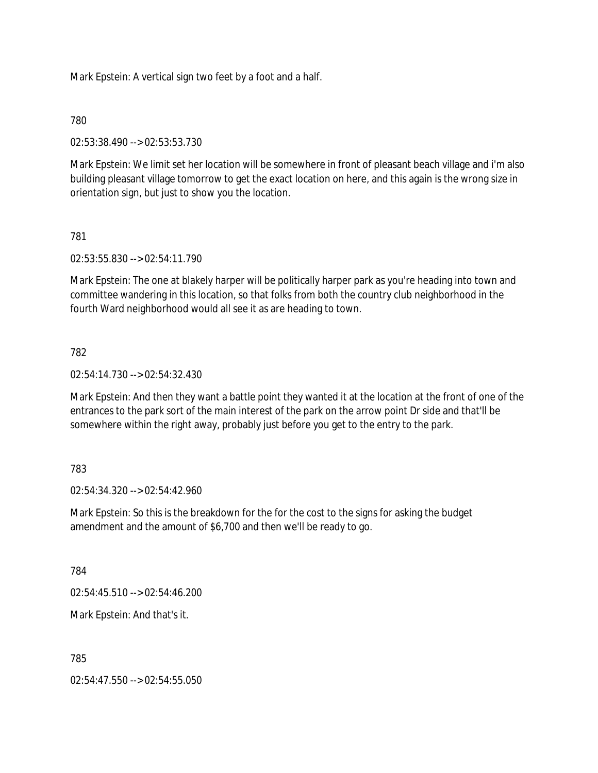Mark Epstein: A vertical sign two feet by a foot and a half.

780

02:53:38.490 --> 02:53:53.730

Mark Epstein: We limit set her location will be somewhere in front of pleasant beach village and i'm also building pleasant village tomorrow to get the exact location on here, and this again is the wrong size in orientation sign, but just to show you the location.

# 781

02:53:55.830 --> 02:54:11.790

Mark Epstein: The one at blakely harper will be politically harper park as you're heading into town and committee wandering in this location, so that folks from both the country club neighborhood in the fourth Ward neighborhood would all see it as are heading to town.

## 782

02:54:14.730 --> 02:54:32.430

Mark Epstein: And then they want a battle point they wanted it at the location at the front of one of the entrances to the park sort of the main interest of the park on the arrow point Dr side and that'll be somewhere within the right away, probably just before you get to the entry to the park.

## 783

02:54:34.320 --> 02:54:42.960

Mark Epstein: So this is the breakdown for the for the cost to the signs for asking the budget amendment and the amount of \$6,700 and then we'll be ready to go.

784

02:54:45.510 --> 02:54:46.200

Mark Epstein: And that's it.

785

02:54:47.550 --> 02:54:55.050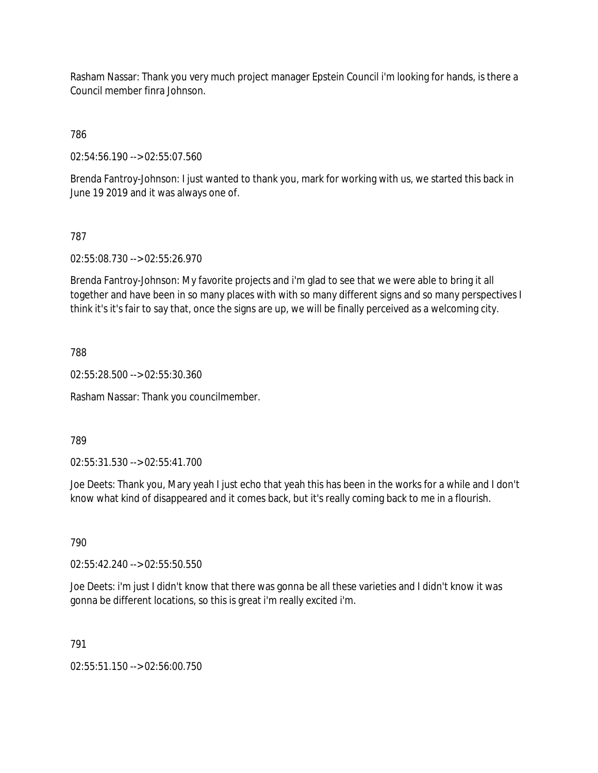Rasham Nassar: Thank you very much project manager Epstein Council i'm looking for hands, is there a Council member finra Johnson.

786

02:54:56.190 --> 02:55:07.560

Brenda Fantroy-Johnson: I just wanted to thank you, mark for working with us, we started this back in June 19 2019 and it was always one of.

# 787

02:55:08.730 --> 02:55:26.970

Brenda Fantroy-Johnson: My favorite projects and i'm glad to see that we were able to bring it all together and have been in so many places with with so many different signs and so many perspectives I think it's it's fair to say that, once the signs are up, we will be finally perceived as a welcoming city.

788

02:55:28.500 --> 02:55:30.360

Rasham Nassar: Thank you councilmember.

789

02:55:31.530 --> 02:55:41.700

Joe Deets: Thank you, Mary yeah I just echo that yeah this has been in the works for a while and I don't know what kind of disappeared and it comes back, but it's really coming back to me in a flourish.

790

02:55:42.240 --> 02:55:50.550

Joe Deets: i'm just I didn't know that there was gonna be all these varieties and I didn't know it was gonna be different locations, so this is great i'm really excited i'm.

791

02:55:51.150 --> 02:56:00.750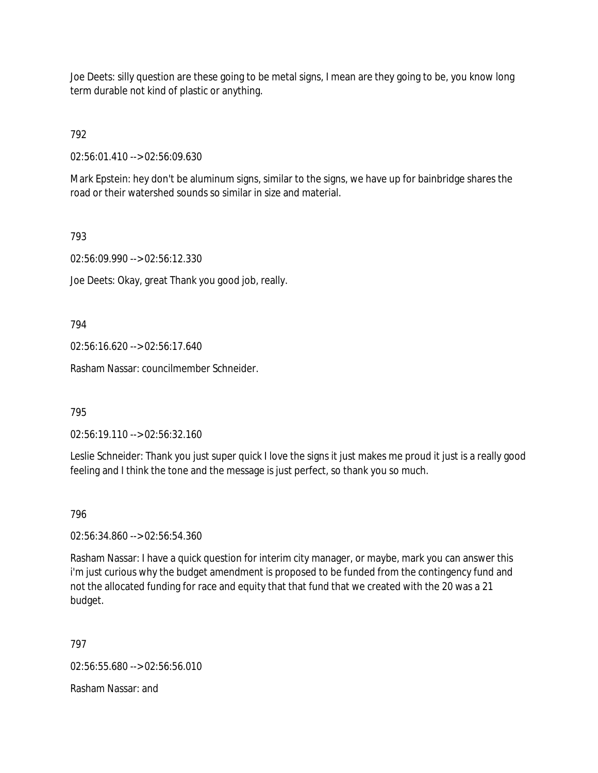Joe Deets: silly question are these going to be metal signs, I mean are they going to be, you know long term durable not kind of plastic or anything.

# 792

02:56:01.410 --> 02:56:09.630

Mark Epstein: hey don't be aluminum signs, similar to the signs, we have up for bainbridge shares the road or their watershed sounds so similar in size and material.

# 793

02:56:09.990 --> 02:56:12.330

Joe Deets: Okay, great Thank you good job, really.

794

02:56:16.620 --> 02:56:17.640

Rasham Nassar: councilmember Schneider.

795

02:56:19.110 --> 02:56:32.160

Leslie Schneider: Thank you just super quick I love the signs it just makes me proud it just is a really good feeling and I think the tone and the message is just perfect, so thank you so much.

796

02:56:34.860 --> 02:56:54.360

Rasham Nassar: I have a quick question for interim city manager, or maybe, mark you can answer this i'm just curious why the budget amendment is proposed to be funded from the contingency fund and not the allocated funding for race and equity that that fund that we created with the 20 was a 21 budget.

797

02:56:55.680 --> 02:56:56.010

Rasham Nassar: and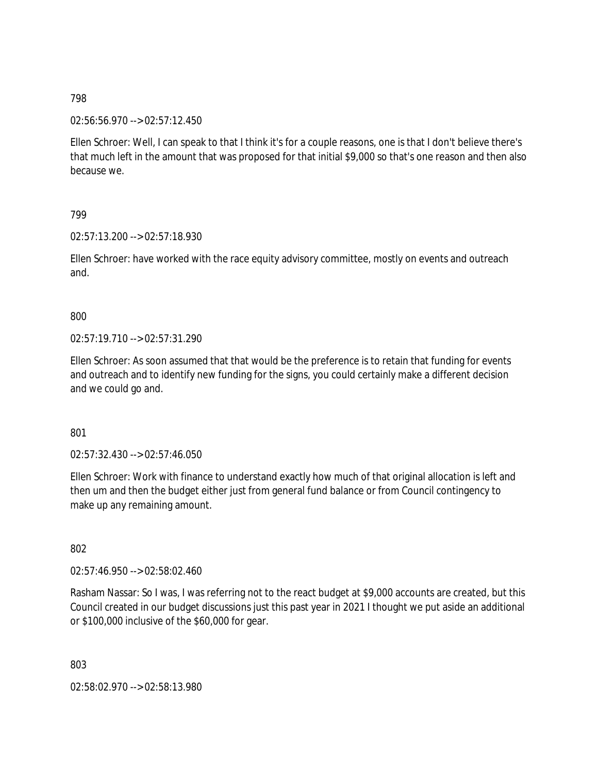02:56:56.970 --> 02:57:12.450

Ellen Schroer: Well, I can speak to that I think it's for a couple reasons, one is that I don't believe there's that much left in the amount that was proposed for that initial \$9,000 so that's one reason and then also because we.

## 799

02:57:13.200 --> 02:57:18.930

Ellen Schroer: have worked with the race equity advisory committee, mostly on events and outreach and.

## 800

02:57:19.710 --> 02:57:31.290

Ellen Schroer: As soon assumed that that would be the preference is to retain that funding for events and outreach and to identify new funding for the signs, you could certainly make a different decision and we could go and.

801

02:57:32.430 --> 02:57:46.050

Ellen Schroer: Work with finance to understand exactly how much of that original allocation is left and then um and then the budget either just from general fund balance or from Council contingency to make up any remaining amount.

802

02:57:46.950 --> 02:58:02.460

Rasham Nassar: So I was, I was referring not to the react budget at \$9,000 accounts are created, but this Council created in our budget discussions just this past year in 2021 I thought we put aside an additional or \$100,000 inclusive of the \$60,000 for gear.

803

02:58:02.970 --> 02:58:13.980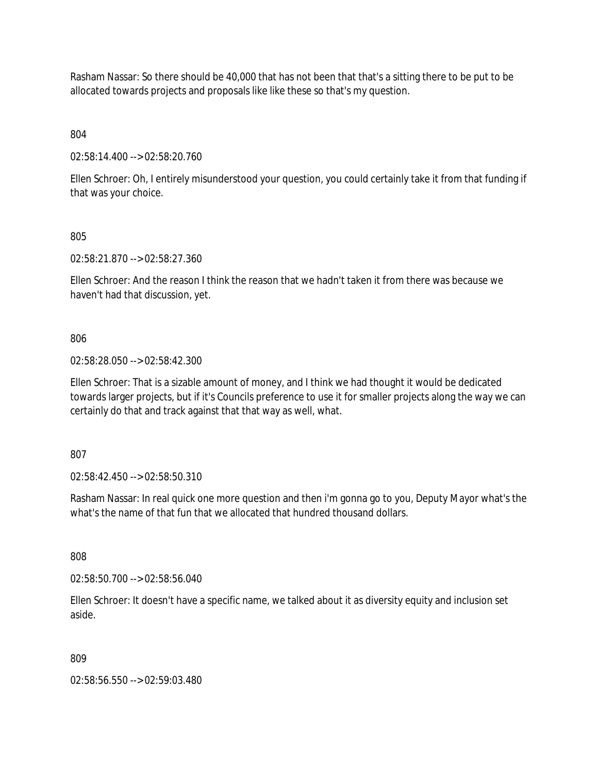Rasham Nassar: So there should be 40,000 that has not been that that's a sitting there to be put to be allocated towards projects and proposals like like these so that's my question.

804

02:58:14.400 --> 02:58:20.760

Ellen Schroer: Oh, I entirely misunderstood your question, you could certainly take it from that funding if that was your choice.

805

02:58:21.870 --> 02:58:27.360

Ellen Schroer: And the reason I think the reason that we hadn't taken it from there was because we haven't had that discussion, yet.

806

02:58:28.050 --> 02:58:42.300

Ellen Schroer: That is a sizable amount of money, and I think we had thought it would be dedicated towards larger projects, but if it's Councils preference to use it for smaller projects along the way we can certainly do that and track against that that way as well, what.

807

02:58:42.450 --> 02:58:50.310

Rasham Nassar: In real quick one more question and then i'm gonna go to you, Deputy Mayor what's the what's the name of that fun that we allocated that hundred thousand dollars.

808

02:58:50.700 --> 02:58:56.040

Ellen Schroer: It doesn't have a specific name, we talked about it as diversity equity and inclusion set aside.

809

02:58:56.550 --> 02:59:03.480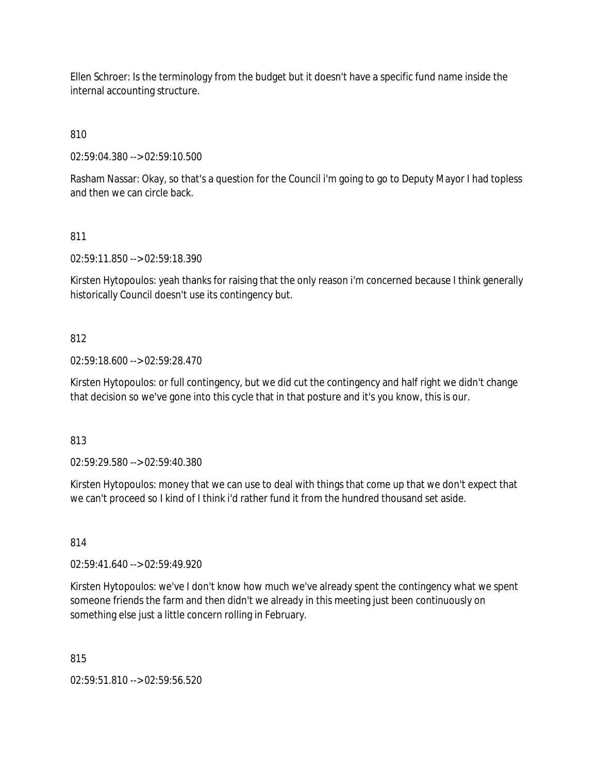Ellen Schroer: Is the terminology from the budget but it doesn't have a specific fund name inside the internal accounting structure.

810

02:59:04.380 --> 02:59:10.500

Rasham Nassar: Okay, so that's a question for the Council i'm going to go to Deputy Mayor I had topless and then we can circle back.

# 811

02:59:11.850 --> 02:59:18.390

Kirsten Hytopoulos: yeah thanks for raising that the only reason i'm concerned because I think generally historically Council doesn't use its contingency but.

# 812

02:59:18.600 --> 02:59:28.470

Kirsten Hytopoulos: or full contingency, but we did cut the contingency and half right we didn't change that decision so we've gone into this cycle that in that posture and it's you know, this is our.

813

02:59:29.580 --> 02:59:40.380

Kirsten Hytopoulos: money that we can use to deal with things that come up that we don't expect that we can't proceed so I kind of I think i'd rather fund it from the hundred thousand set aside.

## 814

02:59:41.640 --> 02:59:49.920

Kirsten Hytopoulos: we've I don't know how much we've already spent the contingency what we spent someone friends the farm and then didn't we already in this meeting just been continuously on something else just a little concern rolling in February.

815

02:59:51.810 --> 02:59:56.520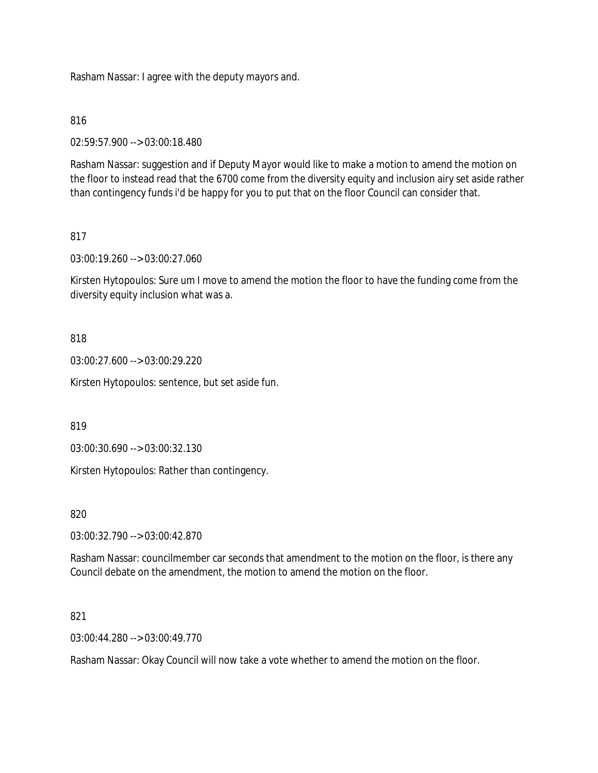Rasham Nassar: I agree with the deputy mayors and.

## 816

02:59:57.900 --> 03:00:18.480

Rasham Nassar: suggestion and if Deputy Mayor would like to make a motion to amend the motion on the floor to instead read that the 6700 come from the diversity equity and inclusion airy set aside rather than contingency funds i'd be happy for you to put that on the floor Council can consider that.

# 817

03:00:19.260 --> 03:00:27.060

Kirsten Hytopoulos: Sure um I move to amend the motion the floor to have the funding come from the diversity equity inclusion what was a.

## 818

03:00:27.600 --> 03:00:29.220

Kirsten Hytopoulos: sentence, but set aside fun.

819

03:00:30.690 --> 03:00:32.130

Kirsten Hytopoulos: Rather than contingency.

820

03:00:32.790 --> 03:00:42.870

Rasham Nassar: councilmember car seconds that amendment to the motion on the floor, is there any Council debate on the amendment, the motion to amend the motion on the floor.

#### 821

03:00:44.280 --> 03:00:49.770

Rasham Nassar: Okay Council will now take a vote whether to amend the motion on the floor.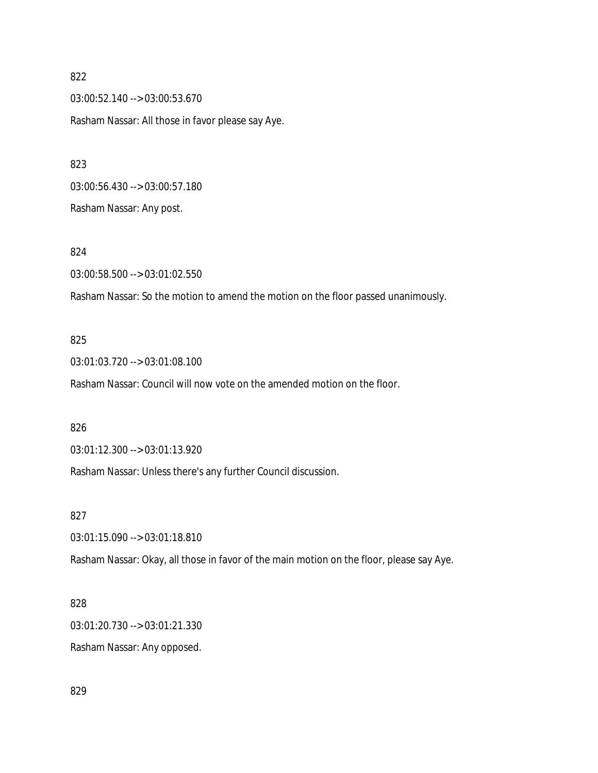03:00:52.140 --> 03:00:53.670 Rasham Nassar: All those in favor please say Aye.

03:00:56.430 --> 03:00:57.180 Rasham Nassar: Any post.

824 03:00:58.500 --> 03:01:02.550

Rasham Nassar: So the motion to amend the motion on the floor passed unanimously.

#### 825

03:01:03.720 --> 03:01:08.100

Rasham Nassar: Council will now vote on the amended motion on the floor.

826

03:01:12.300 --> 03:01:13.920

Rasham Nassar: Unless there's any further Council discussion.

827

03:01:15.090 --> 03:01:18.810

Rasham Nassar: Okay, all those in favor of the main motion on the floor, please say Aye.

## 828

03:01:20.730 --> 03:01:21.330

Rasham Nassar: Any opposed.

829

#### 822

823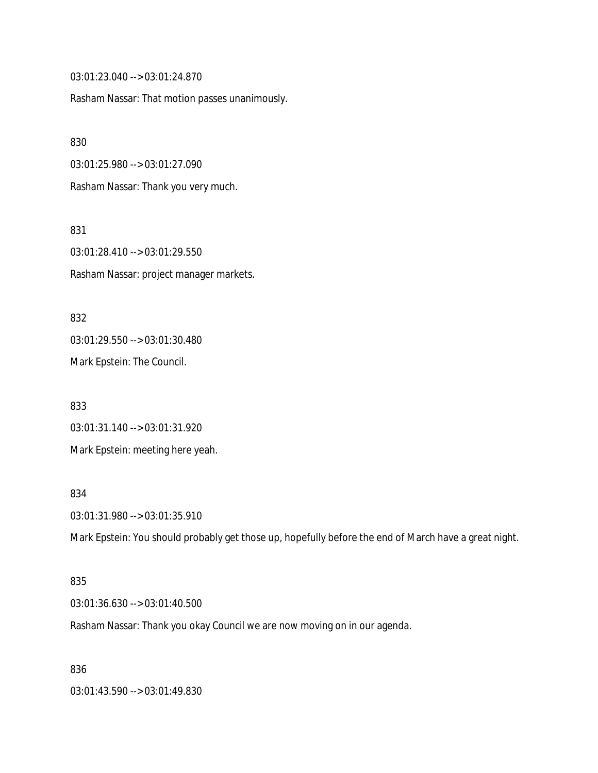03:01:23.040 --> 03:01:24.870

Rasham Nassar: That motion passes unanimously.

830

03:01:25.980 --> 03:01:27.090

Rasham Nassar: Thank you very much.

831

03:01:28.410 --> 03:01:29.550 Rasham Nassar: project manager markets.

832 03:01:29.550 --> 03:01:30.480 Mark Epstein: The Council.

833 03:01:31.140 --> 03:01:31.920 Mark Epstein: meeting here yeah.

#### 834

03:01:31.980 --> 03:01:35.910

Mark Epstein: You should probably get those up, hopefully before the end of March have a great night.

## 835

03:01:36.630 --> 03:01:40.500

Rasham Nassar: Thank you okay Council we are now moving on in our agenda.

836

03:01:43.590 --> 03:01:49.830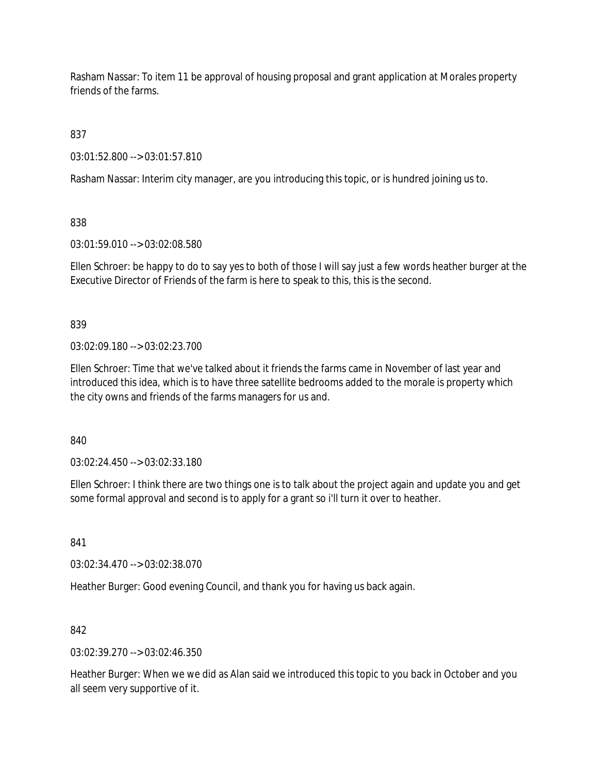Rasham Nassar: To item 11 be approval of housing proposal and grant application at Morales property friends of the farms.

837

03:01:52.800 --> 03:01:57.810

Rasham Nassar: Interim city manager, are you introducing this topic, or is hundred joining us to.

838

03:01:59.010 --> 03:02:08.580

Ellen Schroer: be happy to do to say yes to both of those I will say just a few words heather burger at the Executive Director of Friends of the farm is here to speak to this, this is the second.

839

03:02:09.180 --> 03:02:23.700

Ellen Schroer: Time that we've talked about it friends the farms came in November of last year and introduced this idea, which is to have three satellite bedrooms added to the morale is property which the city owns and friends of the farms managers for us and.

840

03:02:24.450 --> 03:02:33.180

Ellen Schroer: I think there are two things one is to talk about the project again and update you and get some formal approval and second is to apply for a grant so i'll turn it over to heather.

841

03:02:34.470 --> 03:02:38.070

Heather Burger: Good evening Council, and thank you for having us back again.

842

03:02:39.270 --> 03:02:46.350

Heather Burger: When we we did as Alan said we introduced this topic to you back in October and you all seem very supportive of it.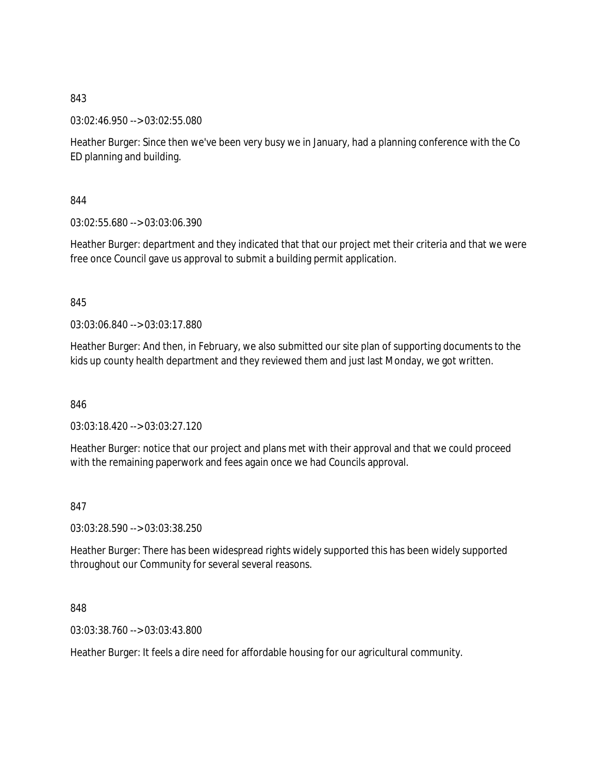03:02:46.950 --> 03:02:55.080

Heather Burger: Since then we've been very busy we in January, had a planning conference with the Co ED planning and building.

844

03:02:55.680 --> 03:03:06.390

Heather Burger: department and they indicated that that our project met their criteria and that we were free once Council gave us approval to submit a building permit application.

845

03:03:06.840 --> 03:03:17.880

Heather Burger: And then, in February, we also submitted our site plan of supporting documents to the kids up county health department and they reviewed them and just last Monday, we got written.

846

03:03:18.420 --> 03:03:27.120

Heather Burger: notice that our project and plans met with their approval and that we could proceed with the remaining paperwork and fees again once we had Councils approval.

847

03:03:28.590 --> 03:03:38.250

Heather Burger: There has been widespread rights widely supported this has been widely supported throughout our Community for several several reasons.

848

03:03:38.760 --> 03:03:43.800

Heather Burger: It feels a dire need for affordable housing for our agricultural community.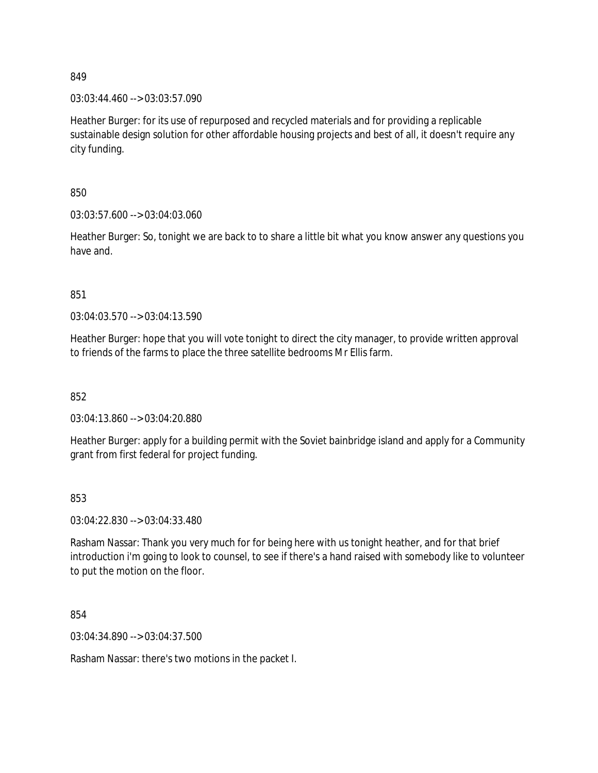03:03:44.460 --> 03:03:57.090

Heather Burger: for its use of repurposed and recycled materials and for providing a replicable sustainable design solution for other affordable housing projects and best of all, it doesn't require any city funding.

850

03:03:57.600 --> 03:04:03.060

Heather Burger: So, tonight we are back to to share a little bit what you know answer any questions you have and.

851

03:04:03.570 --> 03:04:13.590

Heather Burger: hope that you will vote tonight to direct the city manager, to provide written approval to friends of the farms to place the three satellite bedrooms Mr Ellis farm.

852

03:04:13.860 --> 03:04:20.880

Heather Burger: apply for a building permit with the Soviet bainbridge island and apply for a Community grant from first federal for project funding.

853

03:04:22.830 --> 03:04:33.480

Rasham Nassar: Thank you very much for for being here with us tonight heather, and for that brief introduction i'm going to look to counsel, to see if there's a hand raised with somebody like to volunteer to put the motion on the floor.

854

03:04:34.890 --> 03:04:37.500

Rasham Nassar: there's two motions in the packet I.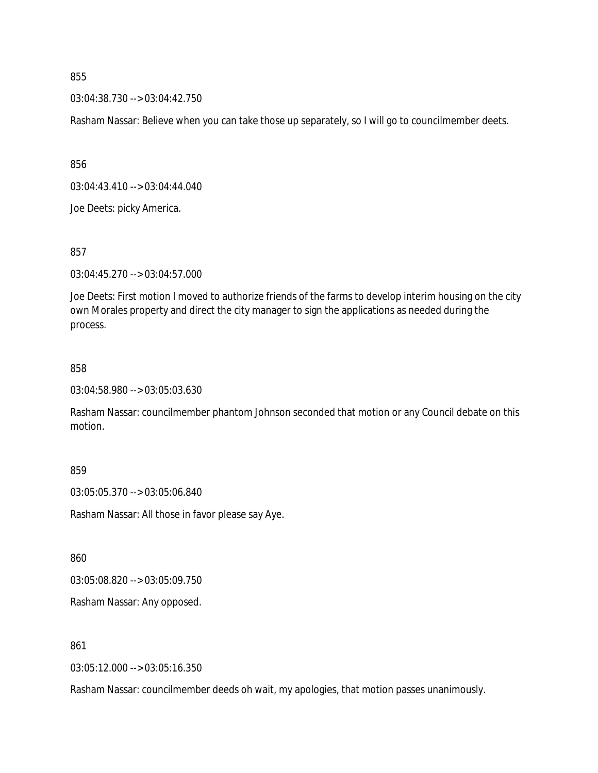03:04:38.730 --> 03:04:42.750

Rasham Nassar: Believe when you can take those up separately, so I will go to councilmember deets.

856

03:04:43.410 --> 03:04:44.040

Joe Deets: picky America.

857

03:04:45.270 --> 03:04:57.000

Joe Deets: First motion I moved to authorize friends of the farms to develop interim housing on the city own Morales property and direct the city manager to sign the applications as needed during the process.

#### 858

03:04:58.980 --> 03:05:03.630

Rasham Nassar: councilmember phantom Johnson seconded that motion or any Council debate on this motion.

859

03:05:05.370 --> 03:05:06.840

Rasham Nassar: All those in favor please say Aye.

860

03:05:08.820 --> 03:05:09.750

Rasham Nassar: Any opposed.

861

03:05:12.000 --> 03:05:16.350

Rasham Nassar: councilmember deeds oh wait, my apologies, that motion passes unanimously.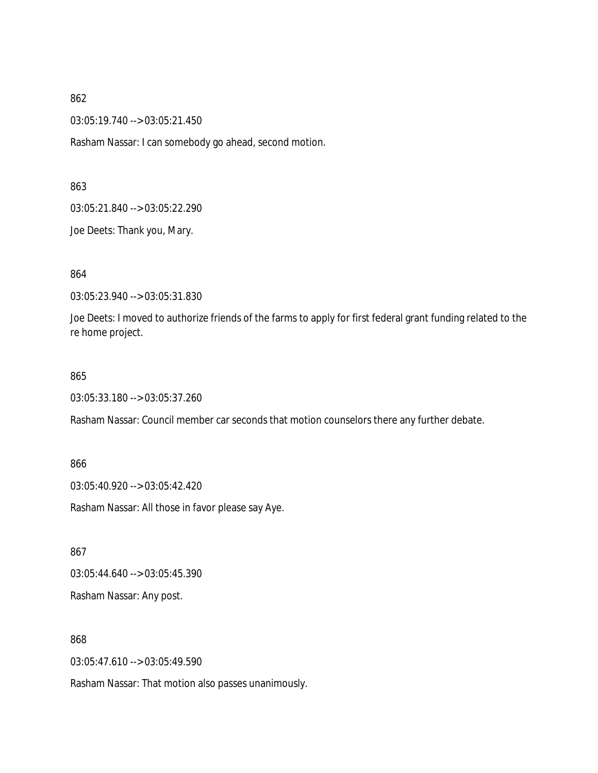03:05:19.740 --> 03:05:21.450

Rasham Nassar: I can somebody go ahead, second motion.

863

03:05:21.840 --> 03:05:22.290

Joe Deets: Thank you, Mary.

864

03:05:23.940 --> 03:05:31.830

Joe Deets: I moved to authorize friends of the farms to apply for first federal grant funding related to the re home project.

#### 865

03:05:33.180 --> 03:05:37.260

Rasham Nassar: Council member car seconds that motion counselors there any further debate.

866

03:05:40.920 --> 03:05:42.420

Rasham Nassar: All those in favor please say Aye.

867

03:05:44.640 --> 03:05:45.390

Rasham Nassar: Any post.

868

03:05:47.610 --> 03:05:49.590

Rasham Nassar: That motion also passes unanimously.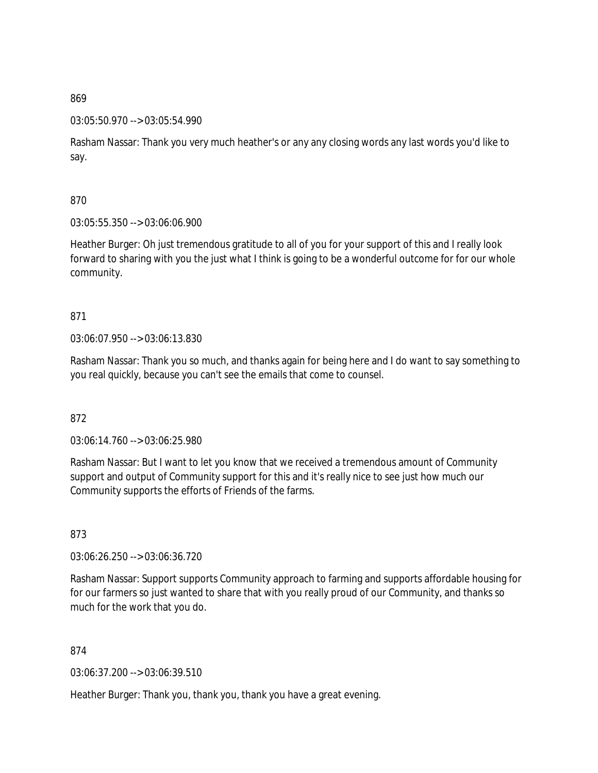### 03:05:50.970 --> 03:05:54.990

Rasham Nassar: Thank you very much heather's or any any closing words any last words you'd like to say.

## 870

03:05:55.350 --> 03:06:06.900

Heather Burger: Oh just tremendous gratitude to all of you for your support of this and I really look forward to sharing with you the just what I think is going to be a wonderful outcome for for our whole community.

# 871

03:06:07.950 --> 03:06:13.830

Rasham Nassar: Thank you so much, and thanks again for being here and I do want to say something to you real quickly, because you can't see the emails that come to counsel.

## 872

03:06:14.760 --> 03:06:25.980

Rasham Nassar: But I want to let you know that we received a tremendous amount of Community support and output of Community support for this and it's really nice to see just how much our Community supports the efforts of Friends of the farms.

873

03:06:26.250 --> 03:06:36.720

Rasham Nassar: Support supports Community approach to farming and supports affordable housing for for our farmers so just wanted to share that with you really proud of our Community, and thanks so much for the work that you do.

874

03:06:37.200 --> 03:06:39.510

Heather Burger: Thank you, thank you, thank you have a great evening.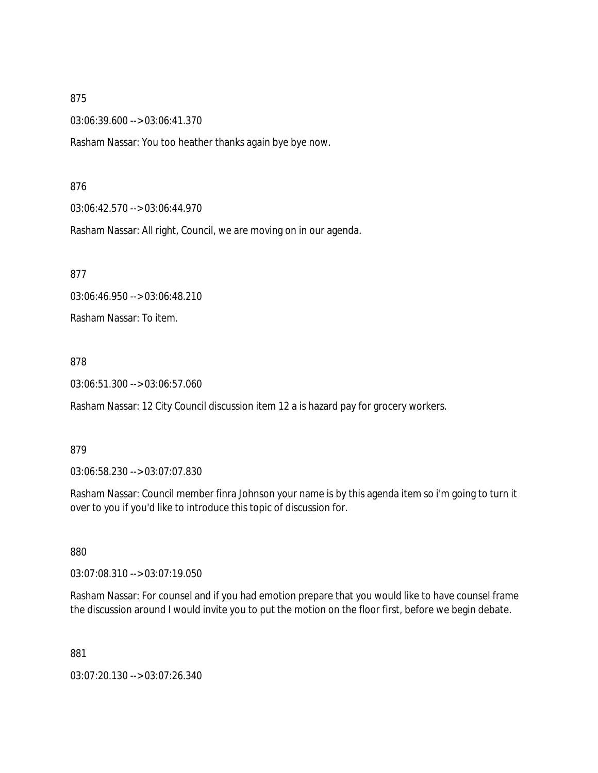03:06:39.600 --> 03:06:41.370

Rasham Nassar: You too heather thanks again bye bye now.

#### 876

03:06:42.570 --> 03:06:44.970

Rasham Nassar: All right, Council, we are moving on in our agenda.

877

03:06:46.950 --> 03:06:48.210

Rasham Nassar: To item.

878

03:06:51.300 --> 03:06:57.060

Rasham Nassar: 12 City Council discussion item 12 a is hazard pay for grocery workers.

#### 879

03:06:58.230 --> 03:07:07.830

Rasham Nassar: Council member finra Johnson your name is by this agenda item so i'm going to turn it over to you if you'd like to introduce this topic of discussion for.

880

03:07:08.310 --> 03:07:19.050

Rasham Nassar: For counsel and if you had emotion prepare that you would like to have counsel frame the discussion around I would invite you to put the motion on the floor first, before we begin debate.

881

03:07:20.130 --> 03:07:26.340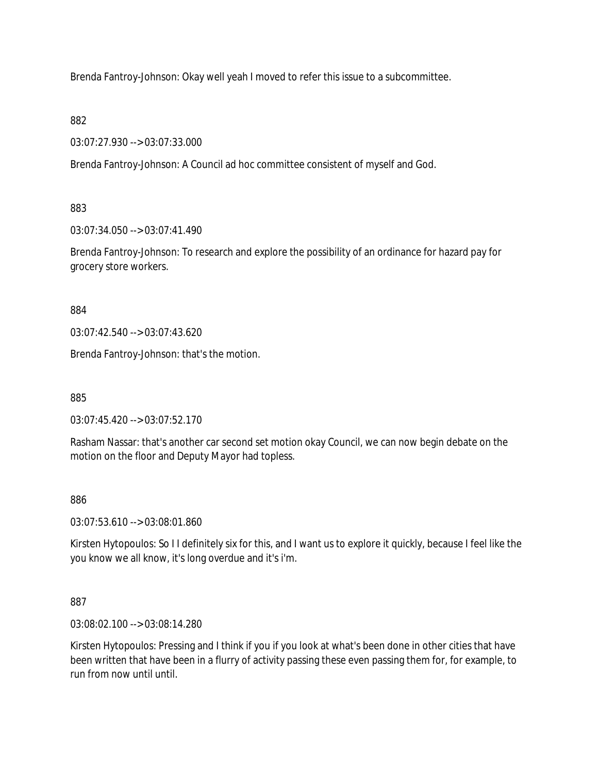Brenda Fantroy-Johnson: Okay well yeah I moved to refer this issue to a subcommittee.

882

03:07:27.930 --> 03:07:33.000

Brenda Fantroy-Johnson: A Council ad hoc committee consistent of myself and God.

883

03:07:34.050 --> 03:07:41.490

Brenda Fantroy-Johnson: To research and explore the possibility of an ordinance for hazard pay for grocery store workers.

884

03:07:42.540 --> 03:07:43.620

Brenda Fantroy-Johnson: that's the motion.

885

03:07:45.420 --> 03:07:52.170

Rasham Nassar: that's another car second set motion okay Council, we can now begin debate on the motion on the floor and Deputy Mayor had topless.

886

03:07:53.610 --> 03:08:01.860

Kirsten Hytopoulos: So I I definitely six for this, and I want us to explore it quickly, because I feel like the you know we all know, it's long overdue and it's i'm.

887

03:08:02.100 --> 03:08:14.280

Kirsten Hytopoulos: Pressing and I think if you if you look at what's been done in other cities that have been written that have been in a flurry of activity passing these even passing them for, for example, to run from now until until.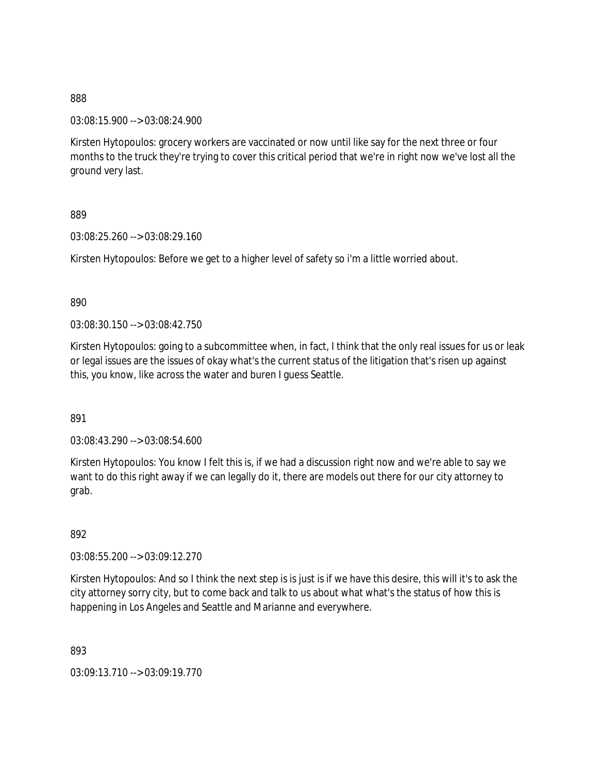03:08:15.900 --> 03:08:24.900

Kirsten Hytopoulos: grocery workers are vaccinated or now until like say for the next three or four months to the truck they're trying to cover this critical period that we're in right now we've lost all the ground very last.

889

03:08:25.260 --> 03:08:29.160

Kirsten Hytopoulos: Before we get to a higher level of safety so i'm a little worried about.

890

03:08:30.150 --> 03:08:42.750

Kirsten Hytopoulos: going to a subcommittee when, in fact, I think that the only real issues for us or leak or legal issues are the issues of okay what's the current status of the litigation that's risen up against this, you know, like across the water and buren I guess Seattle.

891

03:08:43.290 --> 03:08:54.600

Kirsten Hytopoulos: You know I felt this is, if we had a discussion right now and we're able to say we want to do this right away if we can legally do it, there are models out there for our city attorney to grab.

892

03:08:55.200 --> 03:09:12.270

Kirsten Hytopoulos: And so I think the next step is is just is if we have this desire, this will it's to ask the city attorney sorry city, but to come back and talk to us about what what's the status of how this is happening in Los Angeles and Seattle and Marianne and everywhere.

893

03:09:13.710 --> 03:09:19.770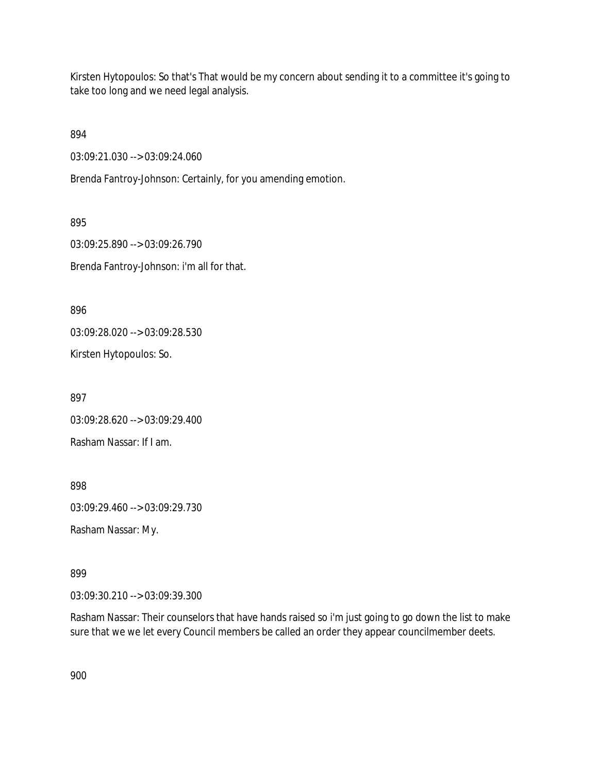Kirsten Hytopoulos: So that's That would be my concern about sending it to a committee it's going to take too long and we need legal analysis.

894

03:09:21.030 --> 03:09:24.060

Brenda Fantroy-Johnson: Certainly, for you amending emotion.

895 03:09:25.890 --> 03:09:26.790 Brenda Fantroy-Johnson: i'm all for that.

896

03:09:28.020 --> 03:09:28.530

Kirsten Hytopoulos: So.

897

03:09:28.620 --> 03:09:29.400

Rasham Nassar: If I am.

898

03:09:29.460 --> 03:09:29.730

Rasham Nassar: My.

899

03:09:30.210 --> 03:09:39.300

Rasham Nassar: Their counselors that have hands raised so i'm just going to go down the list to make sure that we we let every Council members be called an order they appear councilmember deets.

900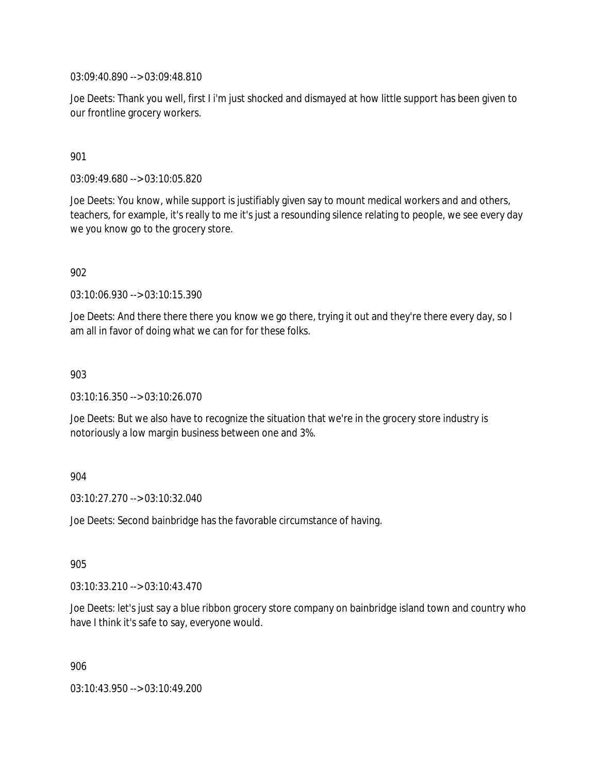03:09:40.890 --> 03:09:48.810

Joe Deets: Thank you well, first I i'm just shocked and dismayed at how little support has been given to our frontline grocery workers.

## 901

03:09:49.680 --> 03:10:05.820

Joe Deets: You know, while support is justifiably given say to mount medical workers and and others, teachers, for example, it's really to me it's just a resounding silence relating to people, we see every day we you know go to the grocery store.

#### 902

03:10:06.930 --> 03:10:15.390

Joe Deets: And there there there you know we go there, trying it out and they're there every day, so I am all in favor of doing what we can for for these folks.

#### 903

03:10:16.350 --> 03:10:26.070

Joe Deets: But we also have to recognize the situation that we're in the grocery store industry is notoriously a low margin business between one and 3%.

#### 904

03:10:27.270 --> 03:10:32.040

Joe Deets: Second bainbridge has the favorable circumstance of having.

#### 905

03:10:33.210 --> 03:10:43.470

Joe Deets: let's just say a blue ribbon grocery store company on bainbridge island town and country who have I think it's safe to say, everyone would.

906

03:10:43.950 --> 03:10:49.200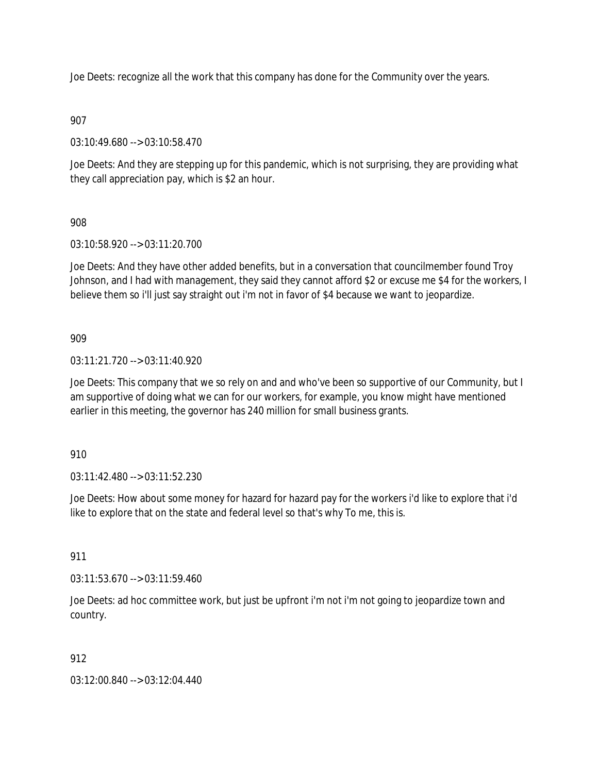Joe Deets: recognize all the work that this company has done for the Community over the years.

# 907

03:10:49.680 --> 03:10:58.470

Joe Deets: And they are stepping up for this pandemic, which is not surprising, they are providing what they call appreciation pay, which is \$2 an hour.

# 908

03:10:58.920 --> 03:11:20.700

Joe Deets: And they have other added benefits, but in a conversation that councilmember found Troy Johnson, and I had with management, they said they cannot afford \$2 or excuse me \$4 for the workers, I believe them so i'll just say straight out i'm not in favor of \$4 because we want to jeopardize.

# 909

03:11:21.720 --> 03:11:40.920

Joe Deets: This company that we so rely on and and who've been so supportive of our Community, but I am supportive of doing what we can for our workers, for example, you know might have mentioned earlier in this meeting, the governor has 240 million for small business grants.

## 910

03:11:42.480 --> 03:11:52.230

Joe Deets: How about some money for hazard for hazard pay for the workers i'd like to explore that i'd like to explore that on the state and federal level so that's why To me, this is.

## 911

03:11:53.670 --> 03:11:59.460

Joe Deets: ad hoc committee work, but just be upfront i'm not i'm not going to jeopardize town and country.

## 912

03:12:00.840 --> 03:12:04.440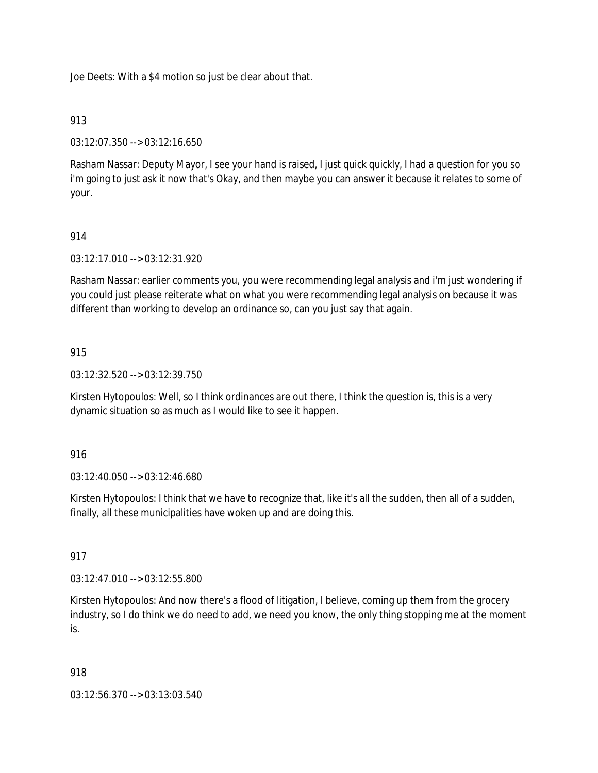Joe Deets: With a \$4 motion so just be clear about that.

## 913

03:12:07.350 --> 03:12:16.650

Rasham Nassar: Deputy Mayor, I see your hand is raised, I just quick quickly, I had a question for you so i'm going to just ask it now that's Okay, and then maybe you can answer it because it relates to some of your.

# 914

03:12:17.010 --> 03:12:31.920

Rasham Nassar: earlier comments you, you were recommending legal analysis and i'm just wondering if you could just please reiterate what on what you were recommending legal analysis on because it was different than working to develop an ordinance so, can you just say that again.

## 915

03:12:32.520 --> 03:12:39.750

Kirsten Hytopoulos: Well, so I think ordinances are out there, I think the question is, this is a very dynamic situation so as much as I would like to see it happen.

## 916

03:12:40.050 --> 03:12:46.680

Kirsten Hytopoulos: I think that we have to recognize that, like it's all the sudden, then all of a sudden, finally, all these municipalities have woken up and are doing this.

## 917

03:12:47.010 --> 03:12:55.800

Kirsten Hytopoulos: And now there's a flood of litigation, I believe, coming up them from the grocery industry, so I do think we do need to add, we need you know, the only thing stopping me at the moment is.

#### 918

03:12:56.370 --> 03:13:03.540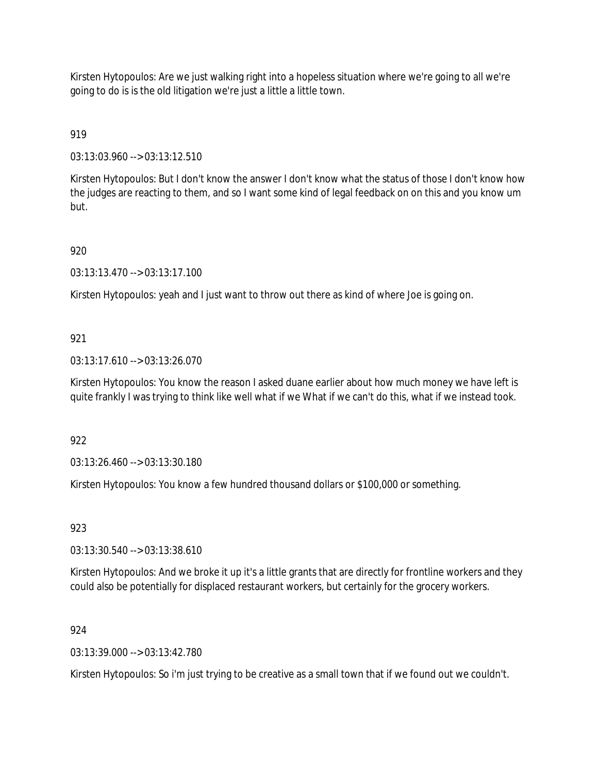Kirsten Hytopoulos: Are we just walking right into a hopeless situation where we're going to all we're going to do is is the old litigation we're just a little a little town.

919

03:13:03.960 --> 03:13:12.510

Kirsten Hytopoulos: But I don't know the answer I don't know what the status of those I don't know how the judges are reacting to them, and so I want some kind of legal feedback on on this and you know um but.

# 920

03:13:13.470 --> 03:13:17.100

Kirsten Hytopoulos: yeah and I just want to throw out there as kind of where Joe is going on.

# 921

03:13:17.610 --> 03:13:26.070

Kirsten Hytopoulos: You know the reason I asked duane earlier about how much money we have left is quite frankly I was trying to think like well what if we What if we can't do this, what if we instead took.

922

03:13:26.460 --> 03:13:30.180

Kirsten Hytopoulos: You know a few hundred thousand dollars or \$100,000 or something.

923

03:13:30.540 --> 03:13:38.610

Kirsten Hytopoulos: And we broke it up it's a little grants that are directly for frontline workers and they could also be potentially for displaced restaurant workers, but certainly for the grocery workers.

## 924

03:13:39.000 --> 03:13:42.780

Kirsten Hytopoulos: So i'm just trying to be creative as a small town that if we found out we couldn't.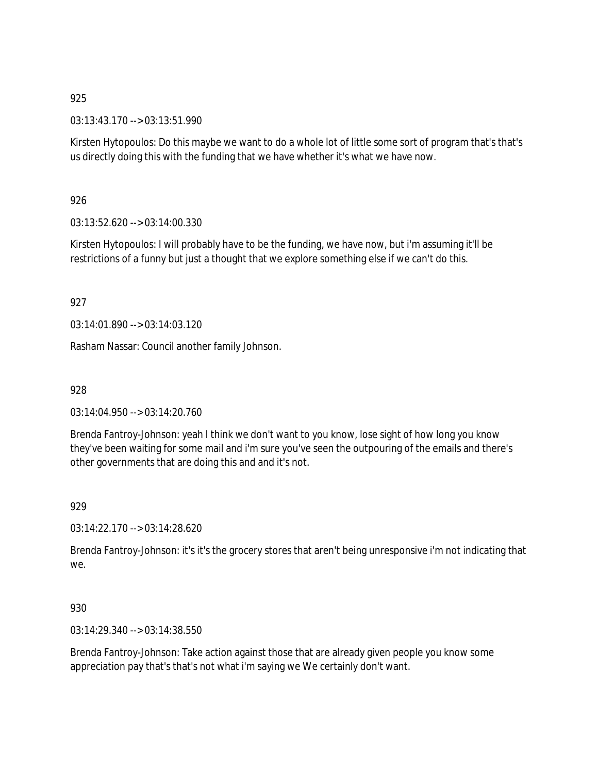03:13:43.170 --> 03:13:51.990

Kirsten Hytopoulos: Do this maybe we want to do a whole lot of little some sort of program that's that's us directly doing this with the funding that we have whether it's what we have now.

# 926

03:13:52.620 --> 03:14:00.330

Kirsten Hytopoulos: I will probably have to be the funding, we have now, but i'm assuming it'll be restrictions of a funny but just a thought that we explore something else if we can't do this.

## 927

03:14:01.890 --> 03:14:03.120

Rasham Nassar: Council another family Johnson.

928

03:14:04.950 --> 03:14:20.760

Brenda Fantroy-Johnson: yeah I think we don't want to you know, lose sight of how long you know they've been waiting for some mail and i'm sure you've seen the outpouring of the emails and there's other governments that are doing this and and it's not.

## 929

03:14:22.170 --> 03:14:28.620

Brenda Fantroy-Johnson: it's it's the grocery stores that aren't being unresponsive i'm not indicating that we.

## 930

03:14:29.340 --> 03:14:38.550

Brenda Fantroy-Johnson: Take action against those that are already given people you know some appreciation pay that's that's not what i'm saying we We certainly don't want.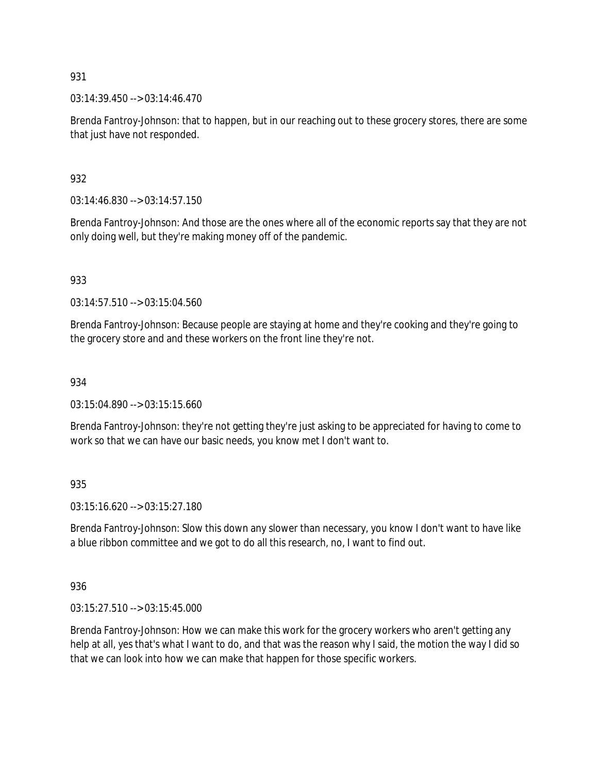$03:14:39.450 \rightarrow 03:14:46.470$ 

Brenda Fantroy-Johnson: that to happen, but in our reaching out to these grocery stores, there are some that just have not responded.

932

03:14:46.830 --> 03:14:57.150

Brenda Fantroy-Johnson: And those are the ones where all of the economic reports say that they are not only doing well, but they're making money off of the pandemic.

933

03:14:57.510 --> 03:15:04.560

Brenda Fantroy-Johnson: Because people are staying at home and they're cooking and they're going to the grocery store and and these workers on the front line they're not.

934

03:15:04.890 --> 03:15:15.660

Brenda Fantroy-Johnson: they're not getting they're just asking to be appreciated for having to come to work so that we can have our basic needs, you know met I don't want to.

935

03:15:16.620 --> 03:15:27.180

Brenda Fantroy-Johnson: Slow this down any slower than necessary, you know I don't want to have like a blue ribbon committee and we got to do all this research, no, I want to find out.

936

03:15:27.510 --> 03:15:45.000

Brenda Fantroy-Johnson: How we can make this work for the grocery workers who aren't getting any help at all, yes that's what I want to do, and that was the reason why I said, the motion the way I did so that we can look into how we can make that happen for those specific workers.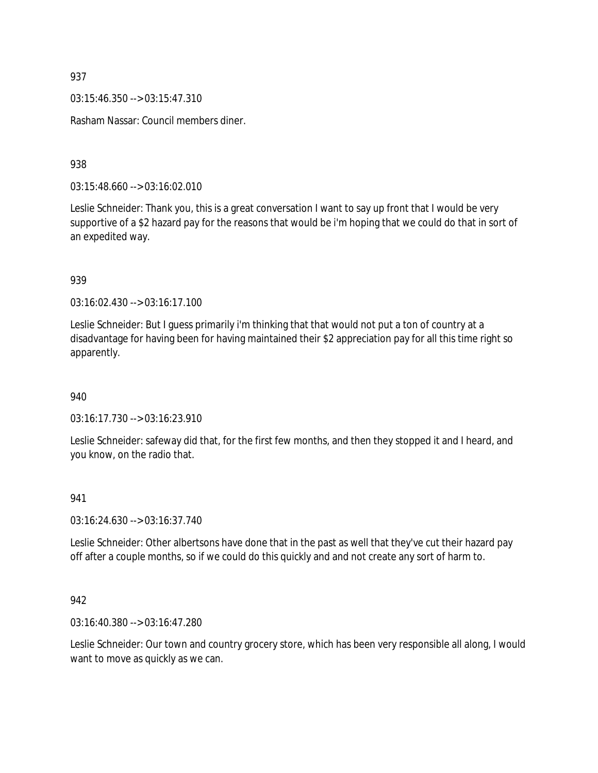$03:15:46.350 \rightarrow 03:15:47.310$ 

Rasham Nassar: Council members diner.

938

03:15:48.660 --> 03:16:02.010

Leslie Schneider: Thank you, this is a great conversation I want to say up front that I would be very supportive of a \$2 hazard pay for the reasons that would be i'm hoping that we could do that in sort of an expedited way.

939

03:16:02.430 --> 03:16:17.100

Leslie Schneider: But I guess primarily i'm thinking that that would not put a ton of country at a disadvantage for having been for having maintained their \$2 appreciation pay for all this time right so apparently.

940

03:16:17.730 --> 03:16:23.910

Leslie Schneider: safeway did that, for the first few months, and then they stopped it and I heard, and you know, on the radio that.

## 941

03:16:24.630 --> 03:16:37.740

Leslie Schneider: Other albertsons have done that in the past as well that they've cut their hazard pay off after a couple months, so if we could do this quickly and and not create any sort of harm to.

## 942

03:16:40.380 --> 03:16:47.280

Leslie Schneider: Our town and country grocery store, which has been very responsible all along, I would want to move as quickly as we can.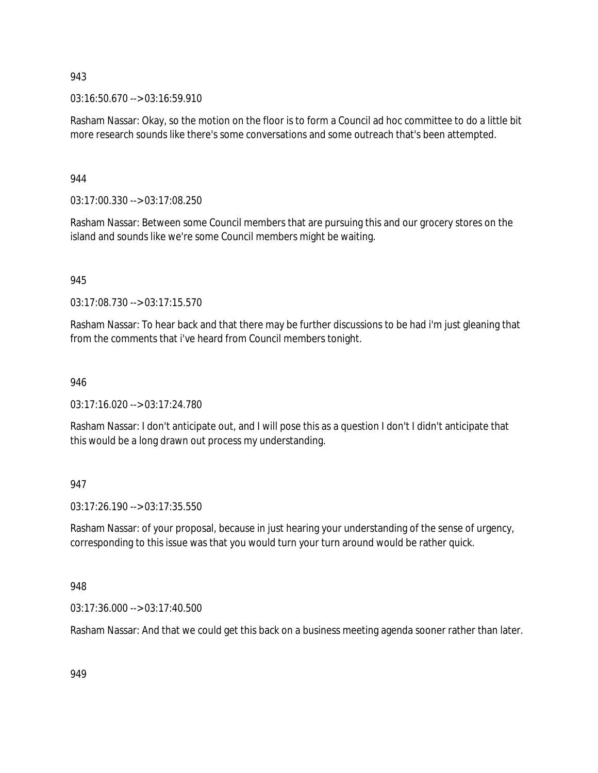03:16:50.670 --> 03:16:59.910

Rasham Nassar: Okay, so the motion on the floor is to form a Council ad hoc committee to do a little bit more research sounds like there's some conversations and some outreach that's been attempted.

## 944

03:17:00.330 --> 03:17:08.250

Rasham Nassar: Between some Council members that are pursuing this and our grocery stores on the island and sounds like we're some Council members might be waiting.

## 945

03:17:08.730 --> 03:17:15.570

Rasham Nassar: To hear back and that there may be further discussions to be had i'm just gleaning that from the comments that i've heard from Council members tonight.

## 946

03:17:16.020 --> 03:17:24.780

Rasham Nassar: I don't anticipate out, and I will pose this as a question I don't I didn't anticipate that this would be a long drawn out process my understanding.

## 947

03:17:26.190 --> 03:17:35.550

Rasham Nassar: of your proposal, because in just hearing your understanding of the sense of urgency, corresponding to this issue was that you would turn your turn around would be rather quick.

## 948

03:17:36.000 --> 03:17:40.500

Rasham Nassar: And that we could get this back on a business meeting agenda sooner rather than later.

949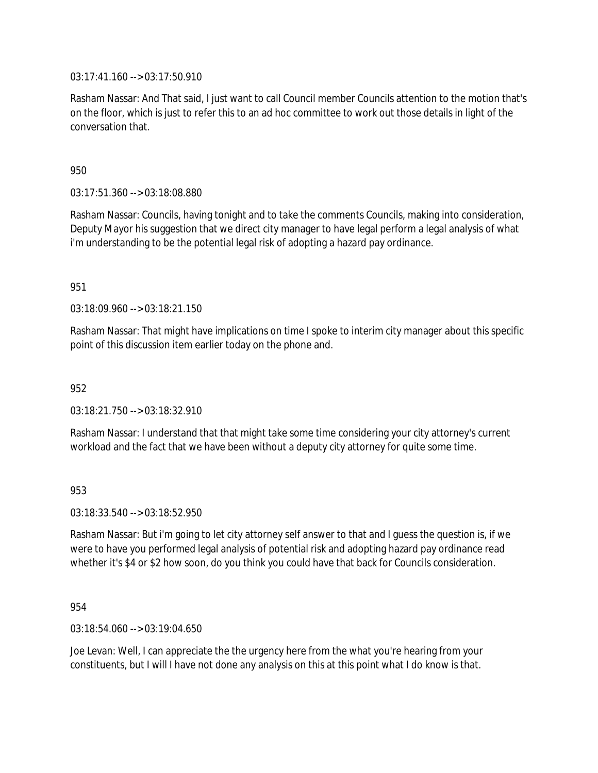03:17:41.160 --> 03:17:50.910

Rasham Nassar: And That said, I just want to call Council member Councils attention to the motion that's on the floor, which is just to refer this to an ad hoc committee to work out those details in light of the conversation that.

950

03:17:51.360 --> 03:18:08.880

Rasham Nassar: Councils, having tonight and to take the comments Councils, making into consideration, Deputy Mayor his suggestion that we direct city manager to have legal perform a legal analysis of what i'm understanding to be the potential legal risk of adopting a hazard pay ordinance.

951

03:18:09.960 --> 03:18:21.150

Rasham Nassar: That might have implications on time I spoke to interim city manager about this specific point of this discussion item earlier today on the phone and.

952

 $03:18:21.750 \rightarrow 03:18:32.910$ 

Rasham Nassar: I understand that that might take some time considering your city attorney's current workload and the fact that we have been without a deputy city attorney for quite some time.

953

03:18:33.540 --> 03:18:52.950

Rasham Nassar: But i'm going to let city attorney self answer to that and I guess the question is, if we were to have you performed legal analysis of potential risk and adopting hazard pay ordinance read whether it's \$4 or \$2 how soon, do you think you could have that back for Councils consideration.

954

03:18:54.060 --> 03:19:04.650

Joe Levan: Well, I can appreciate the the urgency here from the what you're hearing from your constituents, but I will I have not done any analysis on this at this point what I do know is that.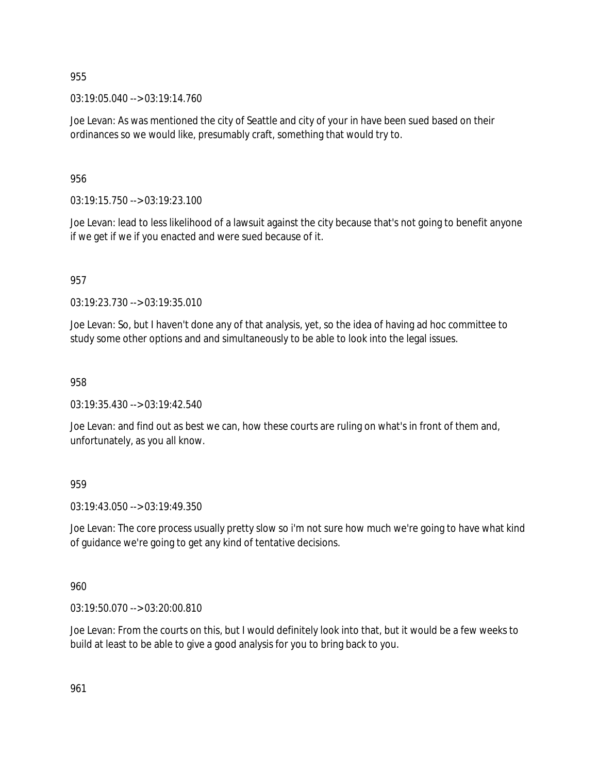03:19:05.040 --> 03:19:14.760

Joe Levan: As was mentioned the city of Seattle and city of your in have been sued based on their ordinances so we would like, presumably craft, something that would try to.

956

03:19:15.750 --> 03:19:23.100

Joe Levan: lead to less likelihood of a lawsuit against the city because that's not going to benefit anyone if we get if we if you enacted and were sued because of it.

957

03:19:23.730 --> 03:19:35.010

Joe Levan: So, but I haven't done any of that analysis, yet, so the idea of having ad hoc committee to study some other options and and simultaneously to be able to look into the legal issues.

958

03:19:35.430 --> 03:19:42.540

Joe Levan: and find out as best we can, how these courts are ruling on what's in front of them and, unfortunately, as you all know.

959

03:19:43.050 --> 03:19:49.350

Joe Levan: The core process usually pretty slow so i'm not sure how much we're going to have what kind of guidance we're going to get any kind of tentative decisions.

960

03:19:50.070 --> 03:20:00.810

Joe Levan: From the courts on this, but I would definitely look into that, but it would be a few weeks to build at least to be able to give a good analysis for you to bring back to you.

961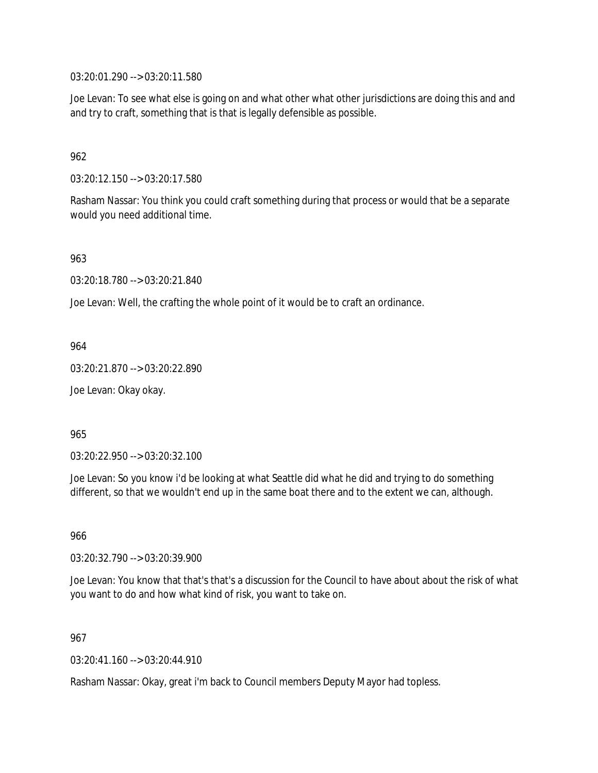03:20:01.290 --> 03:20:11.580

Joe Levan: To see what else is going on and what other what other jurisdictions are doing this and and and try to craft, something that is that is legally defensible as possible.

962

03:20:12.150 --> 03:20:17.580

Rasham Nassar: You think you could craft something during that process or would that be a separate would you need additional time.

963

03:20:18.780 --> 03:20:21.840

Joe Levan: Well, the crafting the whole point of it would be to craft an ordinance.

964

03:20:21.870 --> 03:20:22.890

Joe Levan: Okay okay.

965

03:20:22.950 --> 03:20:32.100

Joe Levan: So you know i'd be looking at what Seattle did what he did and trying to do something different, so that we wouldn't end up in the same boat there and to the extent we can, although.

966

03:20:32.790 --> 03:20:39.900

Joe Levan: You know that that's that's a discussion for the Council to have about about the risk of what you want to do and how what kind of risk, you want to take on.

967

03:20:41.160 --> 03:20:44.910

Rasham Nassar: Okay, great i'm back to Council members Deputy Mayor had topless.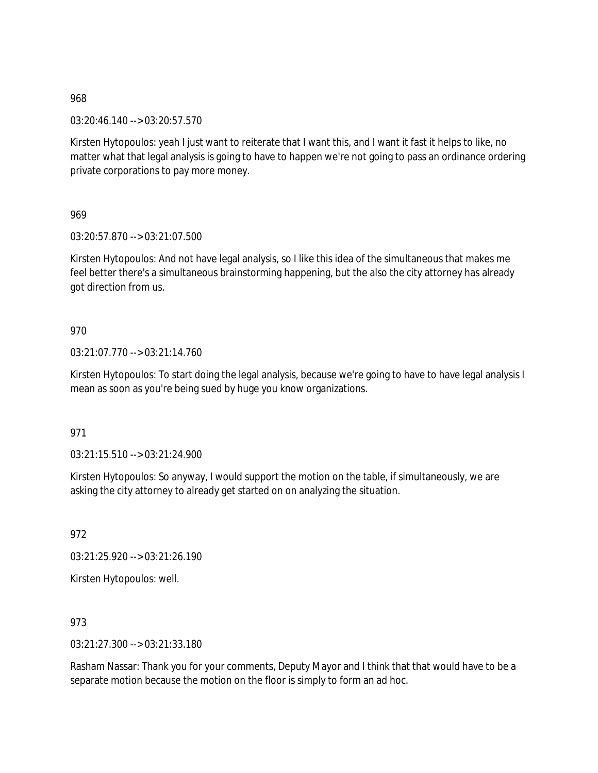03:20:46.140 --> 03:20:57.570

Kirsten Hytopoulos: yeah I just want to reiterate that I want this, and I want it fast it helps to like, no matter what that legal analysis is going to have to happen we're not going to pass an ordinance ordering private corporations to pay more money.

969

03:20:57.870 --> 03:21:07.500

Kirsten Hytopoulos: And not have legal analysis, so I like this idea of the simultaneous that makes me feel better there's a simultaneous brainstorming happening, but the also the city attorney has already got direction from us.

970

03:21:07.770 --> 03:21:14.760

Kirsten Hytopoulos: To start doing the legal analysis, because we're going to have to have legal analysis I mean as soon as you're being sued by huge you know organizations.

971

03:21:15.510 --> 03:21:24.900

Kirsten Hytopoulos: So anyway, I would support the motion on the table, if simultaneously, we are asking the city attorney to already get started on on analyzing the situation.

972

03:21:25.920 --> 03:21:26.190

Kirsten Hytopoulos: well.

973

03:21:27.300 --> 03:21:33.180

Rasham Nassar: Thank you for your comments, Deputy Mayor and I think that that would have to be a separate motion because the motion on the floor is simply to form an ad hoc.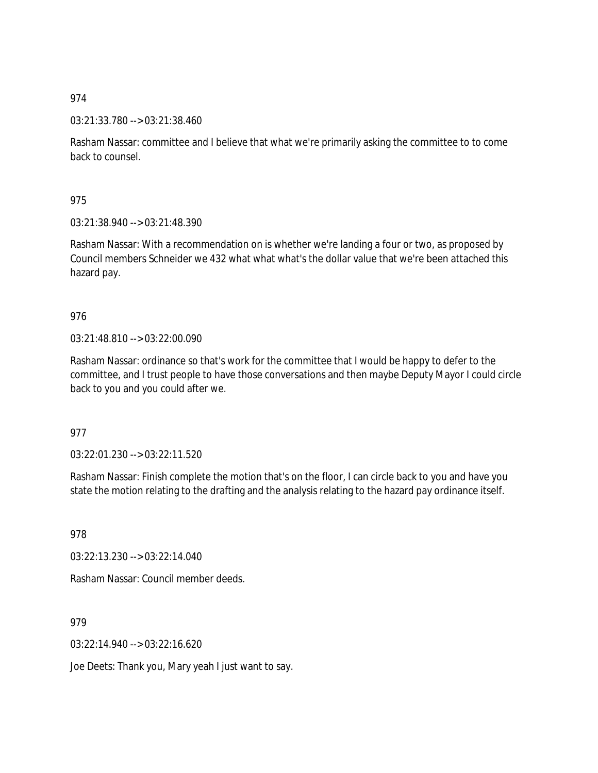03:21:33.780 --> 03:21:38.460

Rasham Nassar: committee and I believe that what we're primarily asking the committee to to come back to counsel.

975

03:21:38.940 --> 03:21:48.390

Rasham Nassar: With a recommendation on is whether we're landing a four or two, as proposed by Council members Schneider we 432 what what what's the dollar value that we're been attached this hazard pay.

976

03:21:48.810 --> 03:22:00.090

Rasham Nassar: ordinance so that's work for the committee that I would be happy to defer to the committee, and I trust people to have those conversations and then maybe Deputy Mayor I could circle back to you and you could after we.

977

03:22:01.230 --> 03:22:11.520

Rasham Nassar: Finish complete the motion that's on the floor, I can circle back to you and have you state the motion relating to the drafting and the analysis relating to the hazard pay ordinance itself.

978

03:22:13.230 --> 03:22:14.040

Rasham Nassar: Council member deeds.

979

03:22:14.940 --> 03:22:16.620

Joe Deets: Thank you, Mary yeah I just want to say.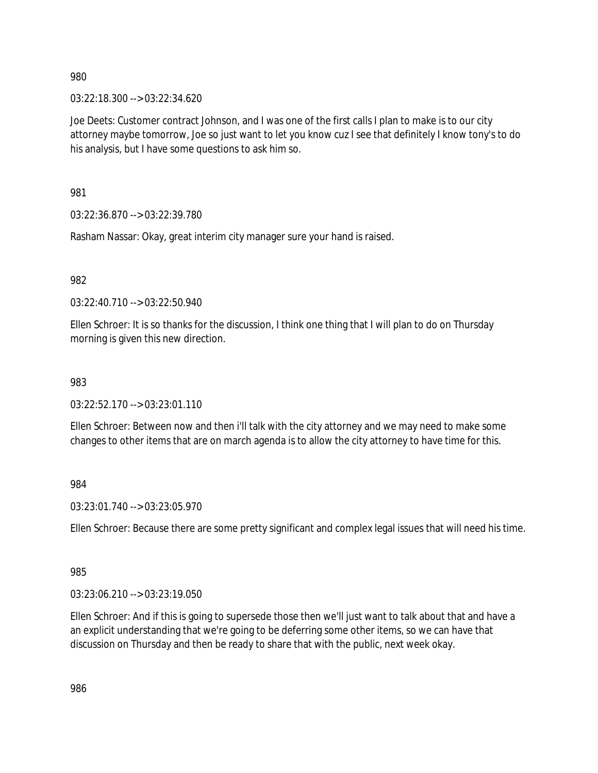03:22:18.300 --> 03:22:34.620

Joe Deets: Customer contract Johnson, and I was one of the first calls I plan to make is to our city attorney maybe tomorrow, Joe so just want to let you know cuz I see that definitely I know tony's to do his analysis, but I have some questions to ask him so.

981

03:22:36.870 --> 03:22:39.780

Rasham Nassar: Okay, great interim city manager sure your hand is raised.

982

03:22:40.710 --> 03:22:50.940

Ellen Schroer: It is so thanks for the discussion, I think one thing that I will plan to do on Thursday morning is given this new direction.

#### 983

03:22:52.170 --> 03:23:01.110

Ellen Schroer: Between now and then i'll talk with the city attorney and we may need to make some changes to other items that are on march agenda is to allow the city attorney to have time for this.

984

03:23:01.740 --> 03:23:05.970

Ellen Schroer: Because there are some pretty significant and complex legal issues that will need his time.

985

03:23:06.210 --> 03:23:19.050

Ellen Schroer: And if this is going to supersede those then we'll just want to talk about that and have a an explicit understanding that we're going to be deferring some other items, so we can have that discussion on Thursday and then be ready to share that with the public, next week okay.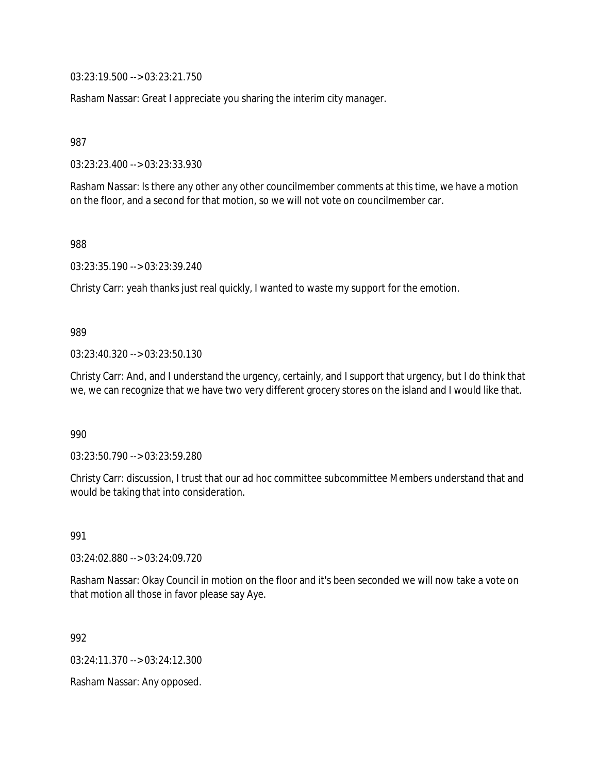03:23:19.500 --> 03:23:21.750

Rasham Nassar: Great I appreciate you sharing the interim city manager.

987

03:23:23.400 --> 03:23:33.930

Rasham Nassar: Is there any other any other councilmember comments at this time, we have a motion on the floor, and a second for that motion, so we will not vote on councilmember car.

988

03:23:35.190 --> 03:23:39.240

Christy Carr: yeah thanks just real quickly, I wanted to waste my support for the emotion.

#### 989

03:23:40.320 --> 03:23:50.130

Christy Carr: And, and I understand the urgency, certainly, and I support that urgency, but I do think that we, we can recognize that we have two very different grocery stores on the island and I would like that.

990

03:23:50.790 --> 03:23:59.280

Christy Carr: discussion, I trust that our ad hoc committee subcommittee Members understand that and would be taking that into consideration.

991

03:24:02.880 --> 03:24:09.720

Rasham Nassar: Okay Council in motion on the floor and it's been seconded we will now take a vote on that motion all those in favor please say Aye.

992

03:24:11.370 --> 03:24:12.300

Rasham Nassar: Any opposed.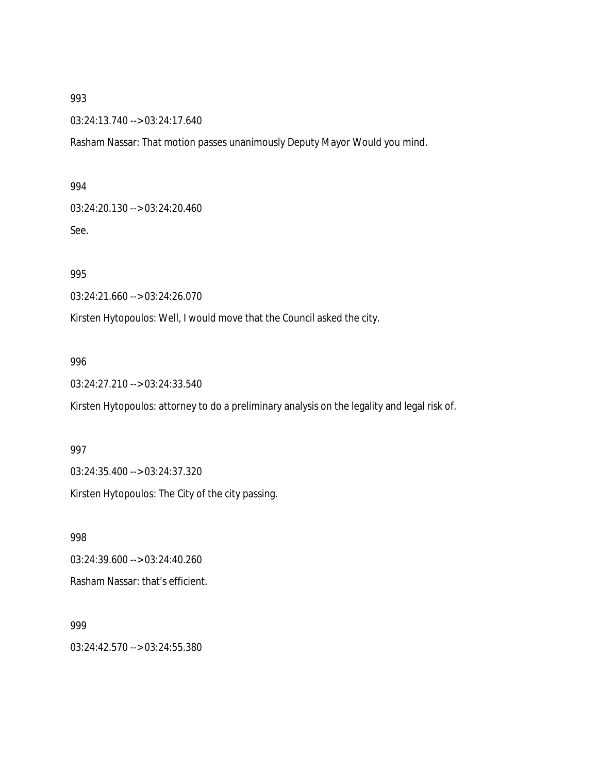03:24:13.740 --> 03:24:17.640

Rasham Nassar: That motion passes unanimously Deputy Mayor Would you mind.

#### 994

03:24:20.130 --> 03:24:20.460

See.

995

03:24:21.660 --> 03:24:26.070

Kirsten Hytopoulos: Well, I would move that the Council asked the city.

#### 996

03:24:27.210 --> 03:24:33.540

Kirsten Hytopoulos: attorney to do a preliminary analysis on the legality and legal risk of.

997 03:24:35.400 --> 03:24:37.320 Kirsten Hytopoulos: The City of the city passing.

998

03:24:39.600 --> 03:24:40.260 Rasham Nassar: that's efficient.

999

03:24:42.570 --> 03:24:55.380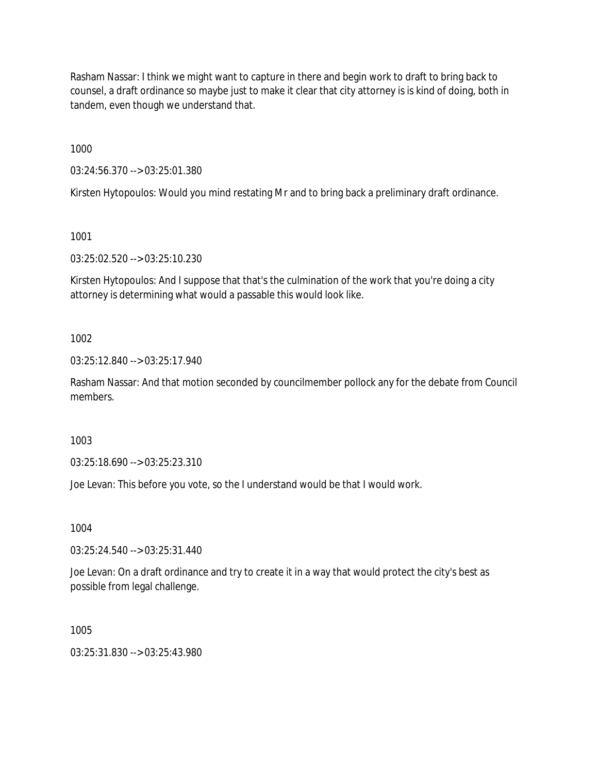Rasham Nassar: I think we might want to capture in there and begin work to draft to bring back to counsel, a draft ordinance so maybe just to make it clear that city attorney is is kind of doing, both in tandem, even though we understand that.

1000

03:24:56.370 --> 03:25:01.380

Kirsten Hytopoulos: Would you mind restating Mr and to bring back a preliminary draft ordinance.

1001

03:25:02.520 --> 03:25:10.230

Kirsten Hytopoulos: And I suppose that that's the culmination of the work that you're doing a city attorney is determining what would a passable this would look like.

1002

03:25:12.840 --> 03:25:17.940

Rasham Nassar: And that motion seconded by councilmember pollock any for the debate from Council members.

1003

03:25:18.690 --> 03:25:23.310

Joe Levan: This before you vote, so the I understand would be that I would work.

1004

03:25:24.540 --> 03:25:31.440

Joe Levan: On a draft ordinance and try to create it in a way that would protect the city's best as possible from legal challenge.

1005

03:25:31.830 --> 03:25:43.980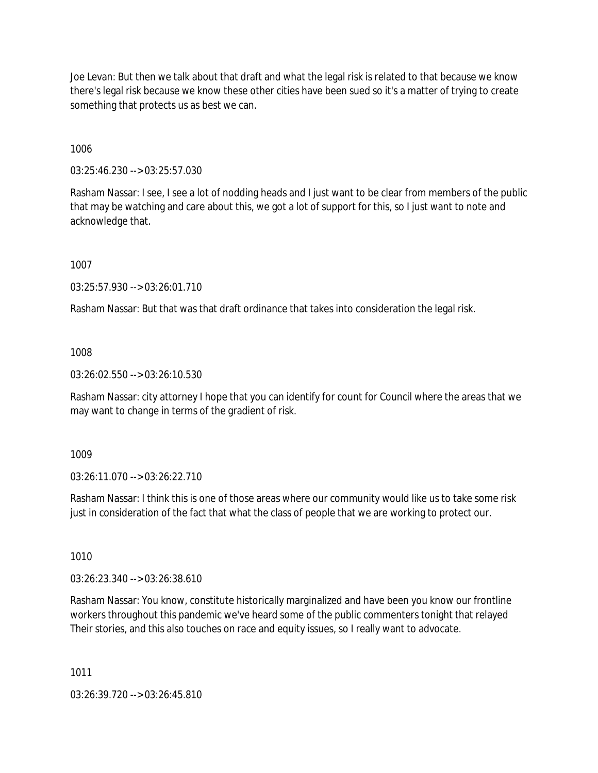Joe Levan: But then we talk about that draft and what the legal risk is related to that because we know there's legal risk because we know these other cities have been sued so it's a matter of trying to create something that protects us as best we can.

1006

03:25:46.230 --> 03:25:57.030

Rasham Nassar: I see, I see a lot of nodding heads and I just want to be clear from members of the public that may be watching and care about this, we got a lot of support for this, so I just want to note and acknowledge that.

1007

03:25:57.930 --> 03:26:01.710

Rasham Nassar: But that was that draft ordinance that takes into consideration the legal risk.

1008

03:26:02.550 --> 03:26:10.530

Rasham Nassar: city attorney I hope that you can identify for count for Council where the areas that we may want to change in terms of the gradient of risk.

1009

03:26:11.070 --> 03:26:22.710

Rasham Nassar: I think this is one of those areas where our community would like us to take some risk just in consideration of the fact that what the class of people that we are working to protect our.

1010

03:26:23.340 --> 03:26:38.610

Rasham Nassar: You know, constitute historically marginalized and have been you know our frontline workers throughout this pandemic we've heard some of the public commenters tonight that relayed Their stories, and this also touches on race and equity issues, so I really want to advocate.

1011

03:26:39.720 --> 03:26:45.810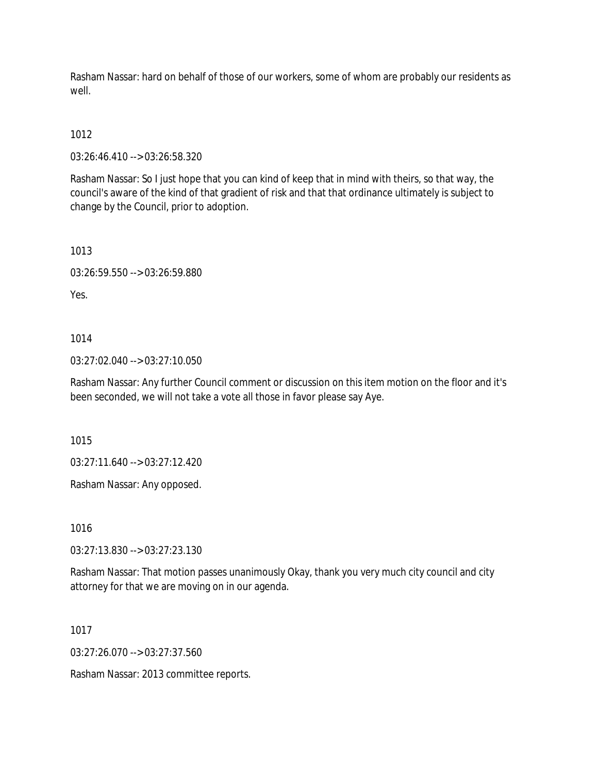Rasham Nassar: hard on behalf of those of our workers, some of whom are probably our residents as well

# 1012

03:26:46.410 --> 03:26:58.320

Rasham Nassar: So I just hope that you can kind of keep that in mind with theirs, so that way, the council's aware of the kind of that gradient of risk and that that ordinance ultimately is subject to change by the Council, prior to adoption.

1013

03:26:59.550 --> 03:26:59.880

Yes.

1014

03:27:02.040 --> 03:27:10.050

Rasham Nassar: Any further Council comment or discussion on this item motion on the floor and it's been seconded, we will not take a vote all those in favor please say Aye.

1015

03:27:11.640 --> 03:27:12.420

Rasham Nassar: Any opposed.

1016

03:27:13.830 --> 03:27:23.130

Rasham Nassar: That motion passes unanimously Okay, thank you very much city council and city attorney for that we are moving on in our agenda.

1017

03:27:26.070 --> 03:27:37.560

Rasham Nassar: 2013 committee reports.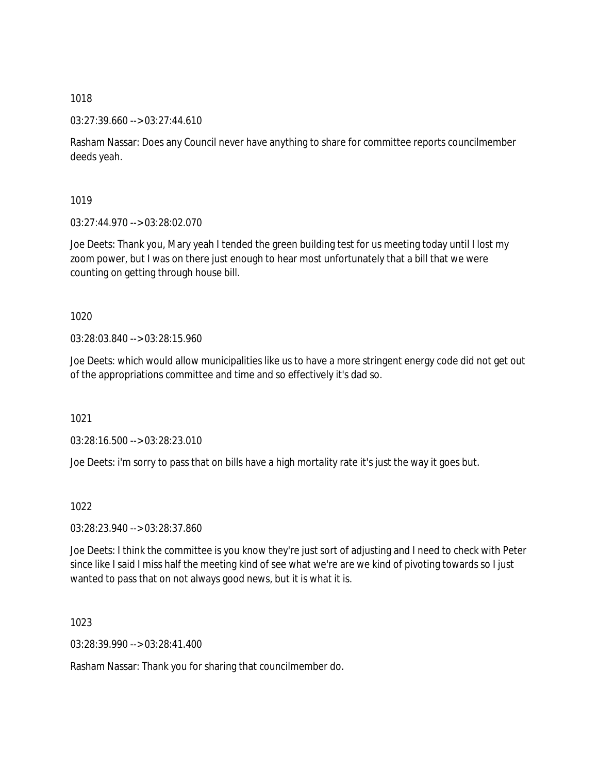03:27:39.660 --> 03:27:44.610

Rasham Nassar: Does any Council never have anything to share for committee reports councilmember deeds yeah.

1019

03:27:44.970 --> 03:28:02.070

Joe Deets: Thank you, Mary yeah I tended the green building test for us meeting today until I lost my zoom power, but I was on there just enough to hear most unfortunately that a bill that we were counting on getting through house bill.

1020

03:28:03.840 --> 03:28:15.960

Joe Deets: which would allow municipalities like us to have a more stringent energy code did not get out of the appropriations committee and time and so effectively it's dad so.

1021

03:28:16.500 --> 03:28:23.010

Joe Deets: i'm sorry to pass that on bills have a high mortality rate it's just the way it goes but.

1022

03:28:23.940 --> 03:28:37.860

Joe Deets: I think the committee is you know they're just sort of adjusting and I need to check with Peter since like I said I miss half the meeting kind of see what we're are we kind of pivoting towards so I just wanted to pass that on not always good news, but it is what it is.

1023

03:28:39.990 --> 03:28:41.400

Rasham Nassar: Thank you for sharing that councilmember do.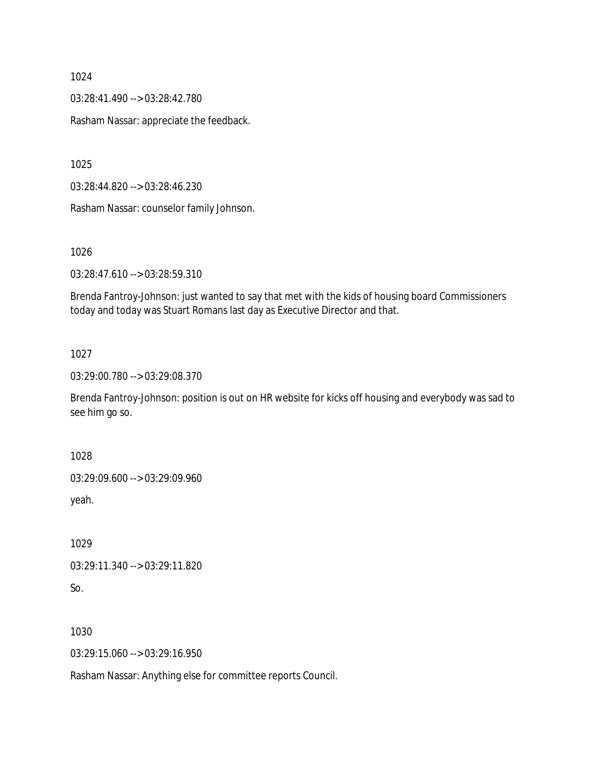03:28:41.490 --> 03:28:42.780

Rasham Nassar: appreciate the feedback.

1025

03:28:44.820 --> 03:28:46.230

Rasham Nassar: counselor family Johnson.

1026

03:28:47.610 --> 03:28:59.310

Brenda Fantroy-Johnson: just wanted to say that met with the kids of housing board Commissioners today and today was Stuart Romans last day as Executive Director and that.

1027

03:29:00.780 --> 03:29:08.370

Brenda Fantroy-Johnson: position is out on HR website for kicks off housing and everybody was sad to see him go so.

1028

03:29:09.600 --> 03:29:09.960

yeah.

1029

03:29:11.340 --> 03:29:11.820

So.

1030

03:29:15.060 --> 03:29:16.950

Rasham Nassar: Anything else for committee reports Council.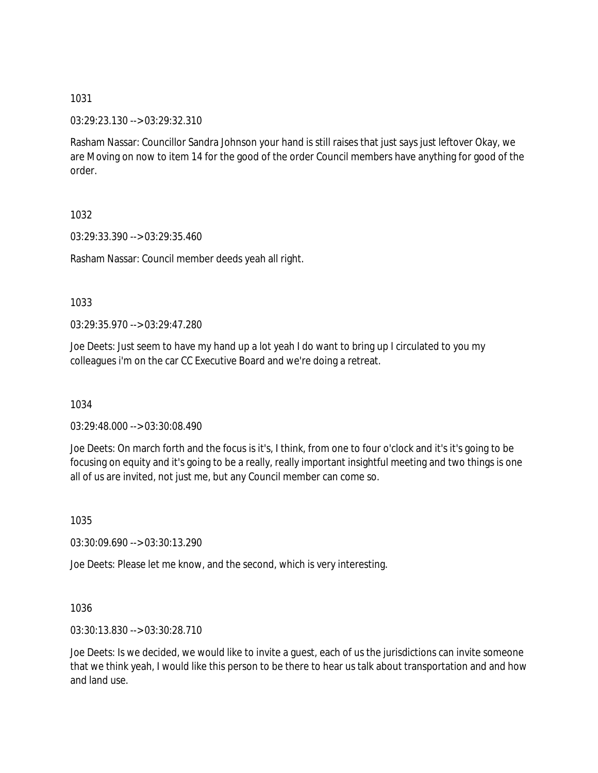03:29:23.130 --> 03:29:32.310

Rasham Nassar: Councillor Sandra Johnson your hand is still raises that just says just leftover Okay, we are Moving on now to item 14 for the good of the order Council members have anything for good of the order.

1032

03:29:33.390 --> 03:29:35.460

Rasham Nassar: Council member deeds yeah all right.

1033

03:29:35.970 --> 03:29:47.280

Joe Deets: Just seem to have my hand up a lot yeah I do want to bring up I circulated to you my colleagues i'm on the car CC Executive Board and we're doing a retreat.

1034

03:29:48.000 --> 03:30:08.490

Joe Deets: On march forth and the focus is it's, I think, from one to four o'clock and it's it's going to be focusing on equity and it's going to be a really, really important insightful meeting and two things is one all of us are invited, not just me, but any Council member can come so.

1035

03:30:09.690 --> 03:30:13.290

Joe Deets: Please let me know, and the second, which is very interesting.

1036

03:30:13.830 --> 03:30:28.710

Joe Deets: Is we decided, we would like to invite a guest, each of us the jurisdictions can invite someone that we think yeah, I would like this person to be there to hear us talk about transportation and and how and land use.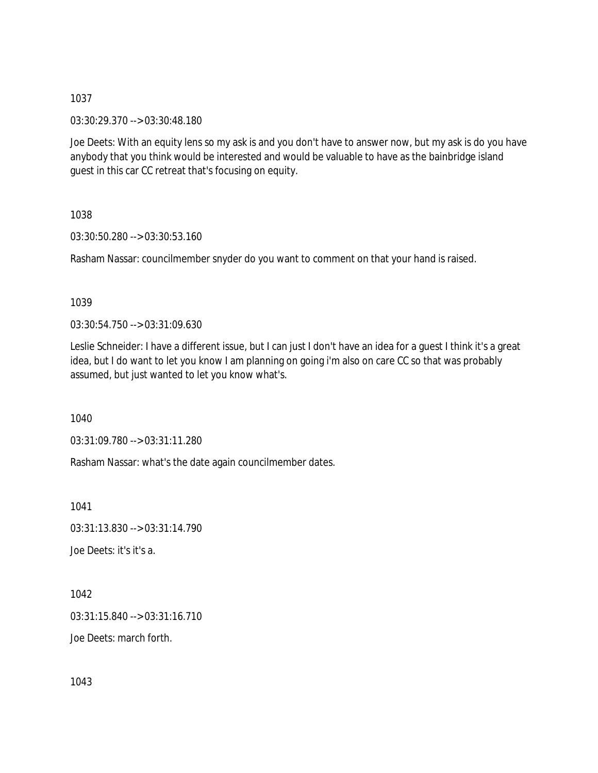03:30:29.370 --> 03:30:48.180

Joe Deets: With an equity lens so my ask is and you don't have to answer now, but my ask is do you have anybody that you think would be interested and would be valuable to have as the bainbridge island guest in this car CC retreat that's focusing on equity.

1038

03:30:50.280 --> 03:30:53.160

Rasham Nassar: councilmember snyder do you want to comment on that your hand is raised.

## 1039

03:30:54.750 --> 03:31:09.630

Leslie Schneider: I have a different issue, but I can just I don't have an idea for a guest I think it's a great idea, but I do want to let you know I am planning on going i'm also on care CC so that was probably assumed, but just wanted to let you know what's.

1040

03:31:09.780 --> 03:31:11.280

Rasham Nassar: what's the date again councilmember dates.

1041

03:31:13.830 --> 03:31:14.790

Joe Deets: it's it's a.

1042 03:31:15.840 --> 03:31:16.710 Joe Deets: march forth.

1043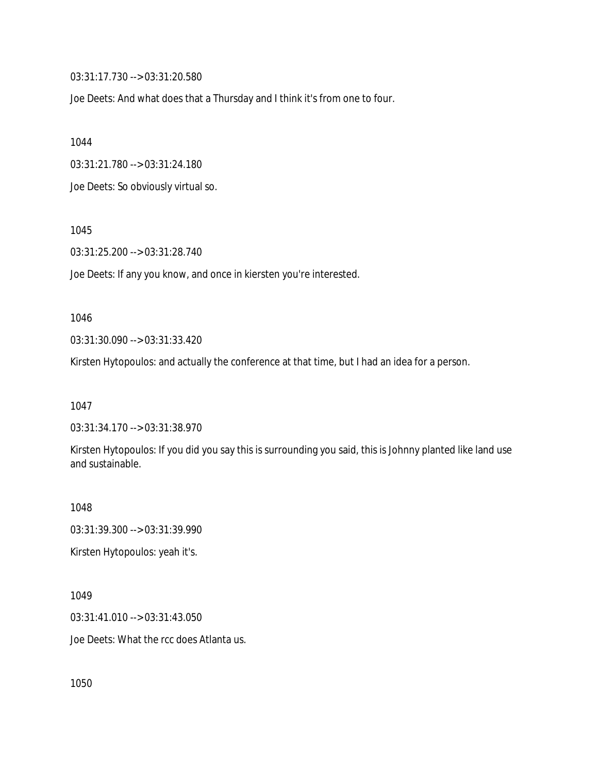03:31:17.730 --> 03:31:20.580

Joe Deets: And what does that a Thursday and I think it's from one to four.

1044

03:31:21.780 --> 03:31:24.180

Joe Deets: So obviously virtual so.

1045

03:31:25.200 --> 03:31:28.740

Joe Deets: If any you know, and once in kiersten you're interested.

1046

03:31:30.090 --> 03:31:33.420

Kirsten Hytopoulos: and actually the conference at that time, but I had an idea for a person.

1047

03:31:34.170 --> 03:31:38.970

Kirsten Hytopoulos: If you did you say this is surrounding you said, this is Johnny planted like land use and sustainable.

1048

03:31:39.300 --> 03:31:39.990

Kirsten Hytopoulos: yeah it's.

1049

03:31:41.010 --> 03:31:43.050

Joe Deets: What the rcc does Atlanta us.

1050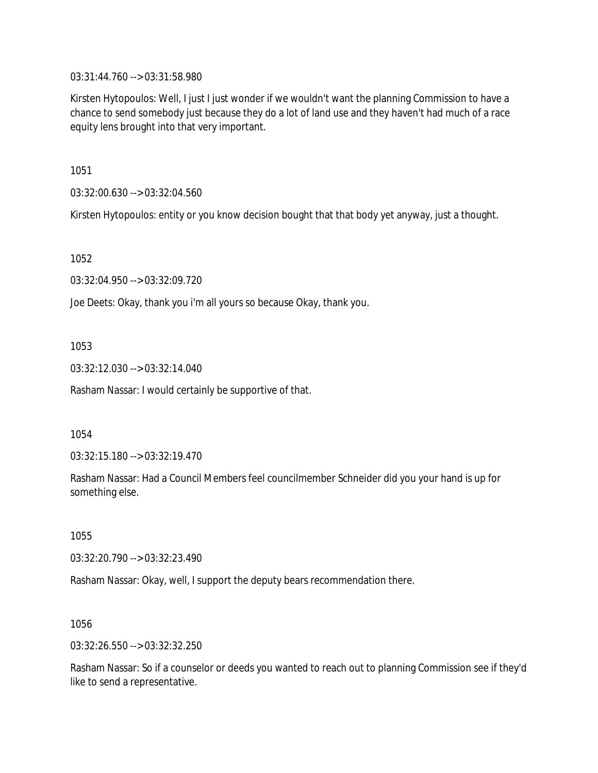03:31:44.760 --> 03:31:58.980

Kirsten Hytopoulos: Well, I just I just wonder if we wouldn't want the planning Commission to have a chance to send somebody just because they do a lot of land use and they haven't had much of a race equity lens brought into that very important.

1051

03:32:00.630 --> 03:32:04.560

Kirsten Hytopoulos: entity or you know decision bought that that body yet anyway, just a thought.

1052

03:32:04.950 --> 03:32:09.720

Joe Deets: Okay, thank you i'm all yours so because Okay, thank you.

1053

03:32:12.030 --> 03:32:14.040

Rasham Nassar: I would certainly be supportive of that.

1054

03:32:15.180 --> 03:32:19.470

Rasham Nassar: Had a Council Members feel councilmember Schneider did you your hand is up for something else.

1055

03:32:20.790 --> 03:32:23.490

Rasham Nassar: Okay, well, I support the deputy bears recommendation there.

1056

03:32:26.550 --> 03:32:32.250

Rasham Nassar: So if a counselor or deeds you wanted to reach out to planning Commission see if they'd like to send a representative.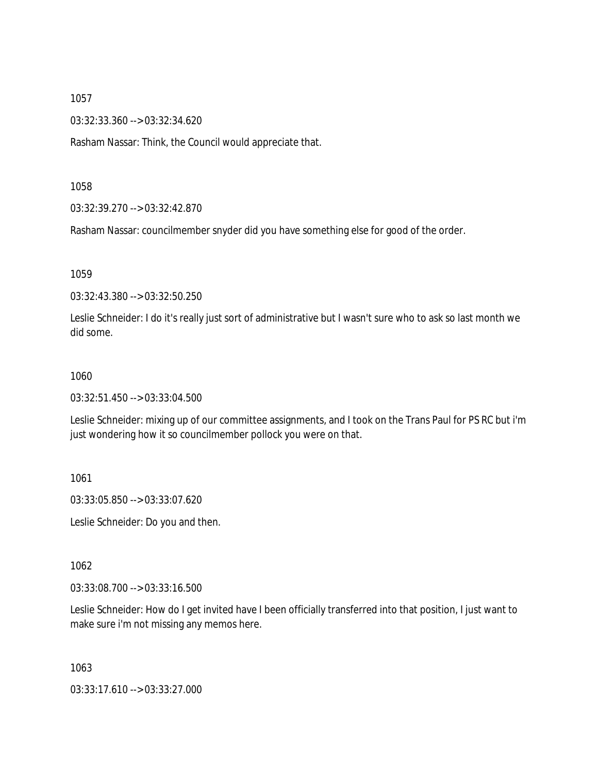03:32:33.360 --> 03:32:34.620

Rasham Nassar: Think, the Council would appreciate that.

1058

03:32:39.270 --> 03:32:42.870

Rasham Nassar: councilmember snyder did you have something else for good of the order.

1059

03:32:43.380 --> 03:32:50.250

Leslie Schneider: I do it's really just sort of administrative but I wasn't sure who to ask so last month we did some.

#### 1060

03:32:51.450 --> 03:33:04.500

Leslie Schneider: mixing up of our committee assignments, and I took on the Trans Paul for PS RC but i'm just wondering how it so councilmember pollock you were on that.

1061

03:33:05.850 --> 03:33:07.620

Leslie Schneider: Do you and then.

1062

03:33:08.700 --> 03:33:16.500

Leslie Schneider: How do I get invited have I been officially transferred into that position, I just want to make sure i'm not missing any memos here.

1063

03:33:17.610 --> 03:33:27.000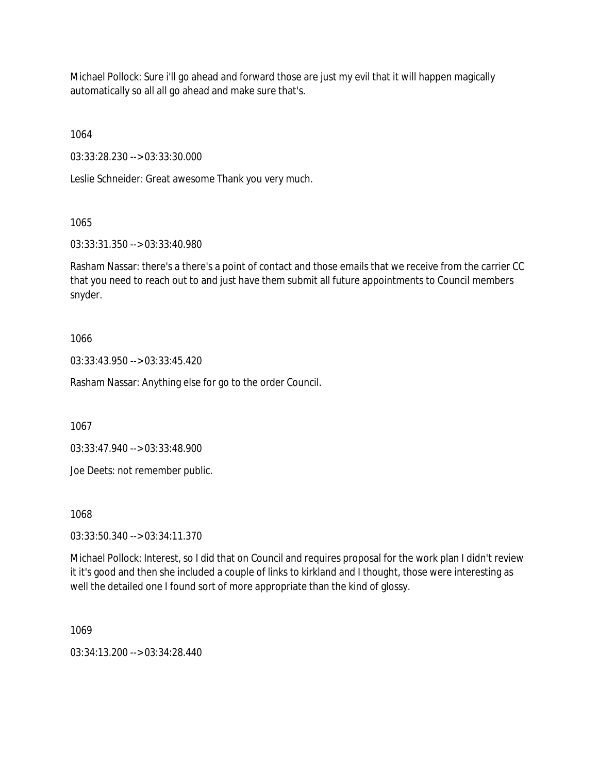Michael Pollock: Sure i'll go ahead and forward those are just my evil that it will happen magically automatically so all all go ahead and make sure that's.

1064

03:33:28.230 --> 03:33:30.000

Leslie Schneider: Great awesome Thank you very much.

1065

03:33:31.350 --> 03:33:40.980

Rasham Nassar: there's a there's a point of contact and those emails that we receive from the carrier CC that you need to reach out to and just have them submit all future appointments to Council members snyder.

# 1066

03:33:43.950 --> 03:33:45.420

Rasham Nassar: Anything else for go to the order Council.

1067

03:33:47.940 --> 03:33:48.900

Joe Deets: not remember public.

1068

03:33:50.340 --> 03:34:11.370

Michael Pollock: Interest, so I did that on Council and requires proposal for the work plan I didn't review it it's good and then she included a couple of links to kirkland and I thought, those were interesting as well the detailed one I found sort of more appropriate than the kind of glossy.

1069

03:34:13.200 --> 03:34:28.440